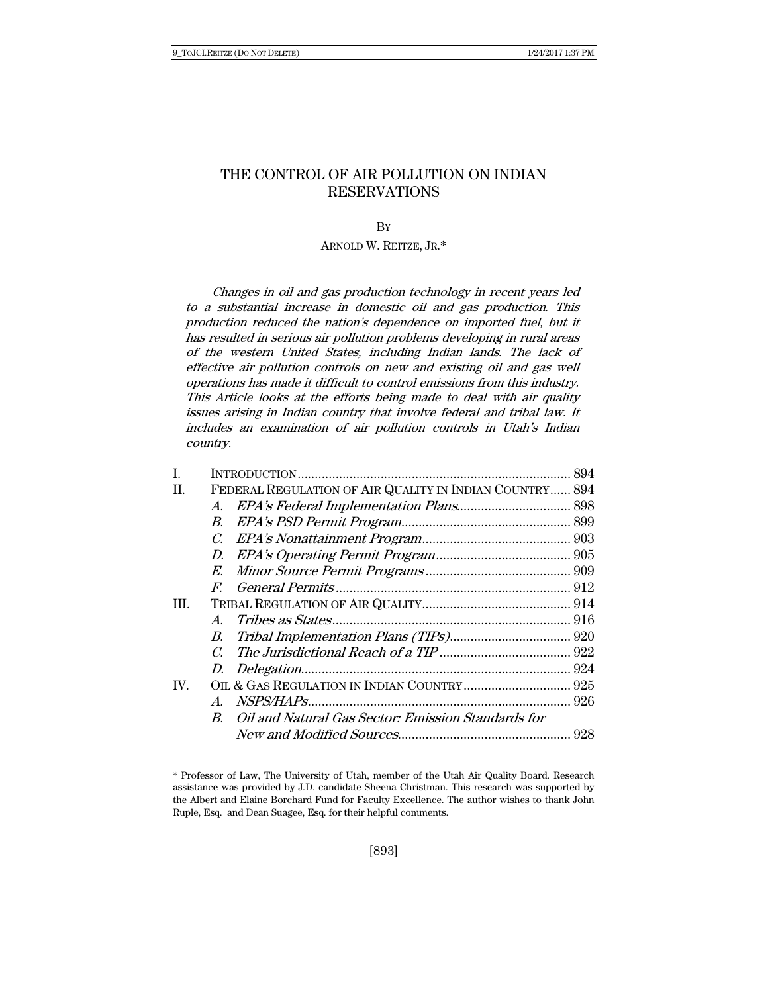# THE CONTROL OF AIR POLLUTION ON INDIAN RESERVATIONS

**B**Y

# ARNOLD W. REITZE, JR.\*

Changes in oil and gas production technology in recent years led to a substantial increase in domestic oil and gas production. This production reduced the nation's dependence on imported fuel, but it has resulted in serious air pollution problems developing in rural areas of the western United States, including Indian lands. The lack of effective air pollution controls on new and existing oil and gas well operations has made it difficult to control emissions from this industry. This Article looks at the efforts being made to deal with air quality issues arising in Indian country that involve federal and tribal law. It includes an examination of air pollution controls in Utah's Indian country.

| H.            | FEDERAL REGULATION OF AIR QUALITY IN INDIAN COUNTRY 894 |  |
|---------------|---------------------------------------------------------|--|
|               |                                                         |  |
|               | $B_{\cdot}$                                             |  |
|               |                                                         |  |
|               |                                                         |  |
|               |                                                         |  |
|               | $F_{\cdot}$                                             |  |
| Ш.            |                                                         |  |
|               | $A_{\cdot}$                                             |  |
|               |                                                         |  |
|               | $\mathcal{C}$                                           |  |
|               |                                                         |  |
| $\mathbf{IV}$ |                                                         |  |
|               |                                                         |  |
|               | B. Oil and Natural Gas Sector: Emission Standards for   |  |
|               |                                                         |  |

<sup>\*</sup> Professor of Law, The University of Utah, member of the Utah Air Quality Board. Research assistance was provided by J.D. candidate Sheena Christman. This research was supported by the Albert and Elaine Borchard Fund for Faculty Excellence. The author wishes to thank John Ruple, Esq. and Dean Suagee, Esq. for their helpful comments.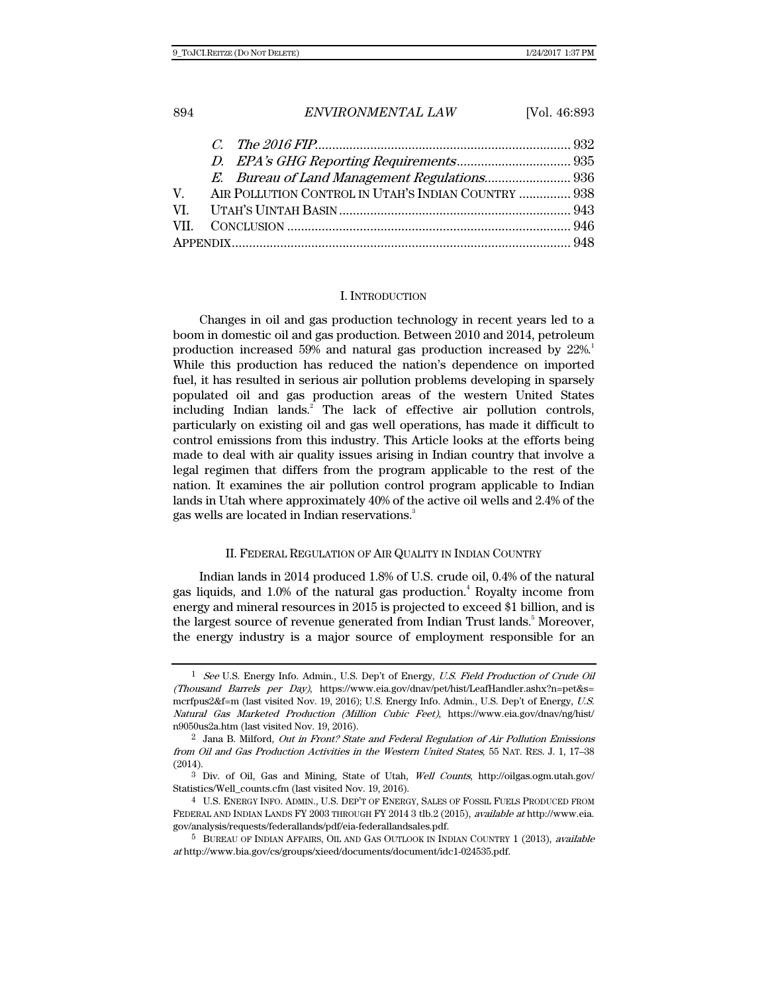| 894 | ENVIRONMENTAL LAW                                      | [Vol. 46:893] |
|-----|--------------------------------------------------------|---------------|
|     |                                                        |               |
|     |                                                        |               |
|     |                                                        |               |
|     | V. AIR POLLUTION CONTROL IN UTAH'S INDIAN COUNTRY  938 |               |
| VI. |                                                        |               |
|     |                                                        |               |
|     |                                                        |               |

#### I. INTRODUCTION

Changes in oil and gas production technology in recent years led to a boom in domestic oil and gas production. Between 2010 and 2014, petroleum production increased 59% and natural gas production increased by  $22\%$ . While this production has reduced the nation's dependence on imported fuel, it has resulted in serious air pollution problems developing in sparsely populated oil and gas production areas of the western United States including Indian lands.<sup>2</sup> The lack of effective air pollution controls, particularly on existing oil and gas well operations, has made it difficult to control emissions from this industry. This Article looks at the efforts being made to deal with air quality issues arising in Indian country that involve a legal regimen that differs from the program applicable to the rest of the nation. It examines the air pollution control program applicable to Indian lands in Utah where approximately 40% of the active oil wells and 2.4% of the gas wells are located in Indian reservations.<sup>3</sup>

#### II. FEDERAL REGULATION OF AIR QUALITY IN INDIAN COUNTRY

Indian lands in 2014 produced 1.8% of U.S. crude oil, 0.4% of the natural gas liquids, and 1.0% of the natural gas production.<sup>4</sup> Royalty income from energy and mineral resources in 2015 is projected to exceed \$1 billion, and is the largest source of revenue generated from Indian Trust lands.<sup>5</sup> Moreover, the energy industry is a major source of employment responsible for an

<sup>&</sup>lt;sup>1</sup> See U.S. Energy Info. Admin., U.S. Dep't of Energy, U.S. Field Production of Crude Oil (Thousand Barrels per Day), https://www.eia.gov/dnav/pet/hist/LeafHandler.ashx?n=pet&s= mcrfpus2&f=m (last visited Nov. 19, 2016); U.S. Energy Info. Admin., U.S. Dep't of Energy, U.S. Natural Gas Marketed Production (Million Cubic Feet), https://www.eia.gov/dnav/ng/hist/ n9050us2a.htm (last visited Nov. 19, 2016).

<sup>2</sup> Jana B. Milford, Out in Front? State and Federal Regulation of Air Pollution Emissions from Oil and Gas Production Activities in the Western United States, 55 NAT. RES. J. 1, 17–38 (2014).

<sup>3</sup> Div. of Oil, Gas and Mining, State of Utah, Well Counts, http://oilgas.ogm.utah.gov/ Statistics/Well\_counts.cfm (last visited Nov. 19, 2016).

<sup>4</sup> U.S. ENERGY INFO. ADMIN., U.S. DEP'T OF ENERGY, SALES OF FOSSIL FUELS PRODUCED FROM FEDERAL AND INDIAN LANDS FY 2003 THROUGH FY 2014 3 tlb.2 (2015), available at http://www.eia. gov/analysis/requests/federallands/pdf/eia-federallandsales.pdf.

<sup>5</sup> BUREAU OF INDIAN AFFAIRS, OIL AND GAS OUTLOOK IN INDIAN COUNTRY 1 (2013), available at http://www.bia.gov/cs/groups/xieed/documents/document/idc1-024535.pdf.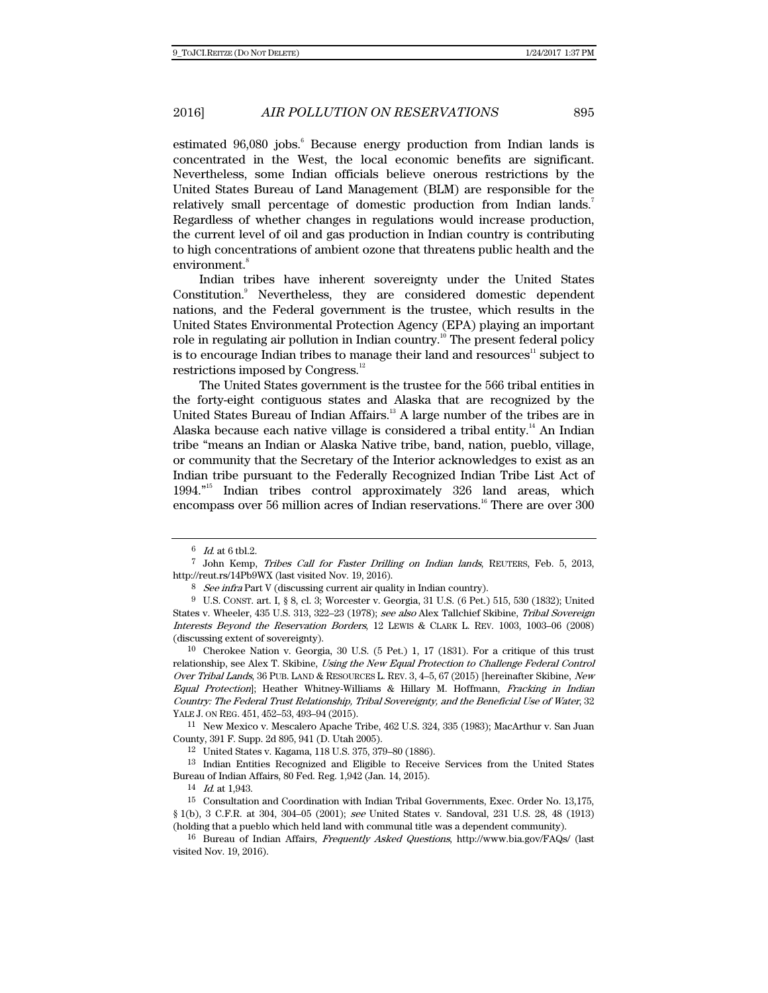estimated 96,080 jobs.<sup>6</sup> Because energy production from Indian lands is concentrated in the West, the local economic benefits are significant. Nevertheless, some Indian officials believe onerous restrictions by the United States Bureau of Land Management (BLM) are responsible for the relatively small percentage of domestic production from Indian lands. Regardless of whether changes in regulations would increase production, the current level of oil and gas production in Indian country is contributing to high concentrations of ambient ozone that threatens public health and the environment.<sup>8</sup>

Indian tribes have inherent sovereignty under the United States Constitution.<sup>9</sup> Nevertheless, they are considered domestic dependent nations, and the Federal government is the trustee, which results in the United States Environmental Protection Agency (EPA) playing an important role in regulating air pollution in Indian country.<sup>10</sup> The present federal policy is to encourage Indian tribes to manage their land and resources<sup>11</sup> subject to restrictions imposed by Congress.<sup>12</sup>

The United States government is the trustee for the 566 tribal entities in the forty-eight contiguous states and Alaska that are recognized by the United States Bureau of Indian Affairs.<sup>13</sup> A large number of the tribes are in Alaska because each native village is considered a tribal entity.<sup>14</sup> An Indian tribe "means an Indian or Alaska Native tribe, band, nation, pueblo, village, or community that the Secretary of the Interior acknowledges to exist as an Indian tribe pursuant to the Federally Recognized Indian Tribe List Act of 1994."15 Indian tribes control approximately 326 land areas, which encompass over 56 million acres of Indian reservations.<sup>16</sup> There are over 300

10 Cherokee Nation v. Georgia, 30 U.S. (5 Pet.) 1, 17 (1831). For a critique of this trust relationship, see Alex T. Skibine, Using the New Equal Protection to Challenge Federal Control Over Tribal Lands, 36 PUB. LAND & RESOURCES L. REV. 3, 4–5, 67 (2015) [hereinafter Skibine, New Equal Protection]; Heather Whitney-Williams & Hillary M. Hoffmann, Fracking in Indian Country: The Federal Trust Relationship, Tribal Sovereignty, and the Beneficial Use of Water, 32 YALE J. ON REG. 451, 452–53, 493–94 (2015).

11 New Mexico v. Mescalero Apache Tribe, 462 U.S. 324, 335 (1983); MacArthur v. San Juan County, 391 F. Supp. 2d 895, 941 (D. Utah 2005).

12 United States v. Kagama, 118 U.S. 375, 379–80 (1886).

13 Indian Entities Recognized and Eligible to Receive Services from the United States Bureau of Indian Affairs, 80 Fed. Reg. 1,942 (Jan. 14, 2015).

14 Id. at 1,943.

15 Consultation and Coordination with Indian Tribal Governments, Exec. Order No. 13,175, § 1(b), 3 C.F.R. at 304, 304–05 (2001); see United States v. Sandoval, 231 U.S. 28, 48 (1913) (holding that a pueblo which held land with communal title was a dependent community).

16 Bureau of Indian Affairs, Frequently Asked Questions, http://www.bia.gov/FAQs/ (last visited Nov. 19, 2016).

 $6$  Id. at 6 tbl.2.

<sup>7</sup> John Kemp, Tribes Call for Faster Drilling on Indian lands, REUTERS, Feb. 5, 2013, http://reut.rs/14Pb9WX (last visited Nov. 19, 2016).

<sup>&</sup>lt;sup>8</sup> See infra Part V (discussing current air quality in Indian country).

<sup>9</sup> U.S. CONST. art. I, § 8, cl. 3; Worcester v. Georgia, 31 U.S. (6 Pet.) 515, 530 (1832); United States v. Wheeler, 435 U.S. 313, 322–23 (1978); see also Alex Tallchief Skibine, Tribal Sovereign Interests Beyond the Reservation Borders, 12 LEWIS & CLARK L. REV. 1003, 1003–06 (2008) (discussing extent of sovereignty).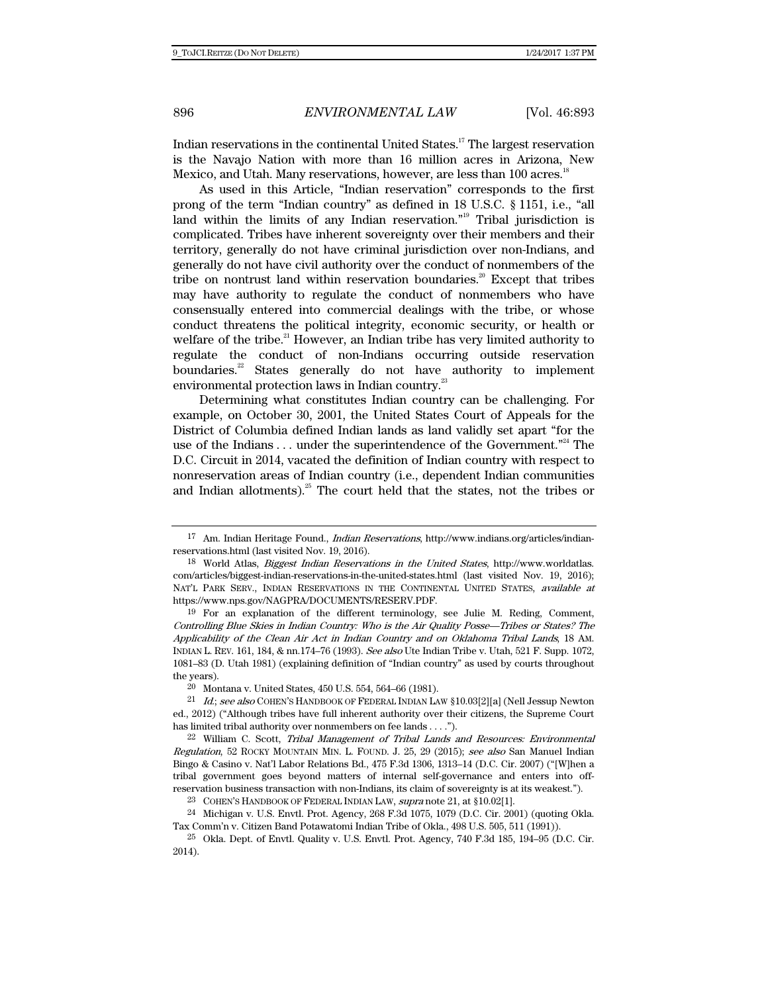Indian reservations in the continental United States.17 The largest reservation is the Navajo Nation with more than 16 million acres in Arizona, New Mexico, and Utah. Many reservations, however, are less than 100 acres.<sup>18</sup>

As used in this Article, "Indian reservation" corresponds to the first prong of the term "Indian country" as defined in 18 U.S.C. § 1151, i.e., "all land within the limits of any Indian reservation."<sup>19</sup> Tribal jurisdiction is complicated. Tribes have inherent sovereignty over their members and their territory, generally do not have criminal jurisdiction over non-Indians, and generally do not have civil authority over the conduct of nonmembers of the tribe on nontrust land within reservation boundaries.<sup>20</sup> Except that tribes may have authority to regulate the conduct of nonmembers who have consensually entered into commercial dealings with the tribe, or whose conduct threatens the political integrity, economic security, or health or welfare of the tribe.<sup>21</sup> However, an Indian tribe has very limited authority to regulate the conduct of non-Indians occurring outside reservation boundaries.<sup>22</sup> States generally do not have authority to implement environmental protection laws in Indian country.<sup>23</sup>

Determining what constitutes Indian country can be challenging. For example, on October 30, 2001, the United States Court of Appeals for the District of Columbia defined Indian lands as land validly set apart "for the use of the Indians  $\dots$  under the superintendence of the Government."<sup>24</sup> The D.C. Circuit in 2014, vacated the definition of Indian country with respect to nonreservation areas of Indian country (i.e., dependent Indian communities and Indian allotments).<sup>25</sup> The court held that the states, not the tribes or

<sup>17</sup> Am. Indian Heritage Found., Indian Reservations, http://www.indians.org/articles/indianreservations.html (last visited Nov. 19, 2016).

<sup>18</sup> World Atlas, Biggest Indian Reservations in the United States, http://www.worldatlas. com/articles/biggest-indian-reservations-in-the-united-states.html (last visited Nov. 19, 2016); NAT'L PARK SERV., INDIAN RESERVATIONS IN THE CONTINENTAL UNITED STATES, available at https://www.nps.gov/NAGPRA/DOCUMENTS/RESERV.PDF.

<sup>19</sup> For an explanation of the different terminology, see Julie M. Reding, Comment, Controlling Blue Skies in Indian Country: Who is the Air Quality Posse—Tribes or States? The Applicability of the Clean Air Act in Indian Country and on Oklahoma Tribal Lands, 18 AM. INDIAN L. REV. 161, 184, & nn.174–76 (1993). See also Ute Indian Tribe v. Utah, 521 F. Supp. 1072, 1081–83 (D. Utah 1981) (explaining definition of "Indian country" as used by courts throughout the years).

<sup>20</sup> Montana v. United States, 450 U.S. 554, 564–66 (1981).

<sup>&</sup>lt;sup>21</sup> Id.; see also COHEN'S HANDBOOK OF FEDERAL INDIAN LAW §10.03[2][a] (Nell Jessup Newton ed., 2012) ("Although tribes have full inherent authority over their citizens, the Supreme Court has limited tribal authority over nonmembers on fee lands . . . .").

<sup>22</sup> William C. Scott, Tribal Management of Tribal Lands and Resources: Environmental Regulation, 52 ROCKY MOUNTAIN MIN. L. FOUND. J. 25, 29 (2015); see also San Manuel Indian Bingo & Casino v. Nat'l Labor Relations Bd., 475 F.3d 1306, 1313–14 (D.C. Cir. 2007) ("[W]hen a tribal government goes beyond matters of internal self-governance and enters into offreservation business transaction with non-Indians, its claim of sovereignty is at its weakest.").

<sup>23</sup> COHEN'S HANDBOOK OF FEDERAL INDIAN LAW, supra note 21, at §10.02[1].

<sup>24</sup> Michigan v. U.S. Envtl. Prot. Agency, 268 F.3d 1075, 1079 (D.C. Cir. 2001) (quoting Okla. Tax Comm'n v. Citizen Band Potawatomi Indian Tribe of Okla., 498 U.S. 505, 511 (1991)).

<sup>25</sup> Okla. Dept. of Envtl. Quality v. U.S. Envtl. Prot. Agency, 740 F.3d 185, 194–95 (D.C. Cir. 2014).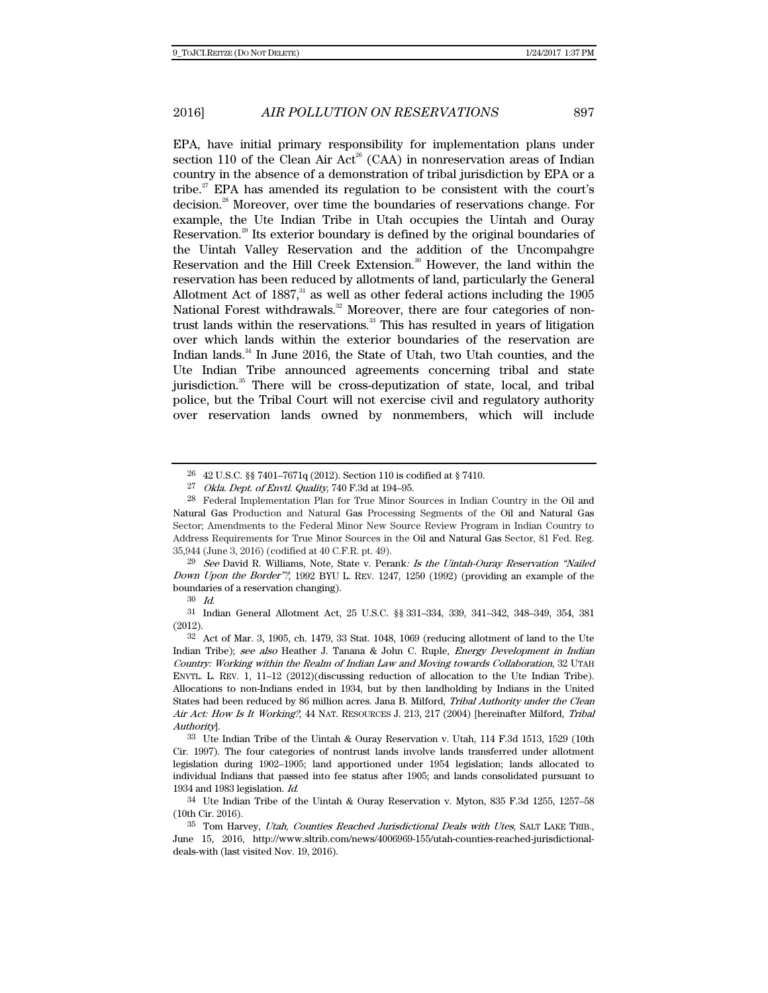EPA, have initial primary responsibility for implementation plans under section 110 of the Clean Air Act<sup>26</sup> (CAA) in nonreservation areas of Indian country in the absence of a demonstration of tribal jurisdiction by EPA or a tribe.<sup>27</sup> EPA has amended its regulation to be consistent with the court's decision.28 Moreover, over time the boundaries of reservations change. For example, the Ute Indian Tribe in Utah occupies the Uintah and Ouray Reservation.29 Its exterior boundary is defined by the original boundaries of the Uintah Valley Reservation and the addition of the Uncompahgre Reservation and the Hill Creek Extension.<sup>30</sup> However, the land within the reservation has been reduced by allotments of land, particularly the General Allotment Act of  $1887<sup>31</sup>$  as well as other federal actions including the 1905 National Forest withdrawals.<sup>32</sup> Moreover, there are four categories of nontrust lands within the reservations.<sup>33</sup> This has resulted in years of litigation over which lands within the exterior boundaries of the reservation are Indian lands.<sup>34</sup> In June 2016, the State of Utah, two Utah counties, and the Ute Indian Tribe announced agreements concerning tribal and state jurisdiction.<sup>35</sup> There will be cross-deputization of state, local, and tribal police, but the Tribal Court will not exercise civil and regulatory authority over reservation lands owned by nonmembers, which will include

<sup>29</sup> See David R. Williams, Note, State v. Perank: Is the Uintah-Ouray Reservation "Nailed Down Upon the Border"?, 1992 BYU L. REV. 1247, 1250 (1992) (providing an example of the boundaries of a reservation changing).

30 Id.

31 Indian General Allotment Act, 25 U.S.C. §§ 331–334, 339, 341–342, 348–349, 354, 381 (2012).

<sup>26 42</sup> U.S.C. §§ 7401–7671q (2012). Section 110 is codified at § 7410.

<sup>27</sup> Okla. Dept. of Envtl. Quality, 740 F.3d at 194–95.

<sup>28</sup> Federal Implementation Plan for True Minor Sources in Indian Country in the Oil and Natural Gas Production and Natural Gas Processing Segments of the Oil and Natural Gas Sector; Amendments to the Federal Minor New Source Review Program in Indian Country to Address Requirements for True Minor Sources in the Oil and Natural Gas Sector, 81 Fed. Reg. 35,944 (June 3, 2016) (codified at 40 C.F.R. pt. 49).

<sup>32</sup> Act of Mar. 3, 1905, ch. 1479, 33 Stat. 1048, 1069 (reducing allotment of land to the Ute Indian Tribe); see also Heather J. Tanana & John C. Ruple, *Energy Development in Indian* Country: Working within the Realm of Indian Law and Moving towards Collaboration, 32 UTAH ENVTL. L. REV. 1, 11–12 (2012)(discussing reduction of allocation to the Ute Indian Tribe). Allocations to non-Indians ended in 1934, but by then landholding by Indians in the United States had been reduced by 86 million acres. Jana B. Milford, Tribal Authority under the Clean Air Act: How Is It Working?, 44 NAT. RESOURCES J. 213, 217 (2004) [hereinafter Milford, Tribal Authority].

<sup>33</sup> Ute Indian Tribe of the Uintah & Ouray Reservation v. Utah, 114 F.3d 1513, 1529 (10th Cir. 1997). The four categories of nontrust lands involve lands transferred under allotment legislation during 1902–1905; land apportioned under 1954 legislation; lands allocated to individual Indians that passed into fee status after 1905; and lands consolidated pursuant to 1934 and 1983 legislation. Id.

<sup>34</sup> Ute Indian Tribe of the Uintah & Ouray Reservation v. Myton, 835 F.3d 1255, 1257–58 (10th Cir. 2016).

<sup>35</sup> Tom Harvey, Utah, Counties Reached Jurisdictional Deals with Utes, SALT LAKE TRIB., June 15, 2016, http://www.sltrib.com/news/4006969-155/utah-counties-reached-jurisdictionaldeals-with (last visited Nov. 19, 2016).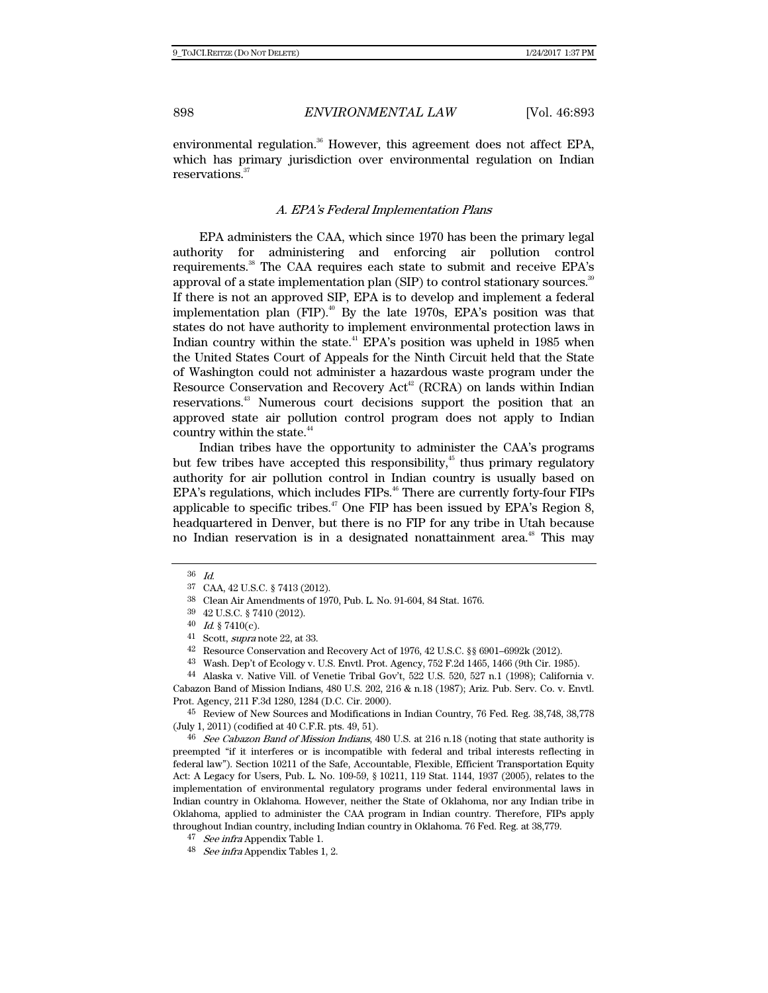environmental regulation. $36$  However, this agreement does not affect EPA, which has primary jurisdiction over environmental regulation on Indian reservations.<sup>37</sup>

#### A. EPA's Federal Implementation Plans

EPA administers the CAA, which since 1970 has been the primary legal authority for administering and enforcing air pollution control requirements.<sup>38</sup> The CAA requires each state to submit and receive EPA's approval of a state implementation plan (SIP) to control stationary sources.<sup>39</sup> If there is not an approved SIP, EPA is to develop and implement a federal implementation plan  $(FIP)$ .<sup>40</sup> By the late 1970s, EPA's position was that states do not have authority to implement environmental protection laws in Indian country within the state.<sup>41</sup> EPA's position was upheld in 1985 when the United States Court of Appeals for the Ninth Circuit held that the State of Washington could not administer a hazardous waste program under the Resource Conservation and Recovery  $Act^{42}$  (RCRA) on lands within Indian reservations.43 Numerous court decisions support the position that an approved state air pollution control program does not apply to Indian country within the state.<sup>44</sup>

Indian tribes have the opportunity to administer the CAA's programs but few tribes have accepted this responsibility, $45$  thus primary regulatory authority for air pollution control in Indian country is usually based on EPA's regulations, which includes FIPs.<sup>46</sup> There are currently forty-four FIPs applicable to specific tribes. $47$  One FIP has been issued by EPA's Region 8, headquartered in Denver, but there is no FIP for any tribe in Utah because no Indian reservation is in a designated nonattainment area.<sup>48</sup> This may

44 Alaska v. Native Vill. of Venetie Tribal Gov't, 522 U.S. 520, 527 n.1 (1998); California v. Cabazon Band of Mission Indians, 480 U.S. 202, 216 & n.18 (1987); Ariz. Pub. Serv. Co. v. Envtl. Prot. Agency, 211 F.3d 1280, 1284 (D.C. Cir. 2000).

45 Review of New Sources and Modifications in Indian Country, 76 Fed. Reg. 38,748, 38,778 (July 1, 2011) (codified at 40 C.F.R. pts. 49, 51).

<sup>46</sup> See Cabazon Band of Mission Indians, 480 U.S. at 216 n.18 (noting that state authority is preempted "if it interferes or is incompatible with federal and tribal interests reflecting in federal law"). Section 10211 of the Safe, Accountable, Flexible, Efficient Transportation Equity Act: A Legacy for Users, Pub. L. No. 109-59, § 10211, 119 Stat. 1144, 1937 (2005), relates to the implementation of environmental regulatory programs under federal environmental laws in Indian country in Oklahoma. However, neither the State of Oklahoma, nor any Indian tribe in Oklahoma, applied to administer the CAA program in Indian country. Therefore, FIPs apply throughout Indian country, including Indian country in Oklahoma. 76 Fed. Reg. at 38,779.

<sup>36</sup> Id.

<sup>37</sup> CAA, 42 U.S.C. § 7413 (2012).

<sup>38</sup> Clean Air Amendments of 1970, Pub. L. No. 91-604, 84 Stat. 1676.

<sup>39 42</sup> U.S.C. § 7410 (2012).

 $40$  *Id.* § 7410(c).

<sup>41</sup> Scott, supra note 22, at 33.

<sup>42</sup> Resource Conservation and Recovery Act of 1976, 42 U.S.C. §§ 6901–6992k (2012).

<sup>43</sup> Wash. Dep't of Ecology v. U.S. Envtl. Prot. Agency, 752 F.2d 1465, 1466 (9th Cir. 1985).

<sup>47</sup> See infra Appendix Table 1.

<sup>48</sup> See infra Appendix Tables 1, 2.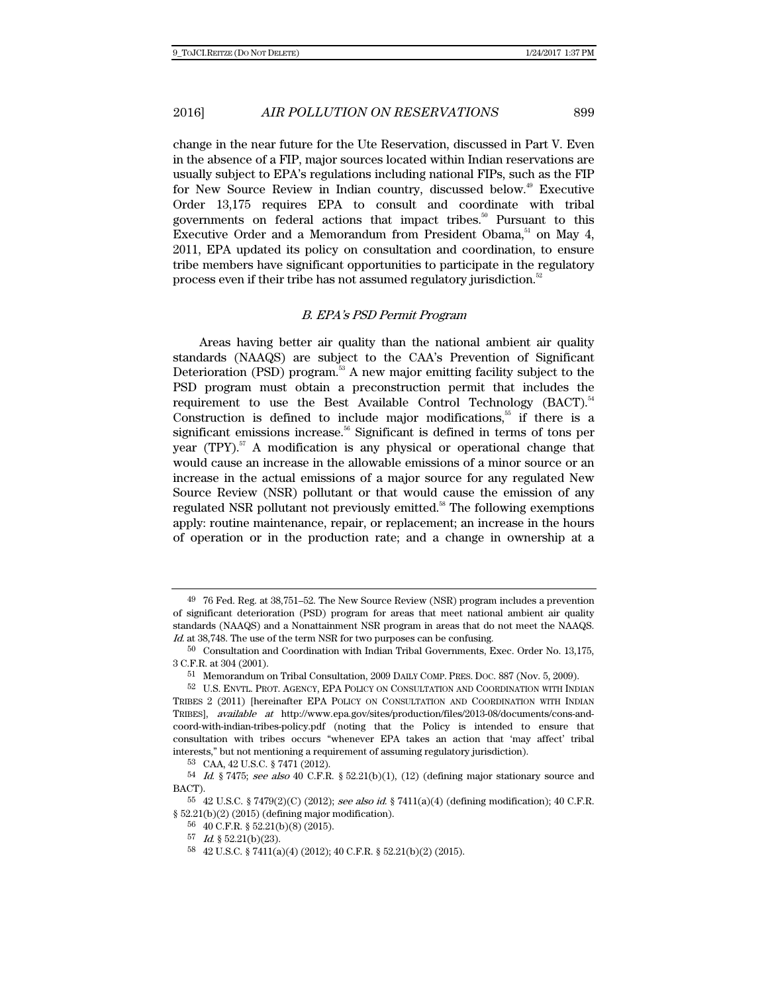change in the near future for the Ute Reservation, discussed in Part V. Even in the absence of a FIP, major sources located within Indian reservations are usually subject to EPA's regulations including national FIPs, such as the FIP for New Source Review in Indian country, discussed below.<sup>49</sup> Executive Order 13,175 requires EPA to consult and coordinate with tribal governments on federal actions that impact tribes.<sup>50</sup> Pursuant to this Executive Order and a Memorandum from President Obama, $51$  on May 4, 2011, EPA updated its policy on consultation and coordination, to ensure tribe members have significant opportunities to participate in the regulatory process even if their tribe has not assumed regulatory jurisdiction.<sup>52</sup>

### B. EPA's PSD Permit Program

Areas having better air quality than the national ambient air quality standards (NAAQS) are subject to the CAA's Prevention of Significant Deterioration (PSD) program.<sup>53</sup> A new major emitting facility subject to the PSD program must obtain a preconstruction permit that includes the requirement to use the Best Available Control Technology  $(BACT)^{54}$ Construction is defined to include major modifications,<sup>55</sup> if there is a significant emissions increase.<sup>56</sup> Significant is defined in terms of tons per year (TPY).<sup>57</sup> A modification is any physical or operational change that would cause an increase in the allowable emissions of a minor source or an increase in the actual emissions of a major source for any regulated New Source Review (NSR) pollutant or that would cause the emission of any regulated NSR pollutant not previously emitted.<sup>58</sup> The following exemptions apply: routine maintenance, repair, or replacement; an increase in the hours of operation or in the production rate; and a change in ownership at a

 $^{49}\,$  76 Fed. Reg. at 38,751–52. The New Source Review (NSR) program includes a prevention of significant deterioration (PSD) program for areas that meet national ambient air quality standards (NAAQS) and a Nonattainment NSR program in areas that do not meet the NAAQS. Id. at 38,748. The use of the term NSR for two purposes can be confusing.

<sup>50</sup> Consultation and Coordination with Indian Tribal Governments, Exec. Order No. 13,175, 3 C.F.R. at 304 (2001).

<sup>51</sup> Memorandum on Tribal Consultation, 2009 DAILY COMP. PRES. DOC. 887 (Nov. 5, 2009).

<sup>52</sup> U.S. ENVTL. PROT. AGENCY, EPA POLICY ON CONSULTATION AND COORDINATION WITH INDIAN TRIBES 2 (2011) [hereinafter EPA POLICY ON CONSULTATION AND COORDINATION WITH INDIAN TRIBES], available at http://www.epa.gov/sites/production/files/2013-08/documents/cons-andcoord-with-indian-tribes-policy.pdf (noting that the Policy is intended to ensure that consultation with tribes occurs "whenever EPA takes an action that 'may affect' tribal interests," but not mentioning a requirement of assuming regulatory jurisdiction).

<sup>53</sup> CAA, 42 U.S.C. § 7471 (2012).

 $54$  *Id.* § 7475; see also 40 C.F.R. § 52.21(b)(1), (12) (defining major stationary source and BACT).

<sup>55 42</sup> U.S.C. § 7479(2)(C) (2012); see also id. § 7411(a)(4) (defining modification); 40 C.F.R.  $§ 52.21(b)(2) (2015)$  (defining major modification).

<sup>56 40</sup> C.F.R. § 52.21(b)(8) (2015).

<sup>57</sup> Id. § 52.21(b)(23).

<sup>58 42</sup> U.S.C. § 7411(a)(4) (2012); 40 C.F.R. § 52.21(b)(2) (2015).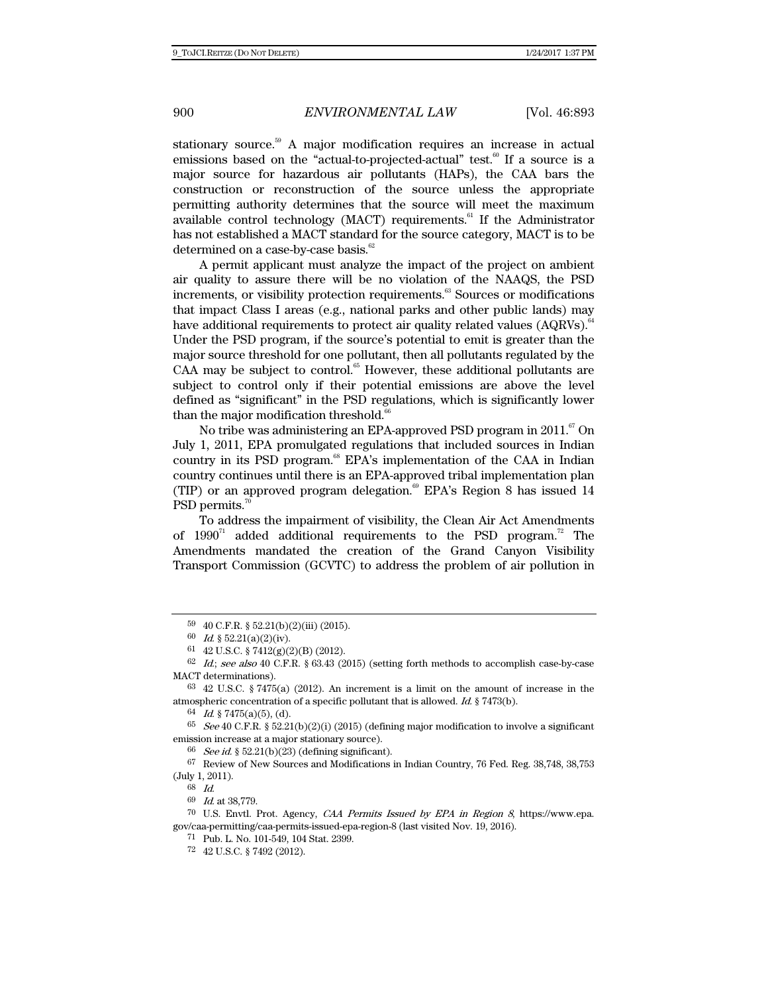stationary source.<sup>59</sup> A major modification requires an increase in actual emissions based on the "actual-to-projected-actual" test.<sup>60</sup> If a source is a major source for hazardous air pollutants (HAPs), the CAA bars the construction or reconstruction of the source unless the appropriate permitting authority determines that the source will meet the maximum available control technology (MACT) requirements. $61$  If the Administrator has not established a MACT standard for the source category, MACT is to be determined on a case-by-case basis. $62$ 

A permit applicant must analyze the impact of the project on ambient air quality to assure there will be no violation of the NAAQS, the PSD increments, or visibility protection requirements.<sup>63</sup> Sources or modifications that impact Class I areas (e.g., national parks and other public lands) may have additional requirements to protect air quality related values  $(AQRVs)$ .<sup>6</sup> Under the PSD program, if the source's potential to emit is greater than the major source threshold for one pollutant, then all pollutants regulated by the CAA may be subject to control. $65$  However, these additional pollutants are subject to control only if their potential emissions are above the level defined as "significant" in the PSD regulations, which is significantly lower than the major modification threshold.<sup>66</sup>

No tribe was administering an EPA-approved PSD program in 2011.<sup>67</sup> On July 1, 2011, EPA promulgated regulations that included sources in Indian country in its PSD program.<sup>68</sup> EPA's implementation of the CAA in Indian country continues until there is an EPA-approved tribal implementation plan (TIP) or an approved program delegation.<sup>69</sup> EPA's Region 8 has issued 14 PSD permits.<sup>7</sup>

To address the impairment of visibility, the Clean Air Act Amendments of  $1990^{71}$  added additional requirements to the PSD program.<sup>72</sup> The Amendments mandated the creation of the Grand Canyon Visibility Transport Commission (GCVTC) to address the problem of air pollution in

 $66$  See id. § 52.21(b)(23) (defining significant).

67 Review of New Sources and Modifications in Indian Country, 76 Fed. Reg. 38,748, 38,753 (July 1, 2011).

68 Id.

69 Id. at 38,779.

70 U.S. Envtl. Prot. Agency, CAA Permits Issued by EPA in Region 8, https://www.epa. gov/caa-permitting/caa-permits-issued-epa-region-8 (last visited Nov. 19, 2016).

71 Pub. L. No. 101-549, 104 Stat. 2399.

<sup>59 40</sup> C.F.R. § 52.21(b)(2)(iii) (2015).

<sup>60</sup> Id. §  $52.21(a)(2)(iv)$ .

<sup>61 42</sup> U.S.C. § 7412(g)(2)(B) (2012).

 $62$  *Id.; see also* 40 C.F.R. § 63.43 (2015) (setting forth methods to accomplish case-by-case MACT determinations).

<sup>63 42</sup> U.S.C. § 7475(a) (2012). An increment is a limit on the amount of increase in the atmospheric concentration of a specific pollutant that is allowed. Id. § 7473(b).

<sup>64</sup> Id. § 7475(a)(5), (d).

 $^{65}$  See 40 C.F.R. § 52.21(b)(2)(i) (2015) (defining major modification to involve a significant emission increase at a major stationary source).

<sup>72 42</sup> U.S.C. § 7492 (2012).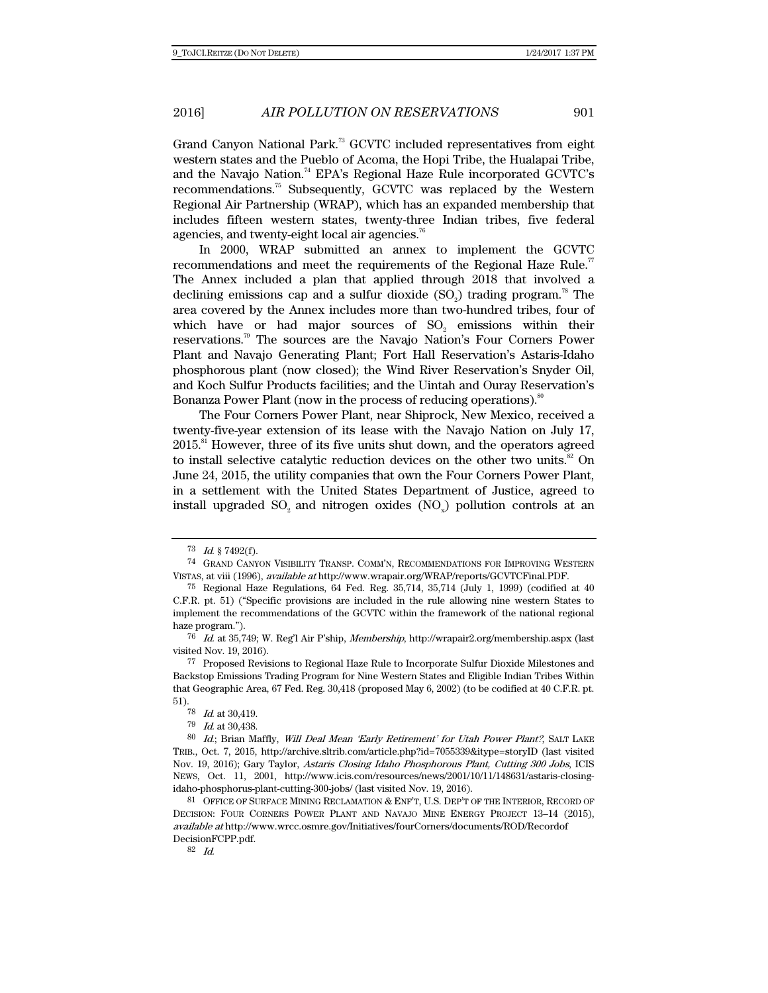Grand Canyon National Park.<sup>73</sup> GCVTC included representatives from eight western states and the Pueblo of Acoma, the Hopi Tribe, the Hualapai Tribe, and the Navajo Nation.<sup>74</sup> EPA's Regional Haze Rule incorporated GCVTC's recommendations.75 Subsequently, GCVTC was replaced by the Western Regional Air Partnership (WRAP), which has an expanded membership that includes fifteen western states, twenty-three Indian tribes, five federal agencies, and twenty-eight local air agencies.<sup>76</sup>

In 2000, WRAP submitted an annex to implement the GCVTC recommendations and meet the requirements of the Regional Haze Rule.<sup>77</sup> The Annex included a plan that applied through 2018 that involved a declining emissions cap and a sulfur dioxide  $(SO<sub>2</sub>)$  trading program.<sup>78</sup> The area covered by the Annex includes more than two-hundred tribes, four of which have or had major sources of SO<sub>2</sub> emissions within their reservations.79 The sources are the Navajo Nation's Four Corners Power Plant and Navajo Generating Plant; Fort Hall Reservation's Astaris-Idaho phosphorous plant (now closed); the Wind River Reservation's Snyder Oil, and Koch Sulfur Products facilities; and the Uintah and Ouray Reservation's Bonanza Power Plant (now in the process of reducing operations).<sup>80</sup>

The Four Corners Power Plant, near Shiprock, New Mexico, received a twenty-five-year extension of its lease with the Navajo Nation on July 17, 2015.81 However, three of its five units shut down, and the operators agreed to install selective catalytic reduction devices on the other two units. $82$  On June 24, 2015, the utility companies that own the Four Corners Power Plant, in a settlement with the United States Department of Justice, agreed to install upgraded  $SO<sub>2</sub>$  and nitrogen oxides  $(NO<sub>x</sub>)$  pollution controls at an

82 Id.

 $73$  *Id*  $87492(f)$ .

<sup>74</sup> GRAND CANYON VISIBILITY TRANSP. COMM'N, RECOMMENDATIONS FOR IMPROVING WESTERN VISTAS, at viii (1996), available at http://www.wrapair.org/WRAP/reports/GCVTCFinal.PDF.

 $^{75}$  Regional Haze Regulations, 64 Fed. Reg. 35,714, 35,714 (July 1, 1999) (codified at 40 C.F.R. pt. 51) ("Specific provisions are included in the rule allowing nine western States to implement the recommendations of the GCVTC within the framework of the national regional haze program.").

<sup>76</sup> Id. at 35,749; W. Reg'l Air P'ship, Membership, http://wrapair2.org/membership.aspx (last visited Nov. 19, 2016).

<sup>77</sup> Proposed Revisions to Regional Haze Rule to Incorporate Sulfur Dioxide Milestones and Backstop Emissions Trading Program for Nine Western States and Eligible Indian Tribes Within that Geographic Area, 67 Fed. Reg. 30,418 (proposed May 6, 2002) (to be codified at 40 C.F.R. pt.  $\begin{array}{c} 51\text{).} \\ 78 \end{array}$ 

*Id.* at  $30,419$ .

<sup>79</sup> Id. at 30,438.

<sup>80</sup> Id.; Brian Maffly, Will Deal Mean 'Early Retirement' for Utah Power Plant?, SALT LAKE TRIB., Oct. 7, 2015, http://archive.sltrib.com/article.php?id=7055339&itype=storyID (last visited Nov. 19, 2016); Gary Taylor, Astaris Closing Idaho Phosphorous Plant, Cutting 300 Jobs, ICIS NEWS, Oct. 11, 2001, http://www.icis.com/resources/news/2001/10/11/148631/astaris-closingidaho-phosphorus-plant-cutting-300-jobs/ (last visited Nov. 19, 2016).

<sup>81</sup> OFFICE OF SURFACE MINING RECLAMATION & ENF'T, U.S. DEP'T OF THE INTERIOR, RECORD OF DECISION: FOUR CORNERS POWER PLANT AND NAVAJO MINE ENERGY PROJECT 13–14 (2015), available at http://www.wrcc.osmre.gov/Initiatives/fourCorners/documents/ROD/Recordof DecisionFCPP.pdf.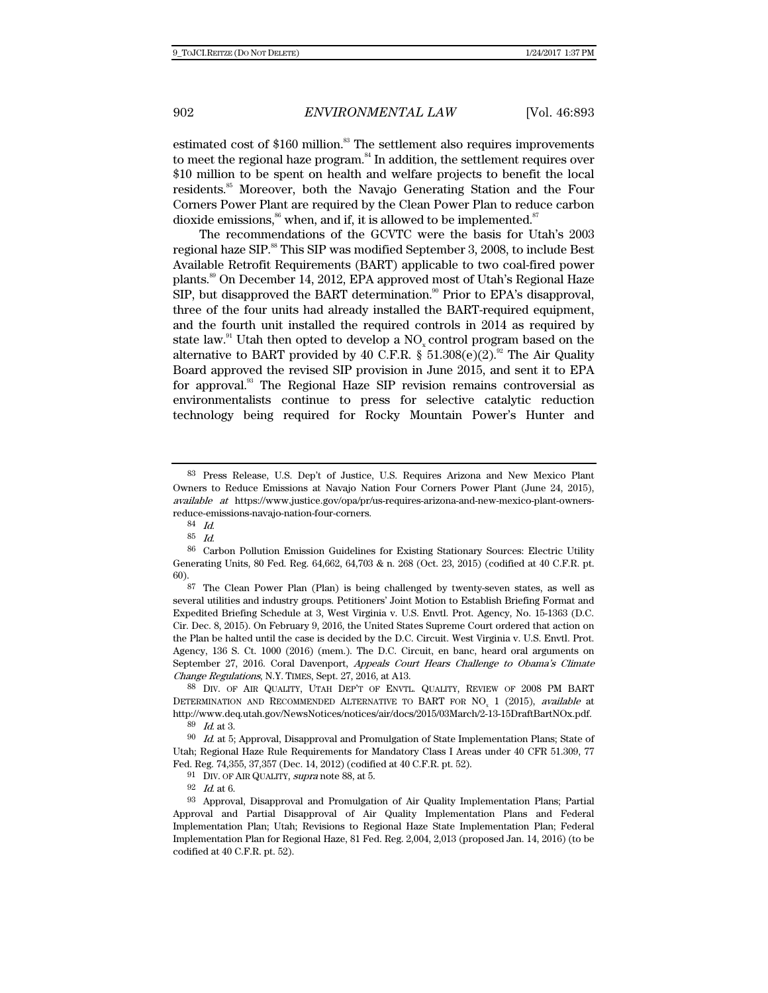estimated cost of  $$160$  million.<sup>83</sup> The settlement also requires improvements to meet the regional haze program.<sup>84</sup> In addition, the settlement requires over \$10 million to be spent on health and welfare projects to benefit the local residents.85 Moreover, both the Navajo Generating Station and the Four Corners Power Plant are required by the Clean Power Plan to reduce carbon dioxide emissions,  $86$  when, and if, it is allowed to be implemented.  $87$ 

The recommendations of the GCVTC were the basis for Utah's 2003 regional haze SIP.<sup>88</sup> This SIP was modified September 3, 2008, to include Best Available Retrofit Requirements (BART) applicable to two coal-fired power plants.89 On December 14, 2012, EPA approved most of Utah's Regional Haze  $SIP$ , but disapproved the BART determination.<sup>90</sup> Prior to EPA's disapproval, three of the four units had already installed the BART-required equipment, and the fourth unit installed the required controls in 2014 as required by state law. $91$  Utah then opted to develop a NO<sub>x</sub> control program based on the alternative to BART provided by 40 C.F.R.  $\hat{\S}$  51.308(e)(2).<sup>92</sup> The Air Quality Board approved the revised SIP provision in June 2015, and sent it to EPA for approval.<sup>33</sup> The Regional Haze SIP revision remains controversial as environmentalists continue to press for selective catalytic reduction technology being required for Rocky Mountain Power's Hunter and

<sup>83</sup> Press Release, U.S. Dep't of Justice, U.S. Requires Arizona and New Mexico Plant Owners to Reduce Emissions at Navajo Nation Four Corners Power Plant (June 24, 2015), available at https://www.justice.gov/opa/pr/us-requires-arizona-and-new-mexico-plant-ownersreduce-emissions-navajo-nation-four-corners.

<sup>84</sup> Id.

<sup>85</sup> Id.

<sup>86</sup> Carbon Pollution Emission Guidelines for Existing Stationary Sources: Electric Utility Generating Units, 80 Fed. Reg. 64,662, 64,703 & n. 268 (Oct. 23, 2015) (codified at 40 C.F.R. pt. 60).

<sup>87</sup> The Clean Power Plan (Plan) is being challenged by twenty-seven states, as well as several utilities and industry groups. Petitioners' Joint Motion to Establish Briefing Format and Expedited Briefing Schedule at 3, West Virginia v. U.S. Envtl. Prot. Agency, No. 15-1363 (D.C. Cir. Dec. 8, 2015). On February 9, 2016, the United States Supreme Court ordered that action on the Plan be halted until the case is decided by the D.C. Circuit. West Virginia v. U.S. Envtl. Prot. Agency, 136 S. Ct. 1000 (2016) (mem.). The D.C. Circuit, en banc, heard oral arguments on September 27, 2016. Coral Davenport, Appeals Court Hears Challenge to Obama's Climate Change Regulations, N.Y. TIMES, Sept. 27, 2016, at A13.

<sup>88</sup> DIV. OF AIR QUALITY, UTAH DEP'T OF ENVTL. QUALITY, REVIEW OF 2008 PM BART DETERMINATION AND RECOMMENDED ALTERNATIVE TO BART FOR  $NO_x$  1 (2015), available at http://www.deq.utah.gov/NewsNotices/notices/air/docs/2015/03March/2-13-15DraftBartNOx.pdf. 89 Id. at 3.

 $90$  *Id.* at 5; Approval, Disapproval and Promulgation of State Implementation Plans; State of Utah; Regional Haze Rule Requirements for Mandatory Class I Areas under 40 CFR 51.309, 77 Fed. Reg. 74,355, 37,357 (Dec. 14, 2012) (codified at 40 C.F.R. pt. 52).

 $^{91}\;$  DIV. OF AIR QUALITY, supra note 88, at 5.

<sup>92</sup> Id. at 6.

<sup>93</sup> Approval, Disapproval and Promulgation of Air Quality Implementation Plans; Partial Approval and Partial Disapproval of Air Quality Implementation Plans and Federal Implementation Plan; Utah; Revisions to Regional Haze State Implementation Plan; Federal Implementation Plan for Regional Haze, 81 Fed. Reg. 2,004, 2,013 (proposed Jan. 14, 2016) (to be codified at 40 C.F.R. pt. 52).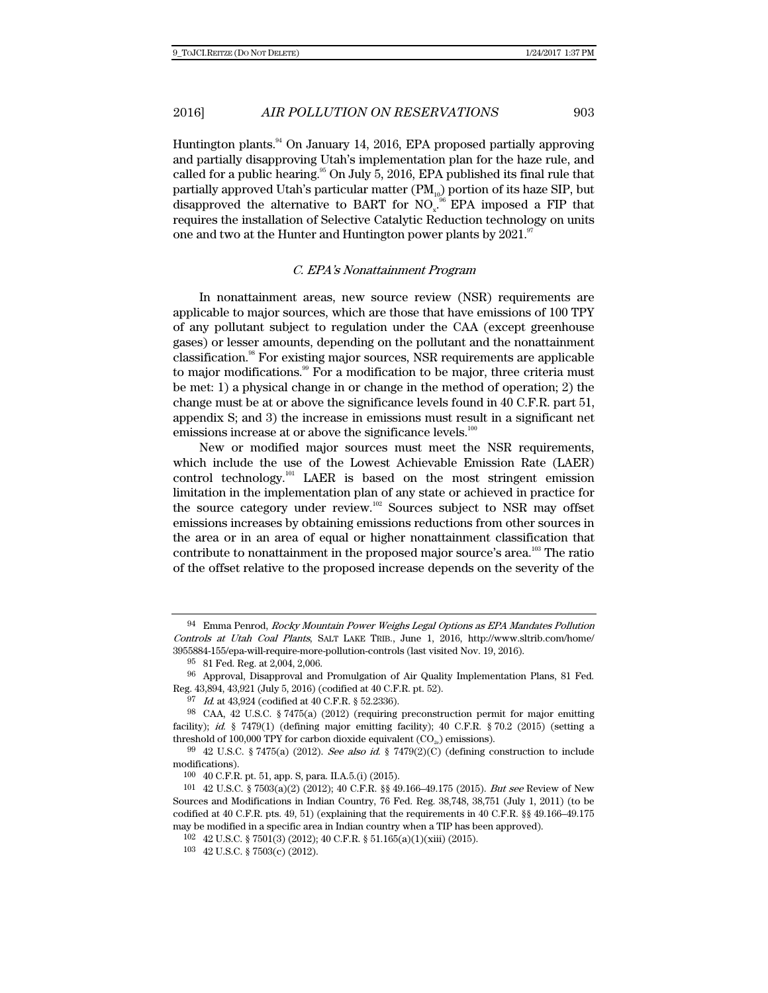Huntington plants.94 On January 14, 2016, EPA proposed partially approving and partially disapproving Utah's implementation plan for the haze rule, and called for a public hearing.<sup>95</sup> On July 5, 2016, EPA published its final rule that partially approved Utah's particular matter  $(PM_{10})$  portion of its haze SIP, but disapproved the alternative to BART for  $NO<sub>x</sub>$ <sup>96</sup> EPA imposed a FIP that requires the installation of Selective Catalytic Reduction technology on units one and two at the Hunter and Huntington power plants by  $2021$ .<sup>97</sup>

#### C. EPA's Nonattainment Program

In nonattainment areas, new source review (NSR) requirements are applicable to major sources, which are those that have emissions of 100 TPY of any pollutant subject to regulation under the CAA (except greenhouse gases) or lesser amounts, depending on the pollutant and the nonattainment classification.98 For existing major sources, NSR requirements are applicable to major modifications.<sup>99</sup> For a modification to be major, three criteria must be met: 1) a physical change in or change in the method of operation; 2) the change must be at or above the significance levels found in 40 C.F.R. part 51, appendix S; and 3) the increase in emissions must result in a significant net emissions increase at or above the significance levels.<sup>100</sup>

New or modified major sources must meet the NSR requirements, which include the use of the Lowest Achievable Emission Rate (LAER) control technology.<sup>101</sup> LAER is based on the most stringent emission limitation in the implementation plan of any state or achieved in practice for the source category under review.<sup>102</sup> Sources subject to NSR may offset emissions increases by obtaining emissions reductions from other sources in the area or in an area of equal or higher nonattainment classification that contribute to nonattainment in the proposed major source's area.<sup>103</sup> The ratio of the offset relative to the proposed increase depends on the severity of the

 $94$  Emma Penrod, Rocky Mountain Power Weighs Legal Options as EPA Mandates Pollution Controls at Utah Coal Plants, SALT LAKE TRIB., June 1, 2016, http://www.sltrib.com/home/ 3955884-155/epa-will-require-more-pollution-controls (last visited Nov. 19, 2016).

<sup>95 81</sup> Fed. Reg. at 2,004, 2,006.

<sup>96</sup> Approval, Disapproval and Promulgation of Air Quality Implementation Plans, 81 Fed. Reg. 43,894, 43,921 (July 5, 2016) (codified at 40 C.F.R. pt. 52).

<sup>97</sup> Id. at 43,924 (codified at 40 C.F.R. § 52.2336).

<sup>98</sup> CAA, 42 U.S.C. § 7475(a) (2012) (requiring preconstruction permit for major emitting facility); id.  $\S$  7479(1) (defining major emitting facility); 40 C.F.R.  $\S$  70.2 (2015) (setting a threshold of 100,000 TPY for carbon dioxide equivalent  $(CO_{2})$  emissions).

<sup>99 42</sup> U.S.C. § 7475(a) (2012). See also id. § 7479(2)(C) (defining construction to include modifications).

<sup>100 40</sup> C.F.R. pt. 51, app. S, para. II.A.5.(i) (2015).

<sup>101 42</sup> U.S.C. § 7503(a)(2) (2012); 40 C.F.R. §§ 49.166–49.175 (2015). But see Review of New Sources and Modifications in Indian Country, 76 Fed. Reg. 38,748, 38,751 (July 1, 2011) (to be codified at 40 C.F.R. pts. 49, 51) (explaining that the requirements in 40 C.F.R. §§ 49.166–49.175 may be modified in a specific area in Indian country when a TIP has been approved).

<sup>102 42</sup> U.S.C. § 7501(3) (2012); 40 C.F.R. § 51.165(a)(1)(xiii) (2015).

<sup>103 42</sup> U.S.C. § 7503(c) (2012).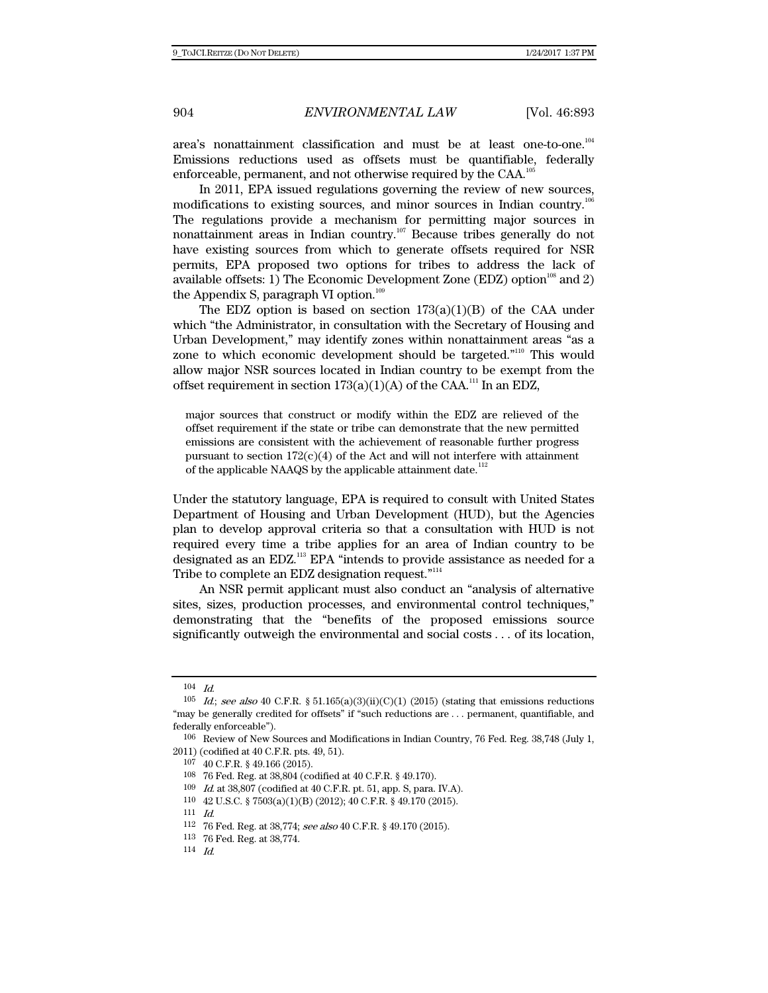area's nonattainment classification and must be at least one-to-one.<sup>104</sup> Emissions reductions used as offsets must be quantifiable, federally enforceable, permanent, and not otherwise required by the CAA.<sup>1</sup>

In 2011, EPA issued regulations governing the review of new sources, modifications to existing sources, and minor sources in Indian country.<sup>10</sup> The regulations provide a mechanism for permitting major sources in nonattainment areas in Indian country.<sup>107</sup> Because tribes generally do not have existing sources from which to generate offsets required for NSR permits, EPA proposed two options for tribes to address the lack of available offsets: 1) The Economic Development Zone (EDZ) option<sup>108</sup> and 2) the Appendix S, paragraph VI option. $109$ 

The EDZ option is based on section  $173(a)(1)(B)$  of the CAA under which "the Administrator, in consultation with the Secretary of Housing and Urban Development," may identify zones within nonattainment areas "as a zone to which economic development should be targeted."110 This would allow major NSR sources located in Indian country to be exempt from the offset requirement in section  $173(a)(1)(A)$  of the CAA.<sup>111</sup> In an EDZ,

major sources that construct or modify within the EDZ are relieved of the offset requirement if the state or tribe can demonstrate that the new permitted emissions are consistent with the achievement of reasonable further progress pursuant to section  $172(c)(4)$  of the Act and will not interfere with attainment of the applicable NAAQS by the applicable attainment date.<sup>11</sup>

Under the statutory language, EPA is required to consult with United States Department of Housing and Urban Development (HUD), but the Agencies plan to develop approval criteria so that a consultation with HUD is not required every time a tribe applies for an area of Indian country to be designated as an EDZ.<sup>113</sup> EPA "intends to provide assistance as needed for a Tribe to complete an EDZ designation request."<sup>114</sup>

An NSR permit applicant must also conduct an "analysis of alternative sites, sizes, production processes, and environmental control techniques," demonstrating that the "benefits of the proposed emissions source significantly outweigh the environmental and social costs . . . of its location,

 $104$  Id.

 $105$  *Id.; see also* 40 C.F.R. § 51.165(a)(3)(ii)(C)(1) (2015) (stating that emissions reductions "may be generally credited for offsets" if "such reductions are . . . permanent, quantifiable, and federally enforceable").

<sup>106</sup> Review of New Sources and Modifications in Indian Country, 76 Fed. Reg. 38,748 (July 1, 2011) (codified at 40 C.F.R. pts. 49, 51).

<sup>107 40</sup> C.F.R. § 49.166 (2015).

<sup>108 76</sup> Fed. Reg. at 38,804 (codified at 40 C.F.R. § 49.170). 109 Id. at 38,807 (codified at 40 C.F.R. pt. 51, app. S, para. IV.A).

<sup>110 42</sup> U.S.C. § 7503(a)(1)(B) (2012); 40 C.F.R. § 49.170 (2015). 111  $Id$ .

<sup>112 76</sup> Fed. Reg. at 38,774; see also 40 C.F.R. § 49.170 (2015).

<sup>113 76</sup> Fed. Reg. at 38,774.

<sup>114</sup> Id.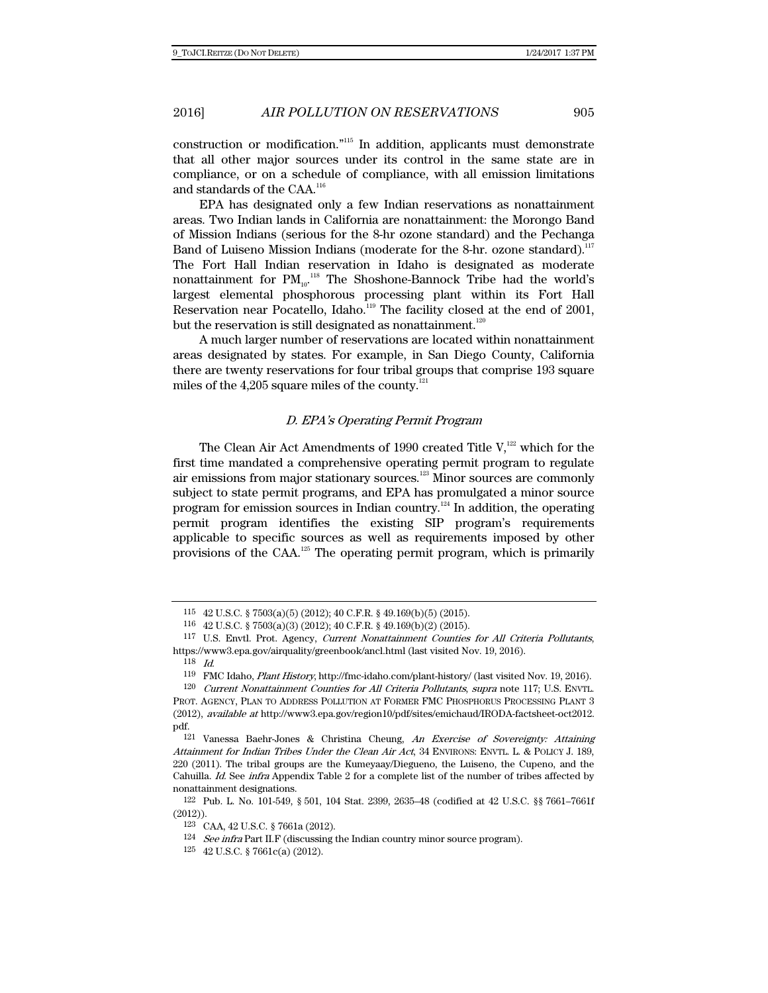construction or modification."115 In addition, applicants must demonstrate that all other major sources under its control in the same state are in compliance, or on a schedule of compliance, with all emission limitations and standards of the CAA.<sup>116</sup>

EPA has designated only a few Indian reservations as nonattainment areas. Two Indian lands in California are nonattainment: the Morongo Band of Mission Indians (serious for the 8-hr ozone standard) and the Pechanga Band of Luiseno Mission Indians (moderate for the 8-hr. ozone standard).<sup>117</sup> The Fort Hall Indian reservation in Idaho is designated as moderate nonattainment for  $PM_{10}$ .<sup>118</sup> The Shoshone-Bannock Tribe had the world's largest elemental phosphorous processing plant within its Fort Hall Reservation near Pocatello, Idaho.<sup>119</sup> The facility closed at the end of 2001, but the reservation is still designated as nonattainment.<sup>120</sup>

A much larger number of reservations are located within nonattainment areas designated by states. For example, in San Diego County, California there are twenty reservations for four tribal groups that comprise 193 square miles of the  $4,205$  square miles of the county.<sup>121</sup>

### D. EPA's Operating Permit Program

The Clean Air Act Amendments of 1990 created Title  $V,$ <sup>122</sup> which for the first time mandated a comprehensive operating permit program to regulate air emissions from major stationary sources.<sup>123</sup> Minor sources are commonly subject to state permit programs, and EPA has promulgated a minor source program for emission sources in Indian country.<sup>124</sup> In addition, the operating permit program identifies the existing SIP program's requirements applicable to specific sources as well as requirements imposed by other provisions of the CAA.125 The operating permit program, which is primarily

<sup>115 42</sup> U.S.C. § 7503(a)(5) (2012); 40 C.F.R. § 49.169(b)(5) (2015).

<sup>116 42</sup> U.S.C. § 7503(a)(3) (2012); 40 C.F.R. § 49.169(b)(2) (2015).

<sup>117</sup> U.S. Envtl. Prot. Agency, Current Nonattainment Counties for All Criteria Pollutants, https://www3.epa.gov/airquality/greenbook/ancl.html (last visited Nov. 19, 2016).

 $\frac{118}{119}$  *Id.* 

<sup>119</sup> FMC Idaho, Plant History, http://fmc-idaho.com/plant-history/ (last visited Nov. 19, 2016).

<sup>120</sup> Current Nonattainment Counties for All Criteria Pollutants, supra note 117; U.S. ENVTL. PROT. AGENCY, PLAN TO ADDRESS POLLUTION AT FORMER FMC PHOSPHORUS PROCESSING PLANT 3 (2012), available at http://www3.epa.gov/region10/pdf/sites/emichaud/IRODA-factsheet-oct2012. pdf.

 $121$  Vanessa Baehr-Jones & Christina Cheung, An Exercise of Sovereignty: Attaining Attainment for Indian Tribes Under the Clean Air Act, 34 ENVIRONS: ENVTL. L. & POLICY J. 189, 220 (2011). The tribal groups are the Kumeyaay/Diegueno, the Luiseno, the Cupeno, and the Cahuilla. Id. See infra Appendix Table 2 for a complete list of the number of tribes affected by nonattainment designations.

<sup>122</sup> Pub. L. No. 101-549, § 501, 104 Stat. 2399, 2635–48 (codified at 42 U.S.C. §§ 7661–7661f (2012)).

<sup>123</sup> CAA, 42 U.S.C. § 7661a (2012).

 $^{124}$   $\,$   $*infra* Part II. F (discussing the Indian country minor source program).$ 

<sup>125 42</sup> U.S.C. § 7661c(a) (2012).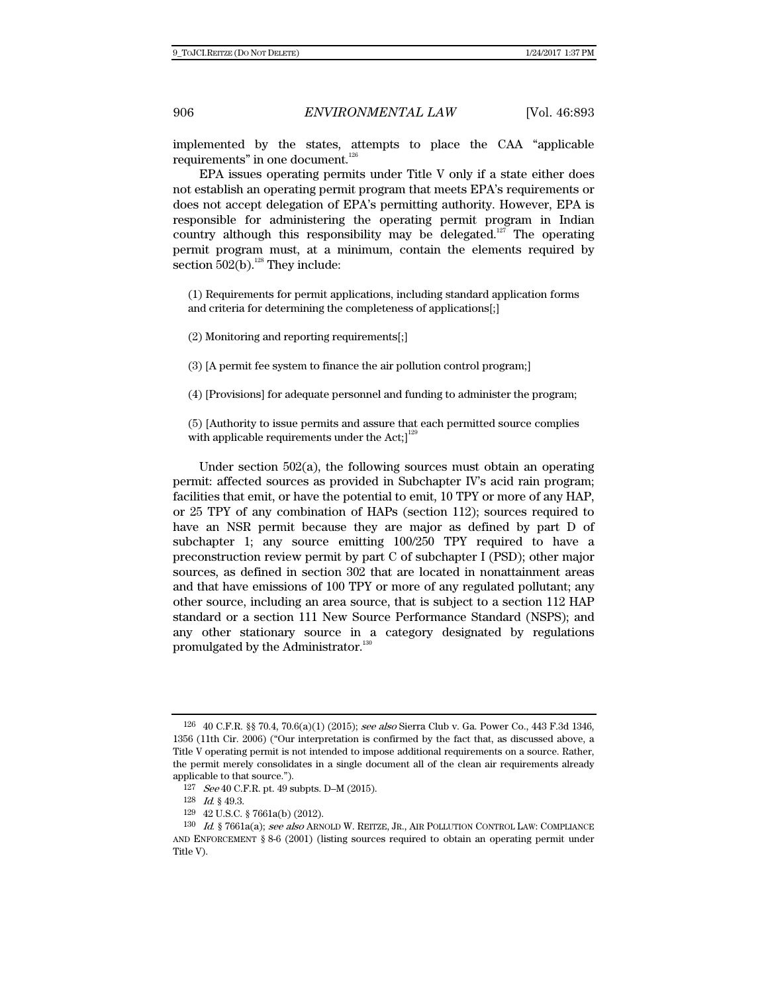implemented by the states, attempts to place the CAA "applicable requirements" in one document.<sup>126</sup>

EPA issues operating permits under Title V only if a state either does not establish an operating permit program that meets EPA's requirements or does not accept delegation of EPA's permitting authority. However, EPA is responsible for administering the operating permit program in Indian country although this responsibility may be delegated.<sup>127</sup> The operating permit program must, at a minimum, contain the elements required by section  $502(b)$ .<sup>128</sup> They include:

(1) Requirements for permit applications, including standard application forms and criteria for determining the completeness of applications[;]

(2) Monitoring and reporting requirements[;]

(3) [A permit fee system to finance the air pollution control program;]

(4) [Provisions] for adequate personnel and funding to administer the program;

(5) [Authority to issue permits and assure that each permitted source complies with applicable requirements under the Act; $l^{12}$ 

Under section 502(a), the following sources must obtain an operating permit: affected sources as provided in Subchapter IV's acid rain program; facilities that emit, or have the potential to emit, 10 TPY or more of any HAP, or 25 TPY of any combination of HAPs (section 112); sources required to have an NSR permit because they are major as defined by part D of subchapter 1; any source emitting 100/250 TPY required to have a preconstruction review permit by part C of subchapter I (PSD); other major sources, as defined in section 302 that are located in nonattainment areas and that have emissions of 100 TPY or more of any regulated pollutant; any other source, including an area source, that is subject to a section 112 HAP standard or a section 111 New Source Performance Standard (NSPS); and any other stationary source in a category designated by regulations promulgated by the Administrator.<sup>130</sup>

<sup>126 40</sup> C.F.R. §§ 70.4, 70.6(a)(1) (2015); see also Sierra Club v. Ga. Power Co., 443 F.3d 1346, 1356 (11th Cir. 2006) ("Our interpretation is confirmed by the fact that, as discussed above, a Title V operating permit is not intended to impose additional requirements on a source. Rather, the permit merely consolidates in a single document all of the clean air requirements already applicable to that source.").

<sup>127</sup> See 40 C.F.R. pt. 49 subpts. D–M (2015).

<sup>128</sup> Id. § 49.3.

<sup>129 42</sup> U.S.C. § 7661a(b) (2012).

<sup>130</sup> Id. § 7661a(a); see also ARNOLD W. REITZE, JR., AIR POLLUTION CONTROL LAW: COMPLIANCE AND ENFORCEMENT § 8-6 (2001) (listing sources required to obtain an operating permit under Title V).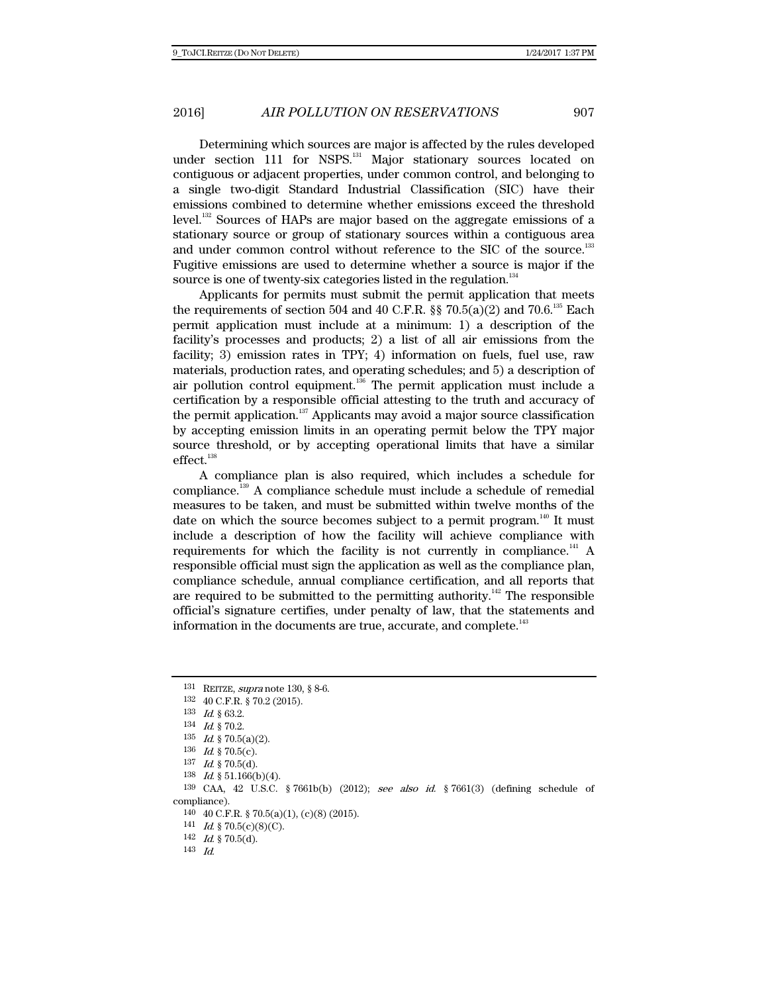Determining which sources are major is affected by the rules developed under section 111 for NSPS.<sup>131</sup> Major stationary sources located on contiguous or adjacent properties, under common control, and belonging to a single two-digit Standard Industrial Classification (SIC) have their emissions combined to determine whether emissions exceed the threshold level.132 Sources of HAPs are major based on the aggregate emissions of a stationary source or group of stationary sources within a contiguous area and under common control without reference to the SIC of the source.<sup>133</sup> Fugitive emissions are used to determine whether a source is major if the source is one of twenty-six categories listed in the regulation. $134$ 

Applicants for permits must submit the permit application that meets the requirements of section 504 and 40 C.F.R.  $\S$  70.5(a)(2) and 70.6.<sup>135</sup> Each permit application must include at a minimum: 1) a description of the facility's processes and products; 2) a list of all air emissions from the facility; 3) emission rates in TPY; 4) information on fuels, fuel use, raw materials, production rates, and operating schedules; and 5) a description of air pollution control equipment.<sup>136</sup> The permit application must include a certification by a responsible official attesting to the truth and accuracy of the permit application.<sup>137</sup> Applicants may avoid a major source classification by accepting emission limits in an operating permit below the TPY major source threshold, or by accepting operational limits that have a similar effect.<sup>138</sup>

A compliance plan is also required, which includes a schedule for compliance.139 A compliance schedule must include a schedule of remedial measures to be taken, and must be submitted within twelve months of the date on which the source becomes subject to a permit program.<sup>140</sup> It must include a description of how the facility will achieve compliance with requirements for which the facility is not currently in compliance.<sup>141</sup> A responsible official must sign the application as well as the compliance plan, compliance schedule, annual compliance certification, and all reports that are required to be submitted to the permitting authority.<sup>142</sup> The responsible official's signature certifies, under penalty of law, that the statements and information in the documents are true, accurate, and complete.<sup>143</sup>

142  $Id.$  § 70.5(d).

<sup>131</sup> REITZE, supra note 130, § 8-6.

<sup>132 40</sup> C.F.R. § 70.2 (2015).

<sup>133</sup> Id. § 63.2.

<sup>134</sup> Id. § 70.2.

 $135$  *Id.* § 70.5(a)(2).

<sup>136</sup> *Id.* § 70.5(c).

 $137$  *Id.* § 70.5(d).

<sup>138</sup> Id. § 51.166(b)(4).

<sup>139</sup> CAA, 42 U.S.C. § 7661b(b) (2012); see also id. § 7661(3) (defining schedule of compliance).

<sup>140 40</sup> C.F.R. § 70.5(a)(1), (c)(8) (2015).

<sup>141</sup> *Id.* § 70.5(c)(8)(C).

<sup>143</sup> Id.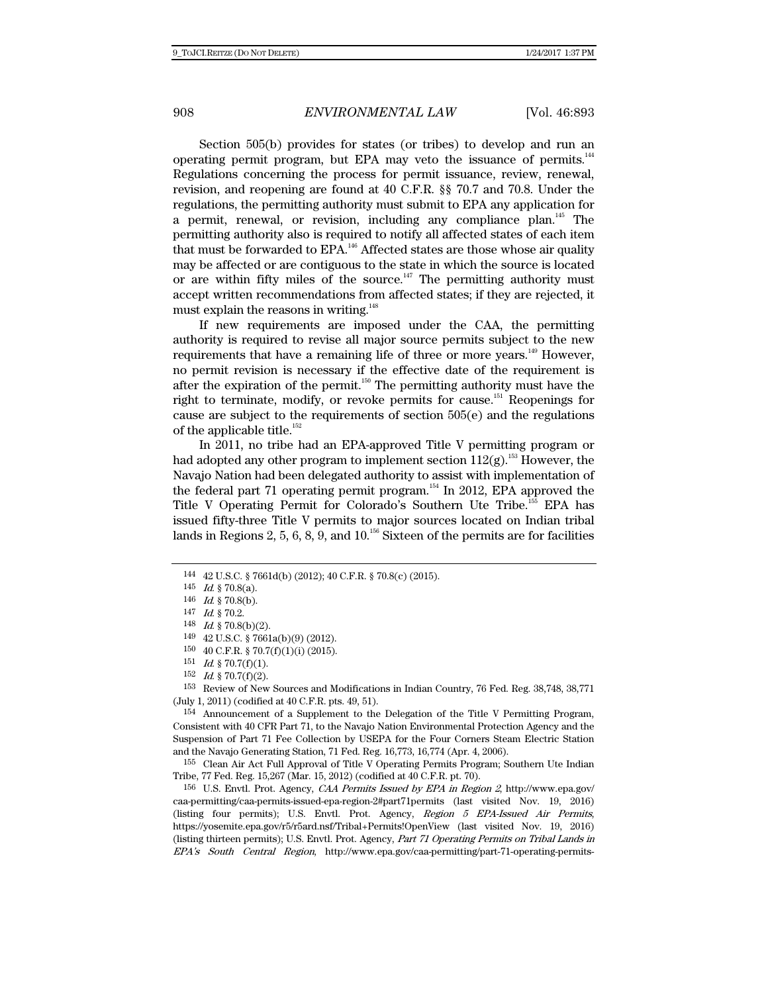Section 505(b) provides for states (or tribes) to develop and run an operating permit program, but EPA may veto the issuance of permits. $144$ Regulations concerning the process for permit issuance, review, renewal, revision, and reopening are found at 40 C.F.R. §§ 70.7 and 70.8. Under the regulations, the permitting authority must submit to EPA any application for a permit, renewal, or revision, including any compliance plan.145 The permitting authority also is required to notify all affected states of each item that must be forwarded to EPA.<sup>146</sup> Affected states are those whose air quality may be affected or are contiguous to the state in which the source is located or are within fifty miles of the source. $147$  The permitting authority must accept written recommendations from affected states; if they are rejected, it must explain the reasons in writing.<sup>148</sup>

If new requirements are imposed under the CAA, the permitting authority is required to revise all major source permits subject to the new requirements that have a remaining life of three or more years.<sup>149</sup> However, no permit revision is necessary if the effective date of the requirement is after the expiration of the permit.150 The permitting authority must have the right to terminate, modify, or revoke permits for cause.<sup>151</sup> Reopenings for cause are subject to the requirements of section 505(e) and the regulations of the applicable title. $152$ 

In 2011, no tribe had an EPA-approved Title V permitting program or had adopted any other program to implement section  $112(g)$ .<sup>153</sup> However, the Navajo Nation had been delegated authority to assist with implementation of the federal part 71 operating permit program.<sup>154</sup> In 2012, EPA approved the Title V Operating Permit for Colorado's Southern Ute Tribe.<sup>155</sup> EPA has issued fifty-three Title V permits to major sources located on Indian tribal lands in Regions 2, 5, 6, 8, 9, and  $10^{156}$  Sixteen of the permits are for facilities

 $152$  *Id.* § 70.7(f)(2).

153 Review of New Sources and Modifications in Indian Country, 76 Fed. Reg. 38,748, 38,771 (July 1, 2011) (codified at 40 C.F.R. pts. 49, 51).

154 Announcement of a Supplement to the Delegation of the Title V Permitting Program, Consistent with 40 CFR Part 71, to the Navajo Nation Environmental Protection Agency and the Suspension of Part 71 Fee Collection by USEPA for the Four Corners Steam Electric Station and the Navajo Generating Station, 71 Fed. Reg. 16,773, 16,774 (Apr. 4, 2006).

155 Clean Air Act Full Approval of Title V Operating Permits Program; Southern Ute Indian Tribe, 77 Fed. Reg. 15,267 (Mar. 15, 2012) (codified at 40 C.F.R. pt. 70).

156 U.S. Envtl. Prot. Agency, CAA Permits Issued by EPA in Region 2, http://www.epa.gov/ caa-permitting/caa-permits-issued-epa-region-2#part71permits (last visited Nov. 19, 2016) (listing four permits); U.S. Envtl. Prot. Agency, Region 5 EPA-Issued Air Permits, https://yosemite.epa.gov/r5/r5ard.nsf/Tribal+Permits!OpenView (last visited Nov. 19, 2016) (listing thirteen permits); U.S. Envtl. Prot. Agency, Part 71 Operating Permits on Tribal Lands in EPA's South Central Region, http://www.epa.gov/caa-permitting/part-71-operating-permits-

<sup>144 42</sup> U.S.C. § 7661d(b) (2012); 40 C.F.R. § 70.8(c) (2015).

<sup>145</sup>  $Id.$  § 70.8(a).

<sup>146</sup>  $Id.$  § 70.8(b).

<sup>147</sup> Id. § 70.2.

<sup>148</sup>  $Id. \S$  70.8(b)(2).

<sup>149 42</sup> U.S.C. § 7661a(b)(9) (2012).

<sup>150 40</sup> C.F.R. § 70.7(f)(1)(i) (2015).

<sup>151</sup>  $Id.$  § 70.7(f)(1).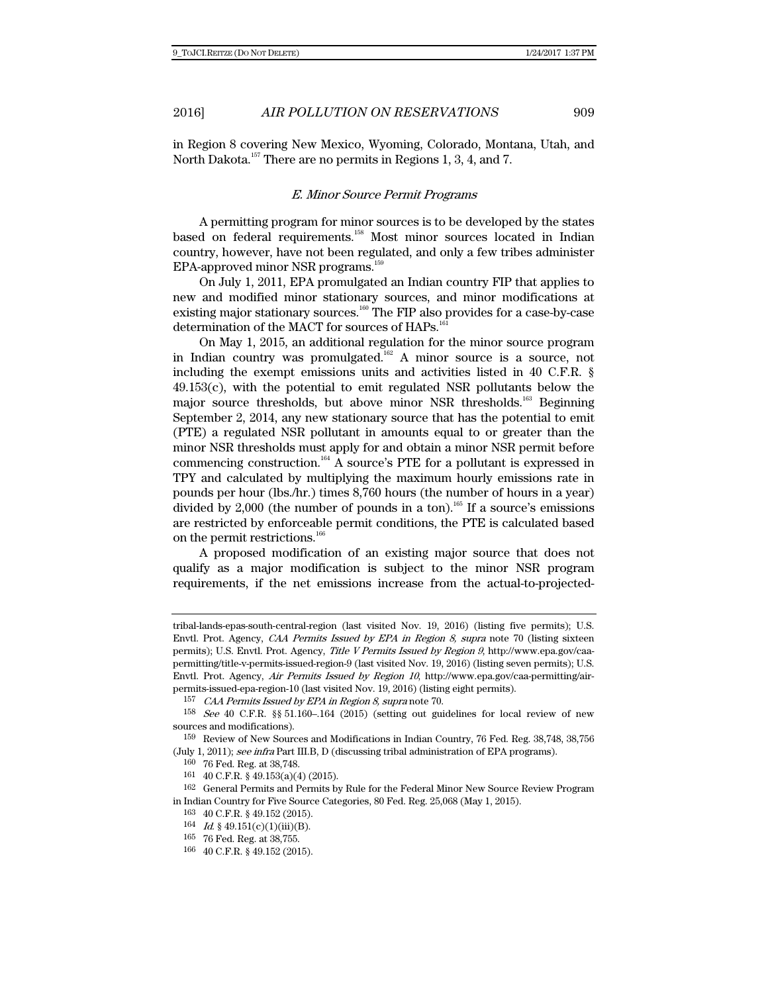in Region 8 covering New Mexico, Wyoming, Colorado, Montana, Utah, and North Dakota.<sup>157</sup> There are no permits in Regions 1, 3, 4, and 7.

### E. Minor Source Permit Programs

A permitting program for minor sources is to be developed by the states based on federal requirements.<sup>158</sup> Most minor sources located in Indian country, however, have not been regulated, and only a few tribes administer EPA-approved minor NSR programs.<sup>159</sup>

On July 1, 2011, EPA promulgated an Indian country FIP that applies to new and modified minor stationary sources, and minor modifications at existing major stationary sources.<sup>160</sup> The FIP also provides for a case-by-case determination of the MACT for sources of HAPs.<sup>16</sup>

On May 1, 2015, an additional regulation for the minor source program in Indian country was promulgated.<sup>162</sup> A minor source is a source, not including the exempt emissions units and activities listed in 40 C.F.R. §  $49.153(c)$ , with the potential to emit regulated NSR pollutants below the major source thresholds, but above minor NSR thresholds.<sup>163</sup> Beginning September 2, 2014, any new stationary source that has the potential to emit (PTE) a regulated NSR pollutant in amounts equal to or greater than the minor NSR thresholds must apply for and obtain a minor NSR permit before commencing construction.164 A source's PTE for a pollutant is expressed in TPY and calculated by multiplying the maximum hourly emissions rate in pounds per hour (lbs./hr.) times 8,760 hours (the number of hours in a year) divided by 2,000 (the number of pounds in a ton).<sup>165</sup> If a source's emissions are restricted by enforceable permit conditions, the PTE is calculated based on the permit restrictions.<sup>166</sup>

A proposed modification of an existing major source that does not qualify as a major modification is subject to the minor NSR program requirements, if the net emissions increase from the actual-to-projected-

tribal-lands-epas-south-central-region (last visited Nov. 19, 2016) (listing five permits); U.S. Envtl. Prot. Agency, CAA Permits Issued by EPA in Region 8, supra note 70 (listing sixteen permits); U.S. Envtl. Prot. Agency, Title V Permits Issued by Region 9, http://www.epa.gov/caapermitting/title-v-permits-issued-region-9 (last visited Nov. 19, 2016) (listing seven permits); U.S. Envtl. Prot. Agency, Air Permits Issued by Region 10, http://www.epa.gov/caa-permitting/airpermits-issued-epa-region-10 (last visited Nov. 19, 2016) (listing eight permits).

<sup>157</sup> CAA Permits Issued by EPA in Region 8, supra note 70.

<sup>158</sup> See 40 C.F.R. §§ 51.160–.164 (2015) (setting out guidelines for local review of new sources and modifications).

<sup>159</sup> Review of New Sources and Modifications in Indian Country, 76 Fed. Reg. 38,748, 38,756 (July 1, 2011); see infra Part III.B, D (discussing tribal administration of EPA programs).

<sup>160 76</sup> Fed. Reg. at 38,748.

<sup>161 40</sup> C.F.R. § 49.153(a)(4) (2015).

<sup>162</sup> General Permits and Permits by Rule for the Federal Minor New Source Review Program in Indian Country for Five Source Categories, 80 Fed. Reg. 25,068 (May 1, 2015).

<sup>163 40</sup> C.F.R. § 49.152 (2015).

<sup>164</sup> *Id.* § 49.151(c)(1)(iii)(B).

<sup>165 76</sup> Fed. Reg. at 38,755.

<sup>166 40</sup> C.F.R. § 49.152 (2015).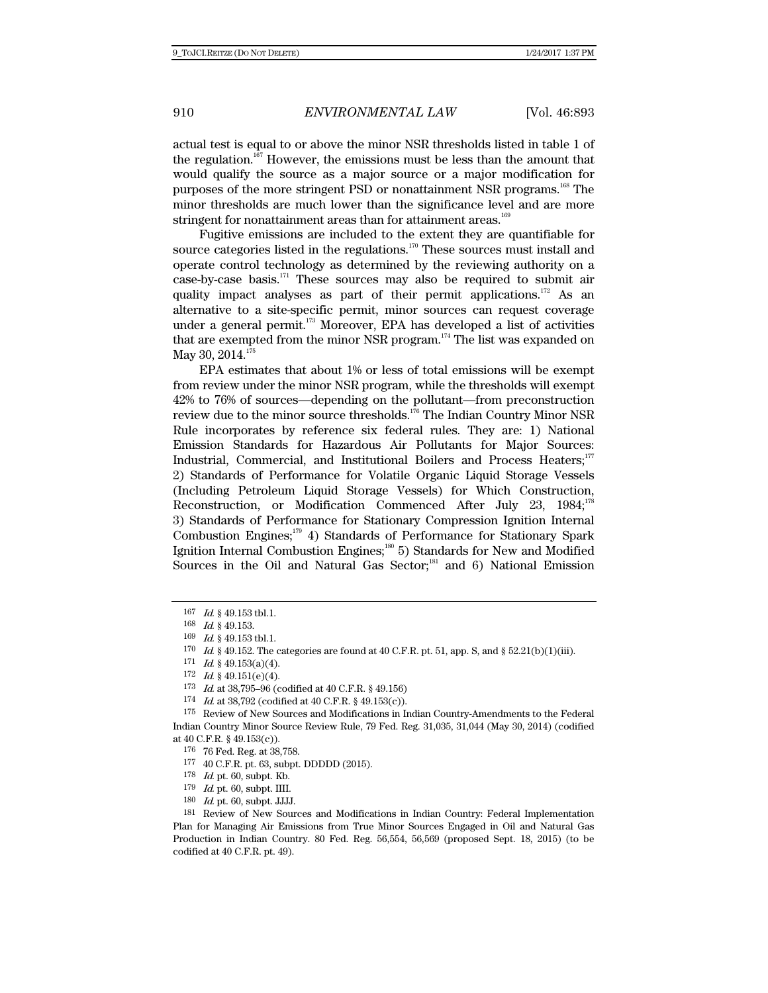actual test is equal to or above the minor NSR thresholds listed in table 1 of the regulation.<sup>167</sup> However, the emissions must be less than the amount that would qualify the source as a major source or a major modification for purposes of the more stringent PSD or nonattainment NSR programs.168 The minor thresholds are much lower than the significance level and are more stringent for nonattainment areas than for attainment areas. $169$ 

Fugitive emissions are included to the extent they are quantifiable for source categories listed in the regulations.<sup>170</sup> These sources must install and operate control technology as determined by the reviewing authority on a case-by-case basis. $171$  These sources may also be required to submit air quality impact analyses as part of their permit applications.<sup>172</sup> As an alternative to a site-specific permit, minor sources can request coverage under a general permit.<sup>173</sup> Moreover, EPA has developed a list of activities that are exempted from the minor NSR program.<sup>174</sup> The list was expanded on May 30, 2014. $17$ 

EPA estimates that about 1% or less of total emissions will be exempt from review under the minor NSR program, while the thresholds will exempt 42% to 76% of sources—depending on the pollutant—from preconstruction review due to the minor source thresholds.<sup>176</sup> The Indian Country Minor NSR Rule incorporates by reference six federal rules. They are: 1) National Emission Standards for Hazardous Air Pollutants for Major Sources: Industrial, Commercial, and Institutional Boilers and Process Heaters;<sup>177</sup> 2) Standards of Performance for Volatile Organic Liquid Storage Vessels (Including Petroleum Liquid Storage Vessels) for Which Construction, Reconstruction, or Modification Commenced After July 23, 1984;<sup>178</sup> 3) Standards of Performance for Stationary Compression Ignition Internal Combustion Engines;<sup>179</sup> 4) Standards of Performance for Stationary Spark Ignition Internal Combustion Engines;<sup>180</sup> 5) Standards for New and Modified Sources in the Oil and Natural Gas Sector; $181$  and 6) National Emission

<sup>167</sup> Id. § 49.153 tbl.1.

<sup>168</sup> Id. § 49.153.

<sup>169</sup> Id. § 49.153 tbl.1.

 $170$  *Id.* § 49.152. The categories are found at 40 C.F.R. pt. 51, app. S, and § 52.21(b)(1)(iii).

 $171$  *Id.* § 49.153(a)(4).

 $172$  *Id.* § 49.151(e)(4).

<sup>173</sup> Id. at 38,795–96 (codified at 40 C.F.R. § 49.156)

<sup>174</sup> *Id.* at 38,792 (codified at 40 C.F.R.  $§$  49.153(c)).

<sup>175</sup> Review of New Sources and Modifications in Indian Country-Amendments to the Federal Indian Country Minor Source Review Rule, 79 Fed. Reg. 31,035, 31,044 (May 30, 2014) (codified at 40 C.F.R. § 49.153(c)).

<sup>176 76</sup> Fed. Reg. at 38,758.

<sup>177 40</sup> C.F.R. pt. 63, subpt. DDDDD (2015).

 $^{178}$   $\,$   $Id.$  pt. 60, subpt. Kb.

 $^{179}$   $\,$   $Id.$  pt. 60, subpt. IIII.

<sup>180</sup> Id. pt. 60, subpt. JJJJ.

<sup>181</sup> Review of New Sources and Modifications in Indian Country: Federal Implementation Plan for Managing Air Emissions from True Minor Sources Engaged in Oil and Natural Gas Production in Indian Country. 80 Fed. Reg. 56,554, 56,569 (proposed Sept. 18, 2015) (to be codified at 40 C.F.R. pt. 49).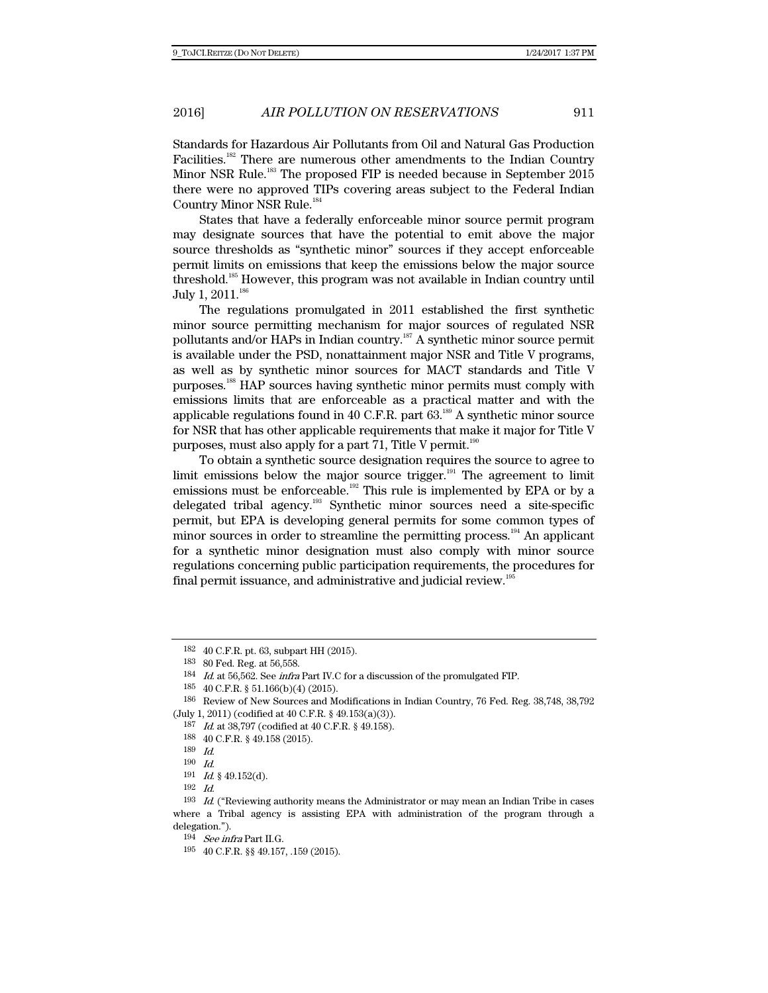Standards for Hazardous Air Pollutants from Oil and Natural Gas Production Facilities.<sup>182</sup> There are numerous other amendments to the Indian Country Minor NSR Rule.<sup>183</sup> The proposed FIP is needed because in September 2015 there were no approved TIPs covering areas subject to the Federal Indian Country Minor NSR Rule.184

States that have a federally enforceable minor source permit program may designate sources that have the potential to emit above the major source thresholds as "synthetic minor" sources if they accept enforceable permit limits on emissions that keep the emissions below the major source threshold.185 However, this program was not available in Indian country until July 1, 2011.<sup>186</sup>

The regulations promulgated in 2011 established the first synthetic minor source permitting mechanism for major sources of regulated NSR pollutants and/or HAPs in Indian country.187 A synthetic minor source permit is available under the PSD, nonattainment major NSR and Title V programs, as well as by synthetic minor sources for MACT standards and Title V purposes.188 HAP sources having synthetic minor permits must comply with emissions limits that are enforceable as a practical matter and with the applicable regulations found in 40 C.F.R. part  $63$ .<sup>189</sup> A synthetic minor source for NSR that has other applicable requirements that make it major for Title V purposes, must also apply for a part 71, Title V permit. $190$ 

To obtain a synthetic source designation requires the source to agree to limit emissions below the major source trigger.<sup>191</sup> The agreement to limit emissions must be enforceable.<sup>192</sup> This rule is implemented by EPA or by a delegated tribal agency.193 Synthetic minor sources need a site-specific permit, but EPA is developing general permits for some common types of minor sources in order to streamline the permitting process.<sup>194</sup> An applicant for a synthetic minor designation must also comply with minor source regulations concerning public participation requirements, the procedures for final permit issuance, and administrative and judicial review.<sup>19</sup>

<sup>182 40</sup> C.F.R. pt. 63, subpart HH (2015).

<sup>183 80</sup> Fed. Reg. at 56,558.

<sup>184</sup> Id. at 56,562. See infra Part IV.C for a discussion of the promulgated FIP.

<sup>185 40</sup> C.F.R. § 51.166(b)(4) (2015).

<sup>186</sup> Review of New Sources and Modifications in Indian Country, 76 Fed. Reg. 38,748, 38,792 (July 1, 2011) (codified at 40 C.F.R. § 49.153(a)(3)).

<sup>187</sup> Id. at 38,797 (codified at 40 C.F.R. § 49.158).

<sup>188 40</sup> C.F.R. § 49.158 (2015).

<sup>189</sup> Id.

<sup>190</sup> Id.

 $191$  *Id.* § 49.152(d).

 $192$  *Id.* 

 $193$  *Id.* ("Reviewing authority means the Administrator or may mean an Indian Tribe in cases where a Tribal agency is assisting EPA with administration of the program through a delegation.").

 $^{194}$   $\,$  See infra Part II.G.

<sup>195 40</sup> C.F.R. §§ 49.157, .159 (2015).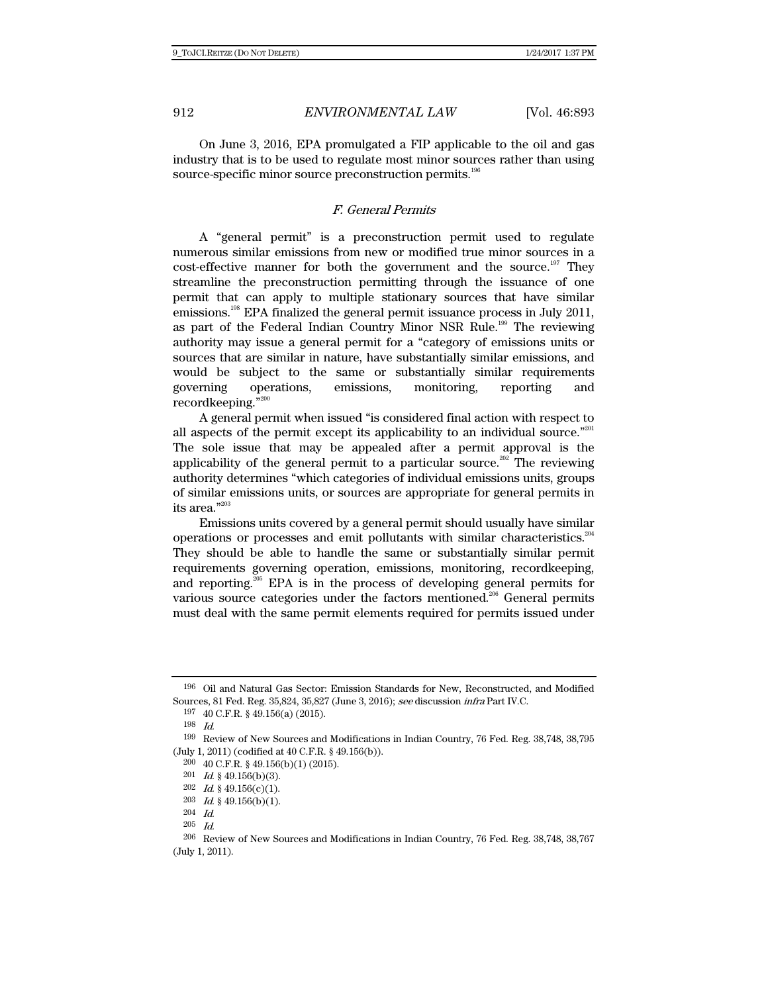On June 3, 2016, EPA promulgated a FIP applicable to the oil and gas industry that is to be used to regulate most minor sources rather than using source-specific minor source preconstruction permits.<sup>196</sup>

# F. General Permits

A "general permit" is a preconstruction permit used to regulate numerous similar emissions from new or modified true minor sources in a cost-effective manner for both the government and the source.<sup>197</sup> They streamline the preconstruction permitting through the issuance of one permit that can apply to multiple stationary sources that have similar emissions.198 EPA finalized the general permit issuance process in July 2011, as part of the Federal Indian Country Minor NSR Rule.199 The reviewing authority may issue a general permit for a "category of emissions units or sources that are similar in nature, have substantially similar emissions, and would be subject to the same or substantially similar requirements governing operations, emissions, monitoring, reporting and recordkeeping."200

A general permit when issued "is considered final action with respect to all aspects of the permit except its applicability to an individual source."<sup>201</sup> The sole issue that may be appealed after a permit approval is the applicability of the general permit to a particular source.<sup>202</sup> The reviewing authority determines "which categories of individual emissions units, groups of similar emissions units, or sources are appropriate for general permits in its area."203

Emissions units covered by a general permit should usually have similar operations or processes and emit pollutants with similar characteristics.<sup>204</sup> They should be able to handle the same or substantially similar permit requirements governing operation, emissions, monitoring, recordkeeping, and reporting.<sup>205</sup> EPA is in the process of developing general permits for various source categories under the factors mentioned.<sup>206</sup> General permits must deal with the same permit elements required for permits issued under

<sup>196</sup> Oil and Natural Gas Sector: Emission Standards for New, Reconstructed, and Modified Sources, 81 Fed. Reg. 35,824, 35,827 (June 3, 2016); see discussion infra Part IV.C.

<sup>197 40</sup> C.F.R. § 49.156(a) (2015).

<sup>198</sup> Id.

<sup>199</sup> Review of New Sources and Modifications in Indian Country, 76 Fed. Reg. 38,748, 38,795 (July 1, 2011) (codified at 40 C.F.R. § 49.156(b)).

<sup>200 40</sup> C.F.R. § 49.156(b)(1) (2015).

<sup>201</sup>  $Id.$  § 49.156(b)(3).

<sup>202</sup> Id. § 49.156(c)(1).

<sup>203</sup> Id. § 49.156(b)(1).

<sup>204</sup> Id.

 $205\quad \hbox{\it Id}.$ 

<sup>206</sup> Review of New Sources and Modifications in Indian Country, 76 Fed. Reg. 38,748, 38,767 (July 1, 2011).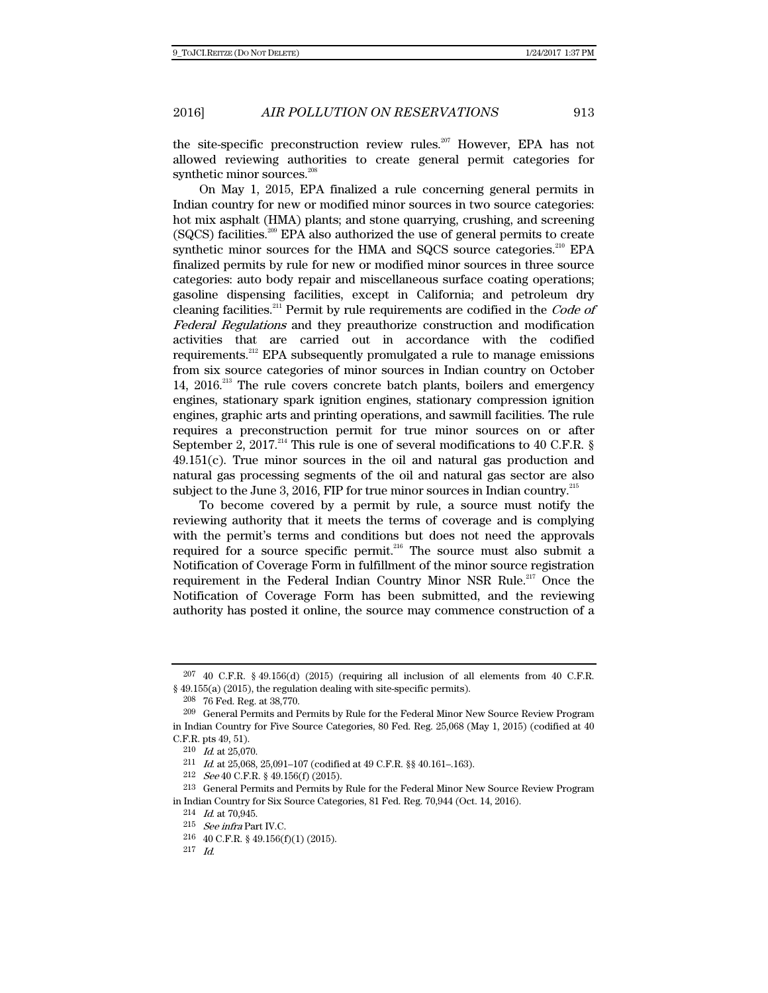the site-specific preconstruction review rules.<sup>207</sup> However, EPA has not allowed reviewing authorities to create general permit categories for synthetic minor sources.<sup>208</sup>

On May 1, 2015, EPA finalized a rule concerning general permits in Indian country for new or modified minor sources in two source categories: hot mix asphalt (HMA) plants; and stone quarrying, crushing, and screening (SQCS) facilities.209 EPA also authorized the use of general permits to create synthetic minor sources for the HMA and SQCS source categories.<sup>210</sup> EPA finalized permits by rule for new or modified minor sources in three source categories: auto body repair and miscellaneous surface coating operations; gasoline dispensing facilities, except in California; and petroleum dry cleaning facilities.<sup>211</sup> Permit by rule requirements are codified in the Code of Federal Regulations and they preauthorize construction and modification activities that are carried out in accordance with the codified requirements.212 EPA subsequently promulgated a rule to manage emissions from six source categories of minor sources in Indian country on October 14, 2016.<sup>213</sup> The rule covers concrete batch plants, boilers and emergency engines, stationary spark ignition engines, stationary compression ignition engines, graphic arts and printing operations, and sawmill facilities. The rule requires a preconstruction permit for true minor sources on or after September 2, 2017.<sup>214</sup> This rule is one of several modifications to 40 C.F.R. §  $49.151(c)$ . True minor sources in the oil and natural gas production and natural gas processing segments of the oil and natural gas sector are also subject to the June 3, 2016, FIP for true minor sources in Indian country.<sup>215</sup>

To become covered by a permit by rule, a source must notify the reviewing authority that it meets the terms of coverage and is complying with the permit's terms and conditions but does not need the approvals required for a source specific permit.<sup>216</sup> The source must also submit a Notification of Coverage Form in fulfillment of the minor source registration requirement in the Federal Indian Country Minor NSR Rule.<sup>217</sup> Once the Notification of Coverage Form has been submitted, and the reviewing authority has posted it online, the source may commence construction of a

<sup>207 40</sup> C.F.R. § 49.156(d) (2015) (requiring all inclusion of all elements from 40 C.F.R. § 49.155(a) (2015), the regulation dealing with site-specific permits).

<sup>208 76</sup> Fed. Reg. at 38,770.

<sup>209</sup> General Permits and Permits by Rule for the Federal Minor New Source Review Program in Indian Country for Five Source Categories, 80 Fed. Reg. 25,068 (May 1, 2015) (codified at 40 C.F.R. pts 49, 51).

<sup>210</sup> Id. at 25,070.

<sup>211</sup> Id. at 25,068, 25,091–107 (codified at 49 C.F.R. §§ 40.161–.163).

<sup>212</sup> See 40 C.F.R. § 49.156(f) (2015).

<sup>213</sup> General Permits and Permits by Rule for the Federal Minor New Source Review Program in Indian Country for Six Source Categories, 81 Fed. Reg. 70,944 (Oct. 14, 2016).

 $214$  *Id.* at 70,945.

<sup>215</sup> See infra Part IV.C.

<sup>216 40</sup> C.F.R. § 49.156(f)(1) (2015).

<sup>217</sup> Id.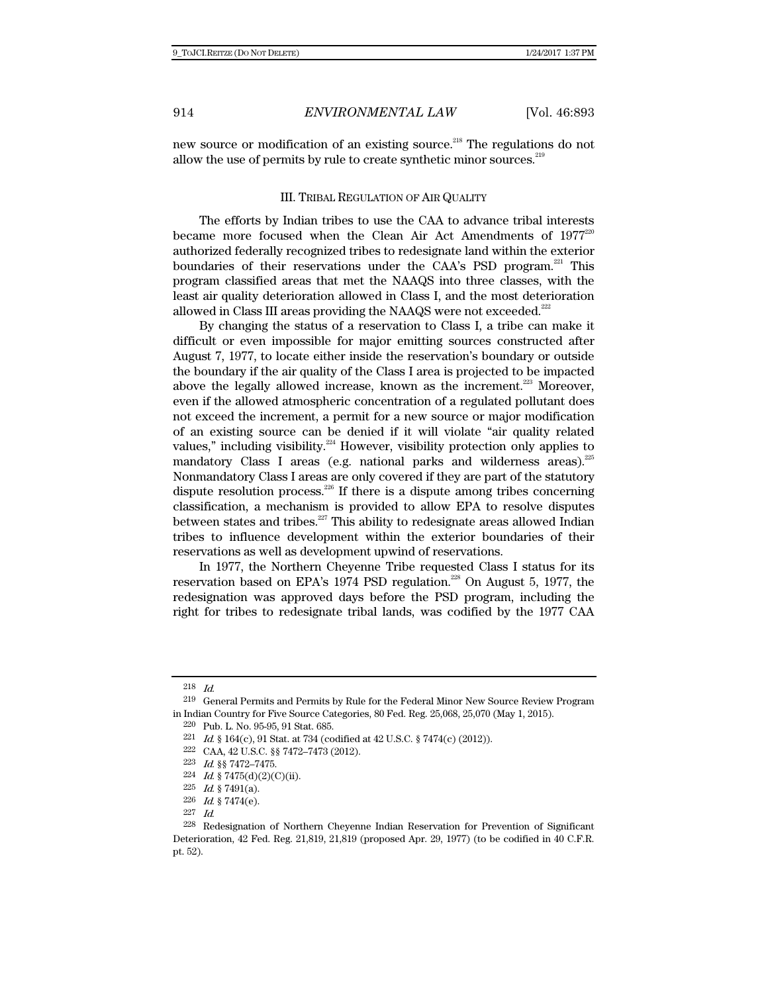new source or modification of an existing source.<sup>218</sup> The regulations do not allow the use of permits by rule to create synthetic minor sources.<sup>219</sup>

#### III. TRIBAL REGULATION OF AIR QUALITY

The efforts by Indian tribes to use the CAA to advance tribal interests became more focused when the Clean Air Act Amendments of  $1977^{220}$ authorized federally recognized tribes to redesignate land within the exterior boundaries of their reservations under the CAA's PSD program. $^{221}$  This program classified areas that met the NAAQS into three classes, with the least air quality deterioration allowed in Class I, and the most deterioration allowed in Class III areas providing the NAAQS were not exceeded.<sup> $^{222}$ </sup>

By changing the status of a reservation to Class I, a tribe can make it difficult or even impossible for major emitting sources constructed after August 7, 1977, to locate either inside the reservation's boundary or outside the boundary if the air quality of the Class I area is projected to be impacted above the legally allowed increase, known as the increment.<sup>223</sup> Moreover, even if the allowed atmospheric concentration of a regulated pollutant does not exceed the increment, a permit for a new source or major modification of an existing source can be denied if it will violate "air quality related values," including visibility.<sup>224</sup> However, visibility protection only applies to mandatory Class I areas (e.g. national parks and wilderness areas). $^{225}$ Nonmandatory Class I areas are only covered if they are part of the statutory dispute resolution process.<sup>226</sup> If there is a dispute among tribes concerning classification, a mechanism is provided to allow EPA to resolve disputes between states and tribes. $227$  This ability to redesignate areas allowed Indian tribes to influence development within the exterior boundaries of their reservations as well as development upwind of reservations.

In 1977, the Northern Cheyenne Tribe requested Class I status for its reservation based on EPA's 1974 PSD regulation.<sup>228</sup> On August 5, 1977, the redesignation was approved days before the PSD program, including the right for tribes to redesignate tribal lands, was codified by the 1977 CAA

<sup>218</sup> Id.

<sup>219</sup> General Permits and Permits by Rule for the Federal Minor New Source Review Program in Indian Country for Five Source Categories, 80 Fed. Reg. 25,068, 25,070 (May 1, 2015).

<sup>220</sup> Pub. L. No. 95-95, 91 Stat. 685.

<sup>&</sup>lt;sup>221</sup> *Id.* § 164(c), 91 Stat. at 734 (codified at 42 U.S.C. § 7474(c) (2012)).

<sup>222</sup> CAA, 42 U.S.C. §§ 7472–7473 (2012).

<sup>223</sup> Id. §§ 7472–7475.

 $224$  *Id.* § 7475(d)(2)(C)(ii).

<sup>225</sup> *Id.* § 7491(a).

<sup>226</sup> Id.  $§ 7474(e)$ .

<sup>227</sup> Id.

<sup>228</sup> Redesignation of Northern Cheyenne Indian Reservation for Prevention of Significant Deterioration, 42 Fed. Reg. 21,819, 21,819 (proposed Apr. 29, 1977) (to be codified in 40 C.F.R. pt. 52).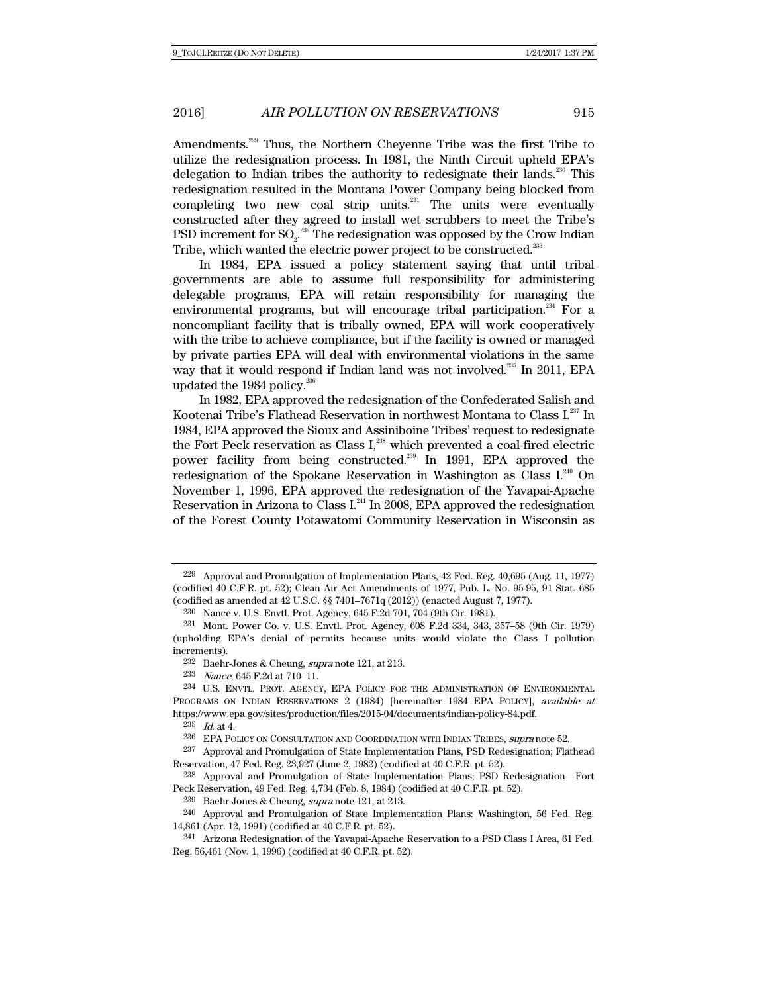Amendments.229 Thus, the Northern Cheyenne Tribe was the first Tribe to utilize the redesignation process. In 1981, the Ninth Circuit upheld EPA's delegation to Indian tribes the authority to redesignate their lands.<sup>230</sup> This redesignation resulted in the Montana Power Company being blocked from completing two new coal strip units.<sup>231</sup> The units were eventually constructed after they agreed to install wet scrubbers to meet the Tribe's PSD increment for  $\text{SO}_2$ .<sup>232</sup> The redesignation was opposed by the Crow Indian Tribe, which wanted the electric power project to be constructed.<sup>233</sup>

In 1984, EPA issued a policy statement saying that until tribal governments are able to assume full responsibility for administering delegable programs, EPA will retain responsibility for managing the environmental programs, but will encourage tribal participation.<sup>234</sup> For a noncompliant facility that is tribally owned, EPA will work cooperatively with the tribe to achieve compliance, but if the facility is owned or managed by private parties EPA will deal with environmental violations in the same way that it would respond if Indian land was not involved.<sup>235</sup> In 2011, EPA updated the 1984 policy. $236$ 

In 1982, EPA approved the redesignation of the Confederated Salish and Kootenai Tribe's Flathead Reservation in northwest Montana to Class I.237 In 1984, EPA approved the Sioux and Assiniboine Tribes' request to redesignate the Fort Peck reservation as Class  $I<sub>z</sub><sup>238</sup>$  which prevented a coal-fired electric power facility from being constructed.<sup>239</sup> In 1991, EPA approved the redesignation of the Spokane Reservation in Washington as Class I.<sup>240</sup> On November 1, 1996, EPA approved the redesignation of the Yavapai-Apache Reservation in Arizona to Class  $I<sup>241</sup>$  In 2008, EPA approved the redesignation of the Forest County Potawatomi Community Reservation in Wisconsin as

<sup>229</sup> Approval and Promulgation of Implementation Plans, 42 Fed. Reg. 40,695 (Aug. 11, 1977) (codified 40 C.F.R. pt. 52); Clean Air Act Amendments of 1977, Pub. L. No. 95-95, 91 Stat. 685 (codified as amended at 42 U.S.C. §§ 7401–7671q (2012)) (enacted August 7, 1977).

<sup>230</sup> Nance v. U.S. Envtl. Prot. Agency, 645 F.2d 701, 704 (9th Cir. 1981).

<sup>231</sup> Mont. Power Co. v. U.S. Envtl. Prot. Agency, 608 F.2d 334, 343, 357–58 (9th Cir. 1979) (upholding EPA's denial of permits because units would violate the Class I pollution increments).

<sup>232</sup> Baehr-Jones & Cheung, supra note 121, at 213.

<sup>233</sup> Nance, 645 F.2d at 710–11.

<sup>234</sup> U.S. ENVTL. PROT. AGENCY, EPA POLICY FOR THE ADMINISTRATION OF ENVIRONMENTAL PROGRAMS ON INDIAN RESERVATIONS 2 (1984) [hereinafter 1984 EPA POLICY], available at https://www.epa.gov/sites/production/files/2015-04/documents/indian-policy-84.pdf.

 $235$  *Id.* at 4.

<sup>&</sup>lt;sup>236</sup> EPA POLICY ON CONSULTATION AND COORDINATION WITH INDIAN TRIBES, *supra* note 52.

<sup>237</sup> Approval and Promulgation of State Implementation Plans, PSD Redesignation; Flathead Reservation, 47 Fed. Reg. 23,927 (June 2, 1982) (codified at 40 C.F.R. pt. 52).

<sup>238</sup> Approval and Promulgation of State Implementation Plans; PSD Redesignation—Fort Peck Reservation, 49 Fed. Reg. 4,734 (Feb. 8, 1984) (codified at 40 C.F.R. pt. 52).

<sup>&</sup>lt;sup>239</sup> Baehr-Jones & Cheung, *supra* note 121, at 213.

<sup>240</sup> Approval and Promulgation of State Implementation Plans: Washington, 56 Fed. Reg. 14,861 (Apr. 12, 1991) (codified at 40 C.F.R. pt. 52).

<sup>241</sup> Arizona Redesignation of the Yavapai-Apache Reservation to a PSD Class I Area, 61 Fed. Reg. 56,461 (Nov. 1, 1996) (codified at 40 C.F.R. pt. 52).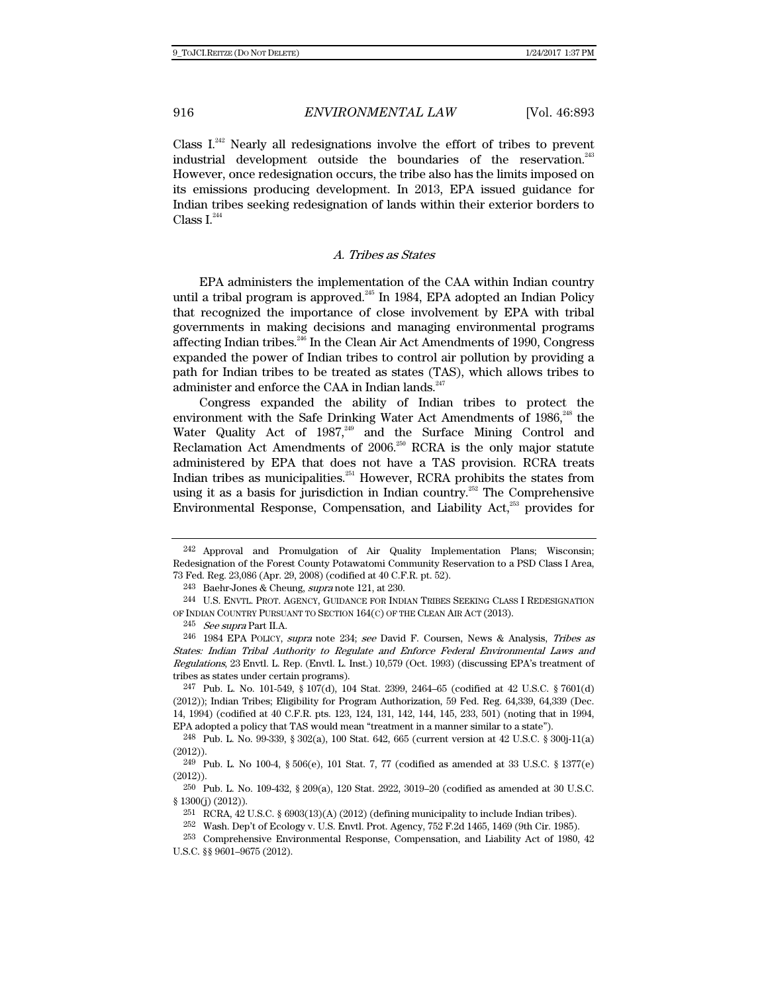Class  $I^{242}$  Nearly all redesignations involve the effort of tribes to prevent industrial development outside the boundaries of the reservation.<sup>243</sup> However, once redesignation occurs, the tribe also has the limits imposed on its emissions producing development. In 2013, EPA issued guidance for Indian tribes seeking redesignation of lands within their exterior borders to Class  $I^{244}$ 

## A. Tribes as States

EPA administers the implementation of the CAA within Indian country until a tribal program is approved.<sup>245</sup> In 1984, EPA adopted an Indian Policy that recognized the importance of close involvement by EPA with tribal governments in making decisions and managing environmental programs affecting Indian tribes.246 In the Clean Air Act Amendments of 1990, Congress expanded the power of Indian tribes to control air pollution by providing a path for Indian tribes to be treated as states (TAS), which allows tribes to administer and enforce the CAA in Indian lands.<sup>247</sup>

Congress expanded the ability of Indian tribes to protect the environment with the Safe Drinking Water Act Amendments of 1986,<sup>248</sup> the Water Quality Act of  $1987$ ,<sup>249</sup> and the Surface Mining Control and Reclamation Act Amendments of  $2006$ <sup>250</sup> RCRA is the only major statute administered by EPA that does not have a TAS provision. RCRA treats Indian tribes as municipalities.<sup>251</sup> However, RCRA prohibits the states from using it as a basis for jurisdiction in Indian country.<sup>252</sup> The Comprehensive Environmental Response, Compensation, and Liability Act, $^{253}$  provides for

<sup>242</sup> Approval and Promulgation of Air Quality Implementation Plans; Wisconsin; Redesignation of the Forest County Potawatomi Community Reservation to a PSD Class I Area, 73 Fed. Reg. 23,086 (Apr. 29, 2008) (codified at 40 C.F.R. pt. 52).

<sup>&</sup>lt;sup>243</sup> Baehr-Jones & Cheung, *supra* note 121, at 230.

<sup>244</sup> U.S. ENVTL. PROT. AGENCY, GUIDANCE FOR INDIAN TRIBES SEEKING CLASS I REDESIGNATION OF INDIAN COUNTRY PURSUANT TO SECTION 164(C) OF THE CLEAN AIR ACT (2013).

 $245$  See supra Part II.A.

<sup>246 1984</sup> EPA POLICY, supra note 234; see David F. Coursen, News & Analysis, Tribes as States: Indian Tribal Authority to Regulate and Enforce Federal Environmental Laws and Regulations, 23 Envtl. L. Rep. (Envtl. L. Inst.) 10,579 (Oct. 1993) (discussing EPA's treatment of tribes as states under certain programs).

<sup>247</sup> Pub. L. No. 101-549, § 107(d), 104 Stat. 2399, 2464–65 (codified at 42 U.S.C. § 7601(d) (2012)); Indian Tribes; Eligibility for Program Authorization, 59 Fed. Reg. 64,339, 64,339 (Dec. 14, 1994) (codified at 40 C.F.R. pts. 123, 124, 131, 142, 144, 145, 233, 501) (noting that in 1994, EPA adopted a policy that TAS would mean "treatment in a manner similar to a state").

<sup>248</sup> Pub. L. No. 99-339, § 302(a), 100 Stat. 642, 665 (current version at 42 U.S.C. § 300j-11(a) (2012)).

<sup>249</sup> Pub. L. No 100-4, § 506(e), 101 Stat. 7, 77 (codified as amended at 33 U.S.C. § 1377(e) (2012)).

<sup>250</sup> Pub. L. No. 109-432, § 209(a), 120 Stat. 2922, 3019–20 (codified as amended at 30 U.S.C. § 1300(j) (2012)).

<sup>&</sup>lt;sup>251</sup> RCRA, 42 U.S.C. § 6903(13)(A) (2012) (defining municipality to include Indian tribes).

<sup>252</sup> Wash. Dep't of Ecology v. U.S. Envtl. Prot. Agency, 752 F.2d 1465, 1469 (9th Cir. 1985).

<sup>253</sup> Comprehensive Environmental Response, Compensation, and Liability Act of 1980, 42 U.S.C. §§ 9601–9675 (2012).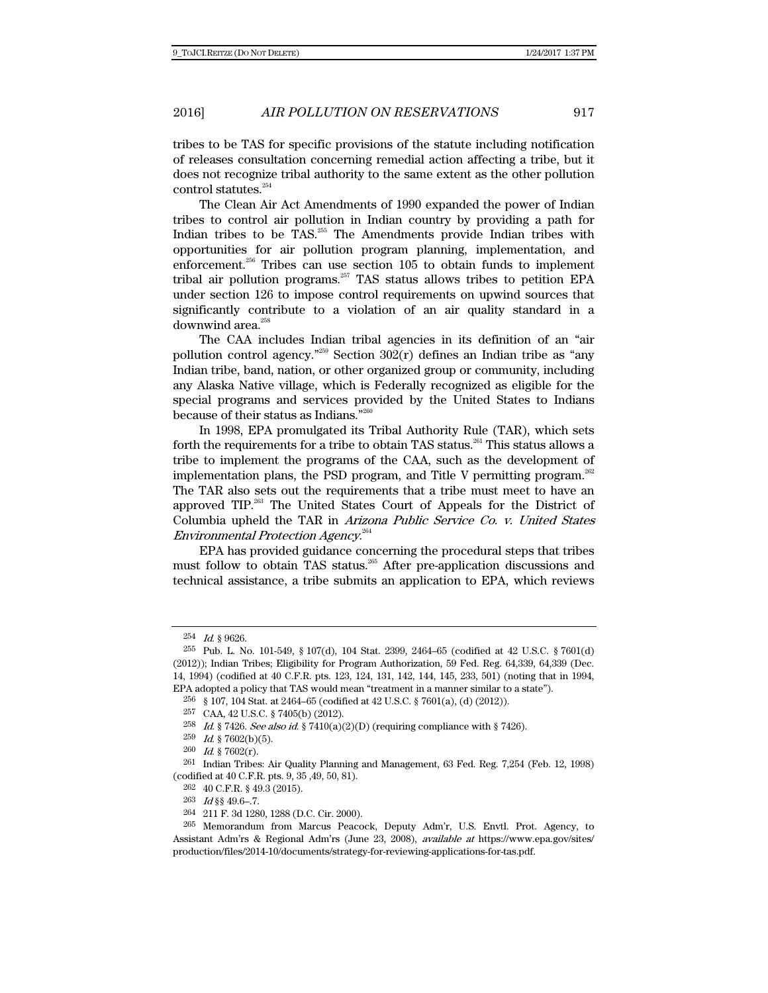tribes to be TAS for specific provisions of the statute including notification of releases consultation concerning remedial action affecting a tribe, but it does not recognize tribal authority to the same extent as the other pollution control statutes.<sup>254</sup>

The Clean Air Act Amendments of 1990 expanded the power of Indian tribes to control air pollution in Indian country by providing a path for Indian tribes to be TAS.<sup>255</sup> The Amendments provide Indian tribes with opportunities for air pollution program planning, implementation, and enforcement.<sup>256</sup> Tribes can use section  $105$  to obtain funds to implement tribal air pollution programs.<sup> $257$ </sup> TAS status allows tribes to petition EPA under section 126 to impose control requirements on upwind sources that significantly contribute to a violation of an air quality standard in a downwind area.<sup>258</sup>

The CAA includes Indian tribal agencies in its definition of an "air pollution control agency."<sup>259</sup> Section  $302(r)$  defines an Indian tribe as "any Indian tribe, band, nation, or other organized group or community, including any Alaska Native village, which is Federally recognized as eligible for the special programs and services provided by the United States to Indians because of their status as Indians."260

In 1998, EPA promulgated its Tribal Authority Rule (TAR), which sets forth the requirements for a tribe to obtain TAS status.<sup>261</sup> This status allows a tribe to implement the programs of the CAA, such as the development of implementation plans, the PSD program, and Title V permitting program.<sup>262</sup> The TAR also sets out the requirements that a tribe must meet to have an approved TIP.<sup>263</sup> The United States Court of Appeals for the District of Columbia upheld the TAR in Arizona Public Service Co. v. United States Environmental Protection Agency. 264

EPA has provided guidance concerning the procedural steps that tribes must follow to obtain TAS status.<sup>265</sup> After pre-application discussions and technical assistance, a tribe submits an application to EPA, which reviews

<sup>254</sup> Id. § 9626.

<sup>255</sup> Pub. L. No. 101-549, § 107(d), 104 Stat. 2399, 2464–65 (codified at 42 U.S.C. § 7601(d) (2012)); Indian Tribes; Eligibility for Program Authorization, 59 Fed. Reg. 64,339, 64,339 (Dec. 14, 1994) (codified at 40 C.F.R. pts. 123, 124, 131, 142, 144, 145, 233, 501) (noting that in 1994, EPA adopted a policy that TAS would mean "treatment in a manner similar to a state").

<sup>256 § 107, 104</sup> Stat. at 2464–65 (codified at 42 U.S.C. § 7601(a), (d) (2012)).

<sup>257</sup> CAA, 42 U.S.C. § 7405(b) (2012).

<sup>&</sup>lt;sup>258</sup> Id. § 7426. See also id. § 7410(a)(2)(D) (requiring compliance with § 7426).

 $259$  *Id.* § 7602(b)(5).

<sup>260</sup> Id. § 7602(r).

<sup>261</sup> Indian Tribes: Air Quality Planning and Management, 63 Fed. Reg. 7,254 (Feb. 12, 1998) (codified at 40 C.F.R. pts. 9, 35 ,49, 50, 81).

<sup>262 40</sup> C.F.R. § 49.3 (2015).

 $263$  *Id* §§ 49.6-.7.

<sup>264 211</sup> F. 3d 1280, 1288 (D.C. Cir. 2000).

<sup>265</sup> Memorandum from Marcus Peacock, Deputy Adm'r, U.S. Envtl. Prot. Agency, to Assistant Adm'rs & Regional Adm'rs (June 23, 2008), available at https://www.epa.gov/sites/ production/files/2014-10/documents/strategy-for-reviewing-applications-for-tas.pdf.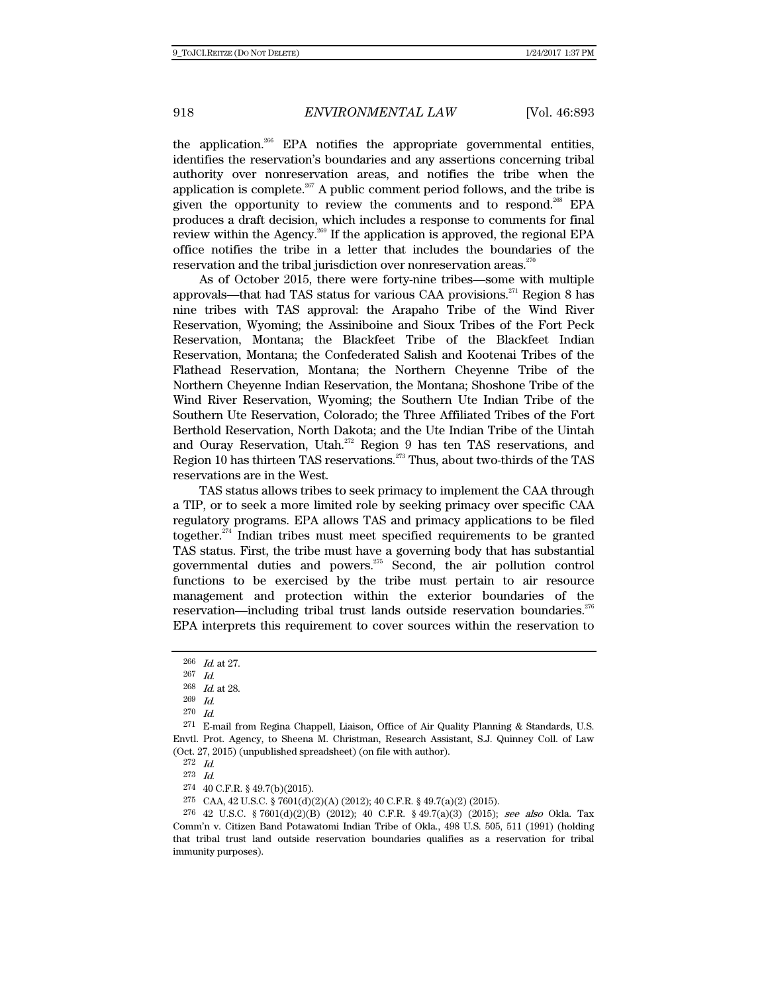the application.<sup>266</sup> EPA notifies the appropriate governmental entities, identifies the reservation's boundaries and any assertions concerning tribal authority over nonreservation areas, and notifies the tribe when the application is complete.<sup>267</sup> A public comment period follows, and the tribe is given the opportunity to review the comments and to respond.<sup>268</sup> EPA produces a draft decision, which includes a response to comments for final review within the Agency.269 If the application is approved, the regional EPA office notifies the tribe in a letter that includes the boundaries of the reservation and the tribal jurisdiction over nonreservation areas.<sup>270</sup>

As of October 2015, there were forty-nine tribes—some with multiple approvals—that had TAS status for various CAA provisions.<sup>271</sup> Region 8 has nine tribes with TAS approval: the Arapaho Tribe of the Wind River Reservation, Wyoming; the Assiniboine and Sioux Tribes of the Fort Peck Reservation, Montana; the Blackfeet Tribe of the Blackfeet Indian Reservation, Montana; the Confederated Salish and Kootenai Tribes of the Flathead Reservation, Montana; the Northern Cheyenne Tribe of the Northern Cheyenne Indian Reservation, the Montana; Shoshone Tribe of the Wind River Reservation, Wyoming; the Southern Ute Indian Tribe of the Southern Ute Reservation, Colorado; the Three Affiliated Tribes of the Fort Berthold Reservation, North Dakota; and the Ute Indian Tribe of the Uintah and Ouray Reservation, Utah.<sup>272</sup> Region 9 has ten TAS reservations, and Region 10 has thirteen TAS reservations.<sup>273</sup> Thus, about two-thirds of the TAS reservations are in the West.

TAS status allows tribes to seek primacy to implement the CAA through a TIP, or to seek a more limited role by seeking primacy over specific CAA regulatory programs. EPA allows TAS and primacy applications to be filed together. $274$  Indian tribes must meet specified requirements to be granted TAS status. First, the tribe must have a governing body that has substantial governmental duties and powers.275 Second, the air pollution control functions to be exercised by the tribe must pertain to air resource management and protection within the exterior boundaries of the reservation—including tribal trust lands outside reservation boundaries.<sup>276</sup> EPA interprets this requirement to cover sources within the reservation to

 $\frac{266}{267}$  *Id.* at 27.

 $\frac{267}{268}$  *Id.* Id. at 28.

<sup>269</sup> Id.

<sup>270</sup> Id.

<sup>271</sup> E-mail from Regina Chappell, Liaison, Office of Air Quality Planning & Standards, U.S. Envtl. Prot. Agency, to Sheena M. Christman, Research Assistant, S.J. Quinney Coll. of Law (Oct. 27, 2015) (unpublished spreadsheet) (on file with author).

<sup>272</sup> Id. 273 Id.

<sup>274 40</sup> C.F.R. § 49.7(b)(2015).

<sup>275</sup> CAA, 42 U.S.C. § 7601(d)(2)(A) (2012); 40 C.F.R. § 49.7(a)(2) (2015).

<sup>276 42</sup> U.S.C. § 7601(d)(2)(B) (2012); 40 C.F.R. § 49.7(a)(3) (2015); see also Okla. Tax Comm'n v. Citizen Band Potawatomi Indian Tribe of Okla., 498 U.S. 505, 511 (1991) (holding that tribal trust land outside reservation boundaries qualifies as a reservation for tribal immunity purposes).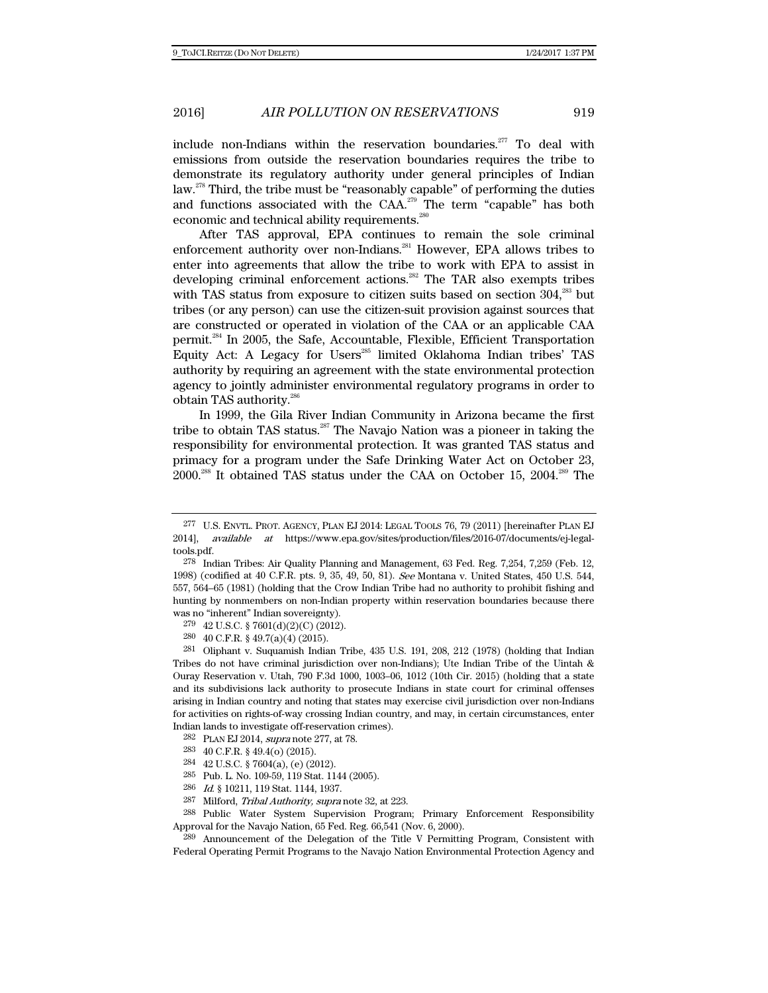include non-Indians within the reservation boundaries.<sup>277</sup> To deal with emissions from outside the reservation boundaries requires the tribe to demonstrate its regulatory authority under general principles of Indian law.278 Third, the tribe must be "reasonably capable" of performing the duties and functions associated with the CAA.<sup>279</sup> The term "capable" has both economic and technical ability requirements.<sup>280</sup>

After TAS approval, EPA continues to remain the sole criminal enforcement authority over non-Indians.<sup>281</sup> However, EPA allows tribes to enter into agreements that allow the tribe to work with EPA to assist in developing criminal enforcement actions.<sup>282</sup> The TAR also exempts tribes with TAS status from exposure to citizen suits based on section  $304$ <sup>283</sup> but tribes (or any person) can use the citizen-suit provision against sources that are constructed or operated in violation of the CAA or an applicable CAA permit.284 In 2005, the Safe, Accountable, Flexible, Efficient Transportation Equity Act: A Legacy for Users $^{285}$  limited Oklahoma Indian tribes' TAS authority by requiring an agreement with the state environmental protection agency to jointly administer environmental regulatory programs in order to obtain TAS authority.286

In 1999, the Gila River Indian Community in Arizona became the first tribe to obtain TAS status.<sup>287</sup> The Navajo Nation was a pioneer in taking the responsibility for environmental protection. It was granted TAS status and primacy for a program under the Safe Drinking Water Act on October 23, 2000.288 It obtained TAS status under the CAA on October 15, 2004.289 The

- 283 40 C.F.R. § 49.4(o) (2015).
- 284 42 U.S.C. § 7604(a), (e) (2012).
- 285 Pub. L. No. 109-59, 119 Stat. 1144 (2005).
- 286 Id. § 10211, 119 Stat. 1144, 1937.
- 287 Milford, Tribal Authority, supra note 32, at 223.

288 Public Water System Supervision Program; Primary Enforcement Responsibility Approval for the Navajo Nation, 65 Fed. Reg. 66,541 (Nov. 6, 2000).

289 Announcement of the Delegation of the Title V Permitting Program, Consistent with Federal Operating Permit Programs to the Navajo Nation Environmental Protection Agency and

<sup>277</sup> U.S. ENVTL. PROT. AGENCY, PLAN EJ 2014: LEGAL TOOLS 76, 79 (2011) [hereinafter PLAN EJ 2014], available at https://www.epa.gov/sites/production/files/2016-07/documents/ej-legaltools.pdf.

<sup>278</sup> Indian Tribes: Air Quality Planning and Management, 63 Fed. Reg. 7,254, 7,259 (Feb. 12, 1998) (codified at 40 C.F.R. pts. 9, 35, 49, 50, 81). See Montana v. United States, 450 U.S. 544, 557, 564–65 (1981) (holding that the Crow Indian Tribe had no authority to prohibit fishing and hunting by nonmembers on non-Indian property within reservation boundaries because there was no "inherent" Indian sovereignty).

<sup>279 42</sup> U.S.C. § 7601(d)(2)(C) (2012).

<sup>280 40</sup> C.F.R. § 49.7(a)(4) (2015).

<sup>281</sup> Oliphant v. Suquamish Indian Tribe, 435 U.S. 191, 208, 212 (1978) (holding that Indian Tribes do not have criminal jurisdiction over non-Indians); Ute Indian Tribe of the Uintah & Ouray Reservation v. Utah, 790 F.3d 1000, 1003–06, 1012 (10th Cir. 2015) (holding that a state and its subdivisions lack authority to prosecute Indians in state court for criminal offenses arising in Indian country and noting that states may exercise civil jurisdiction over non-Indians for activities on rights-of-way crossing Indian country, and may, in certain circumstances, enter Indian lands to investigate off-reservation crimes).

<sup>282</sup> PLAN EJ 2014, supra note 277, at 78.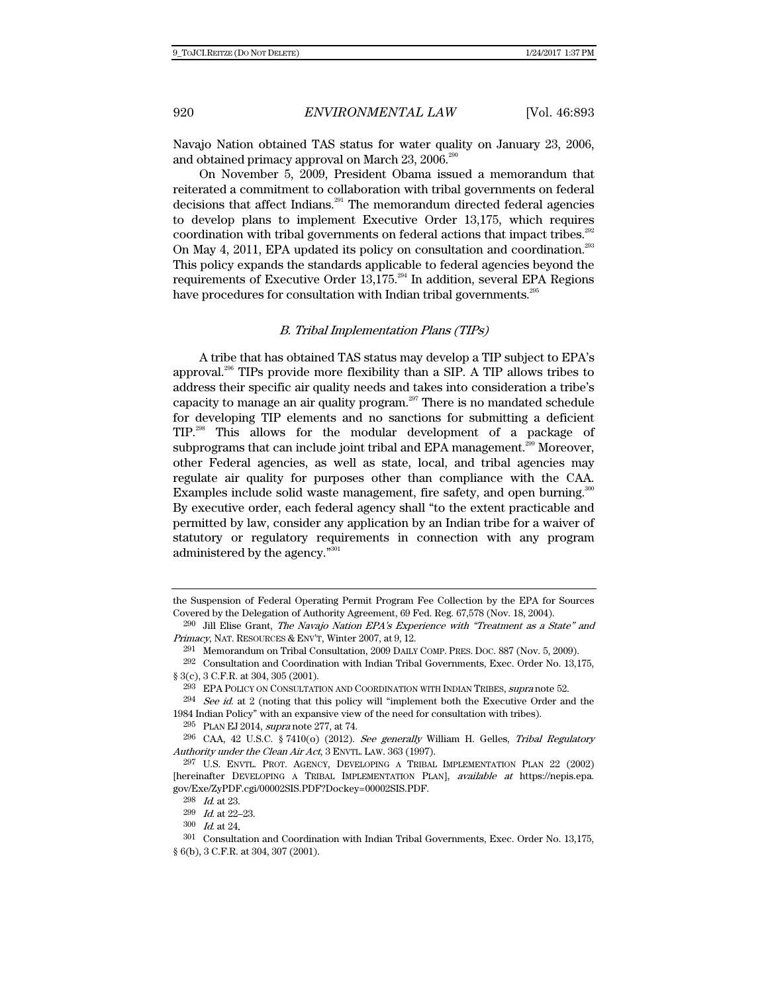Navajo Nation obtained TAS status for water quality on January 23, 2006, and obtained primacy approval on March 23, 2006.<sup>290</sup>

On November 5, 2009, President Obama issued a memorandum that reiterated a commitment to collaboration with tribal governments on federal decisions that affect Indians.<sup>291</sup> The memorandum directed federal agencies to develop plans to implement Executive Order 13,175, which requires coordination with tribal governments on federal actions that impact tribes.<sup>292</sup> On May 4, 2011, EPA updated its policy on consultation and coordination.<sup>293</sup> This policy expands the standards applicable to federal agencies beyond the requirements of Executive Order  $13,175.^{294}$  In addition, several EPA Regions have procedures for consultation with Indian tribal governments.<sup>295</sup>

## B. Tribal Implementation Plans (TIPs)

A tribe that has obtained TAS status may develop a TIP subject to EPA's approval.296 TIPs provide more flexibility than a SIP. A TIP allows tribes to address their specific air quality needs and takes into consideration a tribe's capacity to manage an air quality program.<sup>297</sup> There is no mandated schedule for developing TIP elements and no sanctions for submitting a deficient TIP.298 This allows for the modular development of a package of subprograms that can include joint tribal and EPA management.<sup>299</sup> Moreover, other Federal agencies, as well as state, local, and tribal agencies may regulate air quality for purposes other than compliance with the CAA. Examples include solid waste management, fire safety, and open burning.<sup>300</sup> By executive order, each federal agency shall "to the extent practicable and permitted by law, consider any application by an Indian tribe for a waiver of statutory or regulatory requirements in connection with any program administered by the agency."<sup>30</sup>

the Suspension of Federal Operating Permit Program Fee Collection by the EPA for Sources Covered by the Delegation of Authority Agreement, 69 Fed. Reg. 67,578 (Nov. 18, 2004).

 $^{290}$  Jill Elise Grant, The Navajo Nation EPA's Experience with "Treatment as a State" and Primacy, NAT. RESOURCES & ENV'T, Winter 2007, at 9, 12.

<sup>291</sup> Memorandum on Tribal Consultation, 2009 DAILY COMP. PRES. DOC. 887 (Nov. 5, 2009).

<sup>292</sup> Consultation and Coordination with Indian Tribal Governments, Exec. Order No. 13,175, § 3(c), 3 C.F.R. at 304, 305 (2001).

<sup>293</sup> EPA POLICY ON CONSULTATION AND COORDINATION WITH INDIAN TRIBES, supra note 52.

 $294$  See id. at 2 (noting that this policy will "implement both the Executive Order and the 1984 Indian Policy" with an expansive view of the need for consultation with tribes).

<sup>&</sup>lt;sup>295</sup> PLAN EJ 2014, *supra* note 277, at 74.<br><sup>296</sup> CAA, 42 U.S.C. § 7410(o) (2012). *See generally* William H. Gelles, *Tribal Regulatory* Authority under the Clean Air Act, 3 ENVTL. LAW. 363 (1997).

<sup>297</sup> U.S. ENVTL. PROT. AGENCY, DEVELOPING A TRIBAL IMPLEMENTATION PLAN 22 (2002) [hereinafter DEVELOPING A TRIBAL IMPLEMENTATION PLAN], available at https://nepis.epa. gov/Exe/ZyPDF.cgi/00002SIS.PDF?Dockey=00002SIS.PDF.

<sup>298</sup> Id. at 23.

<sup>299</sup> Id. at 22–23.

<sup>300</sup> Id. at 24.

<sup>301</sup> Consultation and Coordination with Indian Tribal Governments, Exec. Order No. 13,175, § 6(b), 3 C.F.R. at 304, 307 (2001).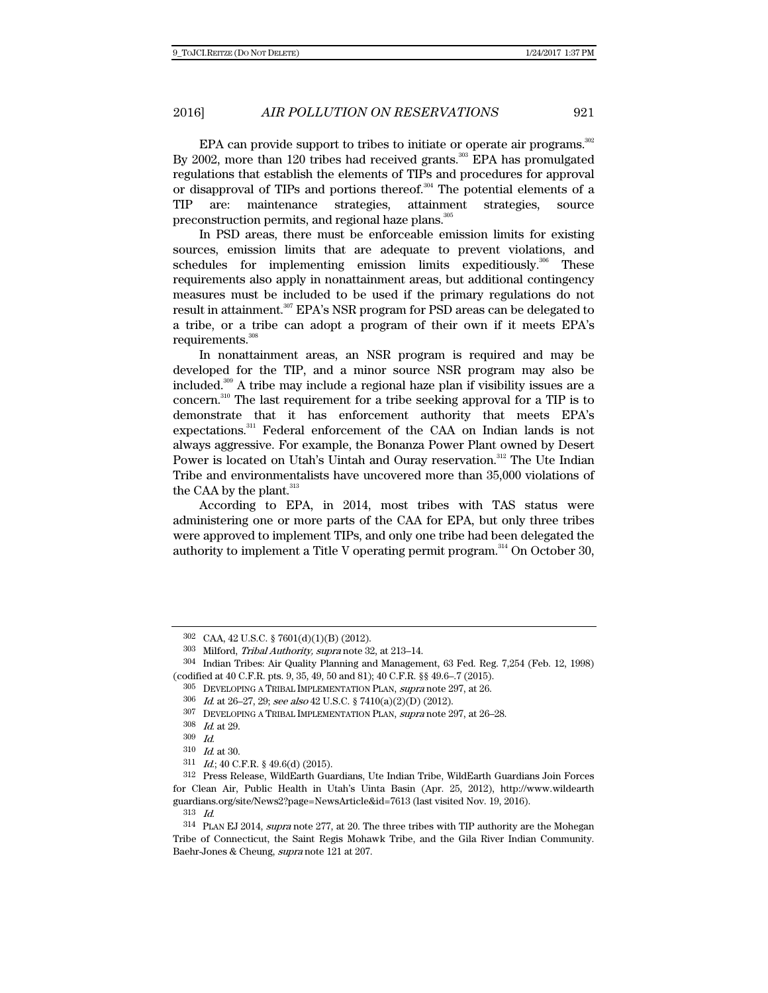EPA can provide support to tribes to initiate or operate air programs.<sup>302</sup> By 2002, more than 120 tribes had received grants.<sup>303</sup> EPA has promulgated regulations that establish the elements of TIPs and procedures for approval or disapproval of TIPs and portions thereof.<sup>304</sup> The potential elements of a TIP are: maintenance strategies, attainment strategies, source preconstruction permits, and regional haze plans.<sup>305</sup>

In PSD areas, there must be enforceable emission limits for existing sources, emission limits that are adequate to prevent violations, and schedules for implementing emission limits expeditiously. $306$  These requirements also apply in nonattainment areas, but additional contingency measures must be included to be used if the primary regulations do not result in attainment.<sup>307</sup> EPA's NSR program for PSD areas can be delegated to a tribe, or a tribe can adopt a program of their own if it meets EPA's requirements.<sup>308</sup>

In nonattainment areas, an NSR program is required and may be developed for the TIP, and a minor source NSR program may also be included.309 A tribe may include a regional haze plan if visibility issues are a concern.310 The last requirement for a tribe seeking approval for a TIP is to demonstrate that it has enforcement authority that meets EPA's expectations.<sup>311</sup> Federal enforcement of the CAA on Indian lands is not always aggressive. For example, the Bonanza Power Plant owned by Desert Power is located on Utah's Uintah and Ouray reservation.<sup>312</sup> The Ute Indian Tribe and environmentalists have uncovered more than 35,000 violations of the CAA by the plant.<sup>313</sup>

According to EPA, in 2014, most tribes with TAS status were administering one or more parts of the CAA for EPA, but only three tribes were approved to implement TIPs, and only one tribe had been delegated the authority to implement a Title V operating permit program.<sup>314</sup> On October 30,

305 DEVELOPING A TRIBAL IMPLEMENTATION PLAN, supra note 297, at 26.

<sup>302</sup> CAA, 42 U.S.C. § 7601(d)(1)(B) (2012).

<sup>303</sup> Milford, Tribal Authority, supra note 32, at 213–14.

<sup>304</sup> Indian Tribes: Air Quality Planning and Management, 63 Fed. Reg. 7,254 (Feb. 12, 1998) (codified at 40 C.F.R. pts. 9, 35, 49, 50 and 81); 40 C.F.R. §§ 49.6–.7 (2015).

<sup>306</sup> Id. at 26–27, 29; see also 42 U.S.C. § 7410(a)(2)(D) (2012).

<sup>307</sup> DEVELOPING A TRIBAL IMPLEMENTATION PLAN, supra note 297, at 26–28.

 $\frac{308}{309}$  *Id.* at 29.

 $Id$ .

<sup>310</sup> Id. at 30.

<sup>311</sup> Id.; 40 C.F.R. § 49.6(d) (2015).

<sup>312</sup> Press Release, WildEarth Guardians, Ute Indian Tribe, WildEarth Guardians Join Forces for Clean Air, Public Health in Utah's Uinta Basin (Apr. 25, 2012), http://www.wildearth guardians.org/site/News2?page=NewsArticle&id=7613 (last visited Nov. 19, 2016).

<sup>313</sup> Id.

<sup>314</sup> PLAN EJ 2014, supra note 277, at 20. The three tribes with TIP authority are the Mohegan Tribe of Connecticut, the Saint Regis Mohawk Tribe, and the Gila River Indian Community. Baehr-Jones & Cheung, supra note 121 at 207.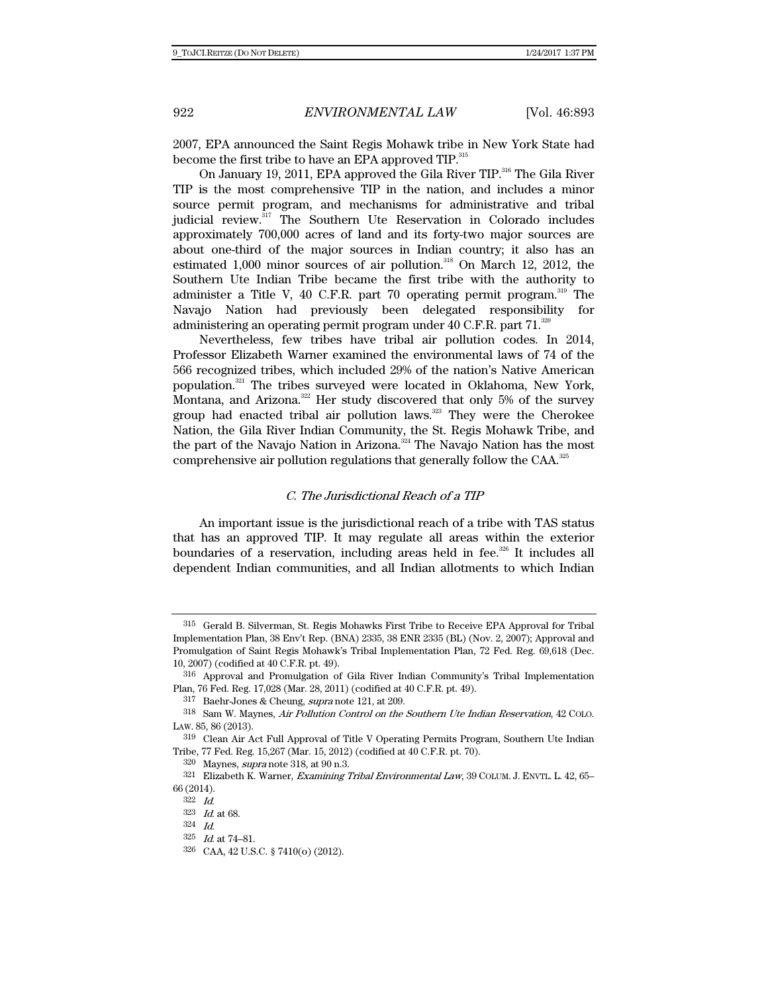2007, EPA announced the Saint Regis Mohawk tribe in New York State had become the first tribe to have an EPA approved TIP.<sup>315</sup>

On January 19, 2011, EPA approved the Gila River TIP.<sup>316</sup> The Gila River TIP is the most comprehensive TIP in the nation, and includes a minor source permit program, and mechanisms for administrative and tribal judicial review.<sup>317</sup> The Southern Ute Reservation in Colorado includes approximately 700,000 acres of land and its forty-two major sources are about one-third of the major sources in Indian country; it also has an estimated 1,000 minor sources of air pollution.<sup>318</sup> On March 12, 2012, the Southern Ute Indian Tribe became the first tribe with the authority to administer a Title V, 40 C.F.R. part 70 operating permit program. $^{319}$  The Navajo Nation had previously been delegated responsibility for administering an operating permit program under 40 C.F.R. part 71.<sup>320</sup>

Nevertheless, few tribes have tribal air pollution codes. In 2014, Professor Elizabeth Warner examined the environmental laws of 74 of the 566 recognized tribes, which included 29% of the nation's Native American population.321 The tribes surveyed were located in Oklahoma, New York, Montana, and Arizona.<sup>322</sup> Her study discovered that only 5% of the survey group had enacted tribal air pollution laws. $323$  They were the Cherokee Nation, the Gila River Indian Community, the St. Regis Mohawk Tribe, and the part of the Navajo Nation in Arizona.<sup>324</sup> The Navajo Nation has the most comprehensive air pollution regulations that generally follow the CAA.325

# C. The Jurisdictional Reach of a TIP

An important issue is the jurisdictional reach of a tribe with TAS status that has an approved TIP. It may regulate all areas within the exterior boundaries of a reservation, including areas held in fee. $226$  It includes all dependent Indian communities, and all Indian allotments to which Indian

<sup>315</sup> Gerald B. Silverman, St. Regis Mohawks First Tribe to Receive EPA Approval for Tribal Implementation Plan, 38 Env't Rep. (BNA) 2335, 38 ENR 2335 (BL) (Nov. 2, 2007); Approval and Promulgation of Saint Regis Mohawk's Tribal Implementation Plan, 72 Fed. Reg. 69,618 (Dec. 10, 2007) (codified at 40 C.F.R. pt. 49).

<sup>316</sup> Approval and Promulgation of Gila River Indian Community's Tribal Implementation Plan, 76 Fed. Reg. 17,028 (Mar. 28, 2011) (codified at 40 C.F.R. pt. 49).

<sup>317</sup> Baehr-Jones & Cheung, supra note 121, at 209.

<sup>318</sup> Sam W. Maynes, Air Pollution Control on the Southern Ute Indian Reservation, 42 COLO. LAW. 85, 86 (2013).

<sup>319</sup> Clean Air Act Full Approval of Title V Operating Permits Program, Southern Ute Indian Tribe, 77 Fed. Reg. 15,267 (Mar. 15, 2012) (codified at 40 C.F.R. pt. 70).

<sup>320</sup> Maynes, supra note 318, at 90 n.3.

<sup>321</sup> Elizabeth K. Warner, Examining Tribal Environmental Law, 39 COLUM. J. ENVTL. L. 42, 65-66 (2014).

<sup>322</sup> Id.

<sup>323</sup> Id. at 68.

<sup>324</sup> Id.

<sup>325</sup> Id. at 74–81.

<sup>326</sup> CAA, 42 U.S.C. § 7410(o) (2012).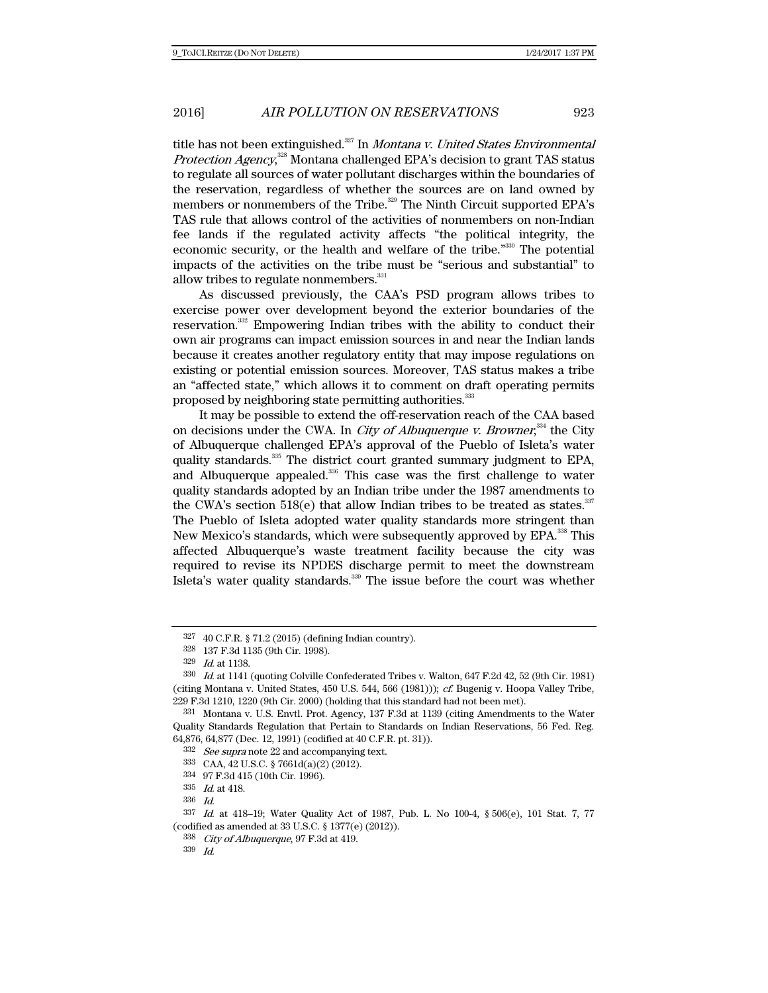title has not been extinguished. $327$  In *Montana v. United States Environmental* Protection Agency,<sup>328</sup> Montana challenged EPA's decision to grant TAS status to regulate all sources of water pollutant discharges within the boundaries of the reservation, regardless of whether the sources are on land owned by members or nonmembers of the Tribe.<sup>329</sup> The Ninth Circuit supported EPA's TAS rule that allows control of the activities of nonmembers on non-Indian fee lands if the regulated activity affects "the political integrity, the economic security, or the health and welfare of the tribe."330 The potential impacts of the activities on the tribe must be "serious and substantial" to allow tribes to regulate nonmembers.<sup>331</sup>

As discussed previously, the CAA's PSD program allows tribes to exercise power over development beyond the exterior boundaries of the reservation.<sup>332</sup> Empowering Indian tribes with the ability to conduct their own air programs can impact emission sources in and near the Indian lands because it creates another regulatory entity that may impose regulations on existing or potential emission sources. Moreover, TAS status makes a tribe an "affected state," which allows it to comment on draft operating permits proposed by neighboring state permitting authorities.<sup>333</sup>

It may be possible to extend the off-reservation reach of the CAA based on decisions under the CWA. In *City of Albuquerque v. Browner*,<sup>334</sup> the City of Albuquerque challenged EPA's approval of the Pueblo of Isleta's water quality standards.<sup>335</sup> The district court granted summary judgment to EPA, and Albuquerque appealed. $336$  This case was the first challenge to water quality standards adopted by an Indian tribe under the 1987 amendments to the CWA's section  $518(e)$  that allow Indian tribes to be treated as states.<sup>337</sup> The Pueblo of Isleta adopted water quality standards more stringent than New Mexico's standards, which were subsequently approved by EPA.<sup>338</sup> This affected Albuquerque's waste treatment facility because the city was required to revise its NPDES discharge permit to meet the downstream Isleta's water quality standards.<sup>339</sup> The issue before the court was whether

<sup>327 40</sup> C.F.R. § 71.2 (2015) (defining Indian country).

<sup>328 137</sup> F.3d 1135 (9th Cir. 1998).

<sup>329</sup> Id. at 1138.

<sup>330</sup> Id. at 1141 (quoting Colville Confederated Tribes v. Walton, 647 F.2d 42, 52 (9th Cir. 1981) (citing Montana v. United States, 450 U.S. 544, 566 (1981))); cf. Bugenig v. Hoopa Valley Tribe, 229 F.3d 1210, 1220 (9th Cir. 2000) (holding that this standard had not been met).

<sup>331</sup> Montana v. U.S. Envtl. Prot. Agency, 137 F.3d at 1139 (citing Amendments to the Water Quality Standards Regulation that Pertain to Standards on Indian Reservations, 56 Fed. Reg. 64,876, 64,877 (Dec. 12, 1991) (codified at 40 C.F.R. pt. 31)).

<sup>332</sup> See supra note 22 and accompanying text.

<sup>333</sup> CAA, 42 U.S.C. § 7661d(a)(2) (2012).

<sup>334 97</sup> F.3d 415 (10th Cir. 1996).

<sup>335</sup> Id. at 418.

<sup>336</sup> Id.

<sup>337</sup> Id. at 418–19; Water Quality Act of 1987, Pub. L. No 100-4, § 506(e), 101 Stat. 7, 77 (codified as amended at 33 U.S.C. § 1377(e) (2012)).

<sup>338</sup> City of Albuquerque, 97 F.3d at 419.

<sup>339</sup> Id.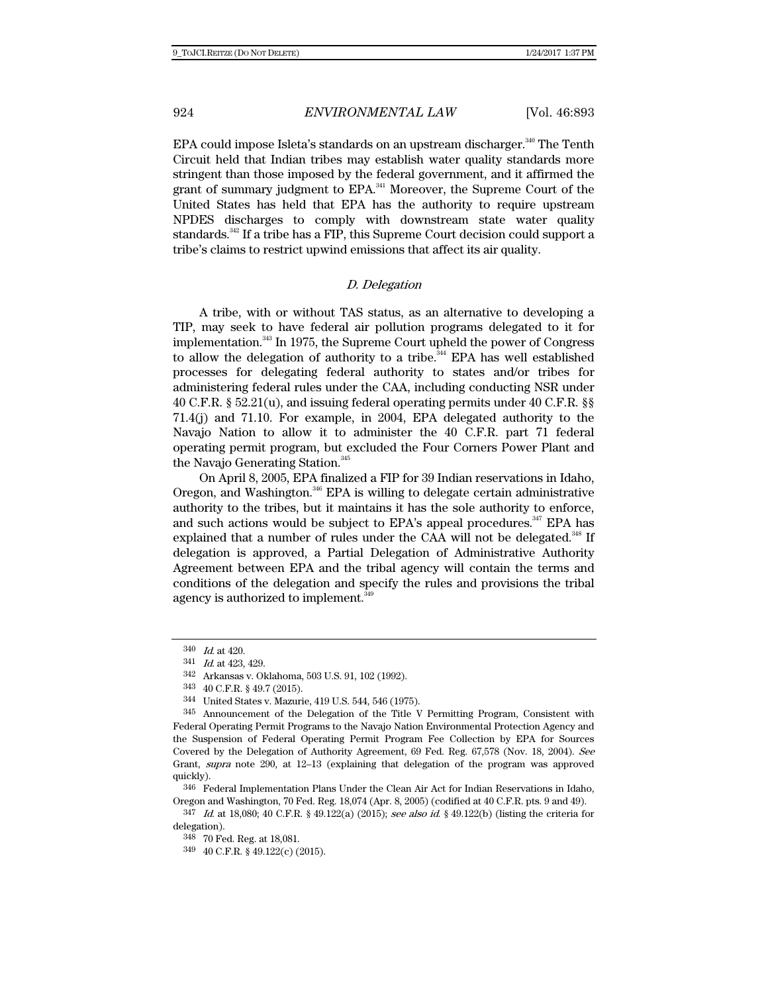EPA could impose Isleta's standards on an upstream discharger.<sup>340</sup> The Tenth Circuit held that Indian tribes may establish water quality standards more stringent than those imposed by the federal government, and it affirmed the grant of summary judgment to EPA.<sup>341</sup> Moreover, the Supreme Court of the United States has held that EPA has the authority to require upstream NPDES discharges to comply with downstream state water quality standards.<sup>342</sup> If a tribe has a FIP, this Supreme Court decision could support a tribe's claims to restrict upwind emissions that affect its air quality.

## D. Delegation

A tribe, with or without TAS status, as an alternative to developing a TIP, may seek to have federal air pollution programs delegated to it for implementation.<sup>343</sup> In 1975, the Supreme Court upheld the power of Congress to allow the delegation of authority to a tribe.<sup>344</sup> EPA has well established processes for delegating federal authority to states and/or tribes for administering federal rules under the CAA, including conducting NSR under 40 C.F.R. § 52.21(u), and issuing federal operating permits under 40 C.F.R. §§ 71.4(j) and 71.10. For example, in 2004, EPA delegated authority to the Navajo Nation to allow it to administer the 40 C.F.R. part 71 federal operating permit program, but excluded the Four Corners Power Plant and the Navajo Generating Station.<sup>345</sup>

On April 8, 2005, EPA finalized a FIP for 39 Indian reservations in Idaho, Oregon, and Washington.<sup>346</sup> EPA is willing to delegate certain administrative authority to the tribes, but it maintains it has the sole authority to enforce, and such actions would be subject to EPA's appeal procedures.<sup>347</sup> EPA has explained that a number of rules under the CAA will not be delegated.<sup>348</sup> If delegation is approved, a Partial Delegation of Administrative Authority Agreement between EPA and the tribal agency will contain the terms and conditions of the delegation and specify the rules and provisions the tribal agency is authorized to implement.<sup>349</sup>

 $347$  *Id.* at 18,080; 40 C.F.R. § 49.122(a) (2015); see also id. § 49.122(b) (listing the criteria for delegation).

<sup>340</sup> Id. at 420.

<sup>341</sup> Id. at 423, 429.

<sup>342</sup> Arkansas v. Oklahoma, 503 U.S. 91, 102 (1992).

<sup>343 40</sup> C.F.R. § 49.7 (2015).

<sup>344</sup> United States v. Mazurie, 419 U.S. 544, 546 (1975).

<sup>345</sup> Announcement of the Delegation of the Title V Permitting Program, Consistent with Federal Operating Permit Programs to the Navajo Nation Environmental Protection Agency and the Suspension of Federal Operating Permit Program Fee Collection by EPA for Sources Covered by the Delegation of Authority Agreement, 69 Fed. Reg. 67,578 (Nov. 18, 2004). See Grant, supra note 290, at 12–13 (explaining that delegation of the program was approved quickly).

<sup>346</sup> Federal Implementation Plans Under the Clean Air Act for Indian Reservations in Idaho, Oregon and Washington, 70 Fed. Reg. 18,074 (Apr. 8, 2005) (codified at 40 C.F.R. pts. 9 and 49).

<sup>348 70</sup> Fed. Reg. at 18,081.

<sup>349 40</sup> C.F.R. § 49.122(c) (2015).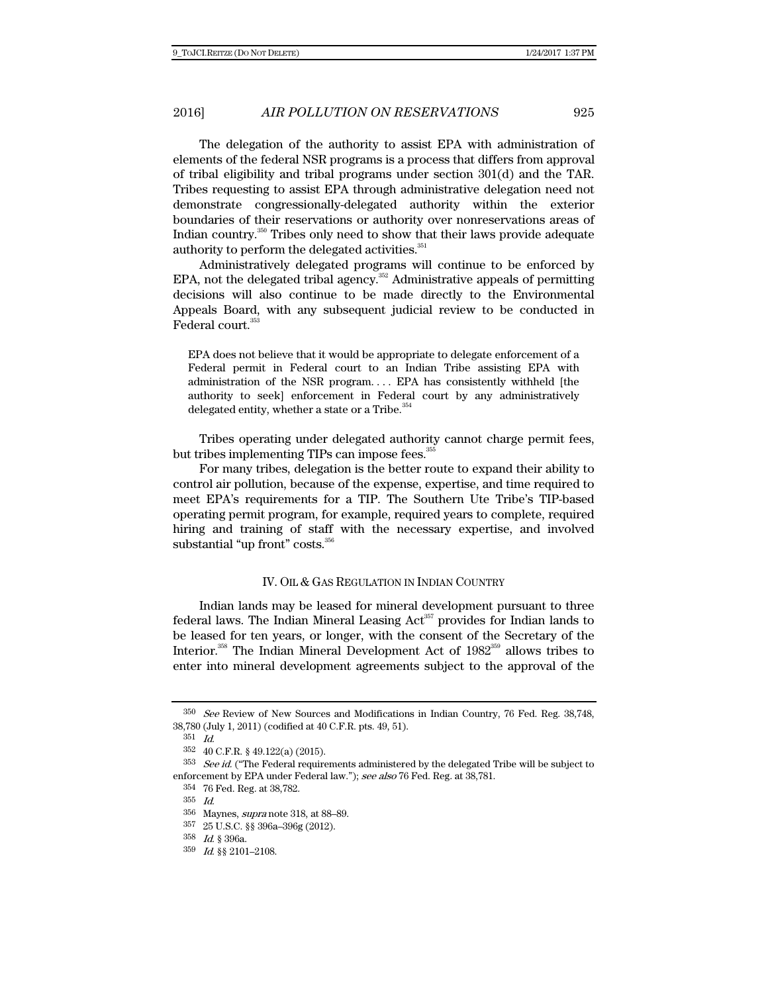The delegation of the authority to assist EPA with administration of elements of the federal NSR programs is a process that differs from approval of tribal eligibility and tribal programs under section 301(d) and the TAR. Tribes requesting to assist EPA through administrative delegation need not demonstrate congressionally-delegated authority within the exterior boundaries of their reservations or authority over nonreservations areas of Indian country.350 Tribes only need to show that their laws provide adequate authority to perform the delegated activities.<sup>351</sup>

Administratively delegated programs will continue to be enforced by EPA, not the delegated tribal agency.<sup>352</sup> Administrative appeals of permitting decisions will also continue to be made directly to the Environmental Appeals Board, with any subsequent judicial review to be conducted in Federal court.<sup>3</sup>

EPA does not believe that it would be appropriate to delegate enforcement of a Federal permit in Federal court to an Indian Tribe assisting EPA with administration of the NSR program. . . . EPA has consistently withheld [the authority to seek] enforcement in Federal court by any administratively delegated entity, whether a state or a Tribe.<sup>354</sup>

Tribes operating under delegated authority cannot charge permit fees, but tribes implementing TIPs can impose fees.<sup>355</sup>

For many tribes, delegation is the better route to expand their ability to control air pollution, because of the expense, expertise, and time required to meet EPA's requirements for a TIP. The Southern Ute Tribe's TIP-based operating permit program, for example, required years to complete, required hiring and training of staff with the necessary expertise, and involved substantial "up front" costs.<sup>356</sup>

# IV. OIL & GAS REGULATION IN INDIAN COUNTRY

Indian lands may be leased for mineral development pursuant to three federal laws. The Indian Mineral Leasing  $Act<sup>357</sup>$  provides for Indian lands to be leased for ten years, or longer, with the consent of the Secretary of the Interior.<sup>358</sup> The Indian Mineral Development Act of 1982<sup>359</sup> allows tribes to enter into mineral development agreements subject to the approval of the

357 25 U.S.C. §§ 396a–396g (2012).

<sup>350</sup> See Review of New Sources and Modifications in Indian Country, 76 Fed. Reg. 38,748, 38,780 (July 1, 2011) (codified at 40 C.F.R. pts. 49, 51).

<sup>351</sup> Id.

<sup>352 40</sup> C.F.R. § 49.122(a) (2015).

 $353$  See id. ("The Federal requirements administered by the delegated Tribe will be subject to enforcement by EPA under Federal law."); see also 76 Fed. Reg. at 38,781.

<sup>354 76</sup> Fed. Reg. at 38,782.

<sup>355</sup> Id.

<sup>356</sup> Maynes, supra note 318, at 88–89.

<sup>358</sup> Id. § 396a.

<sup>359</sup> Id. §§ 2101–2108.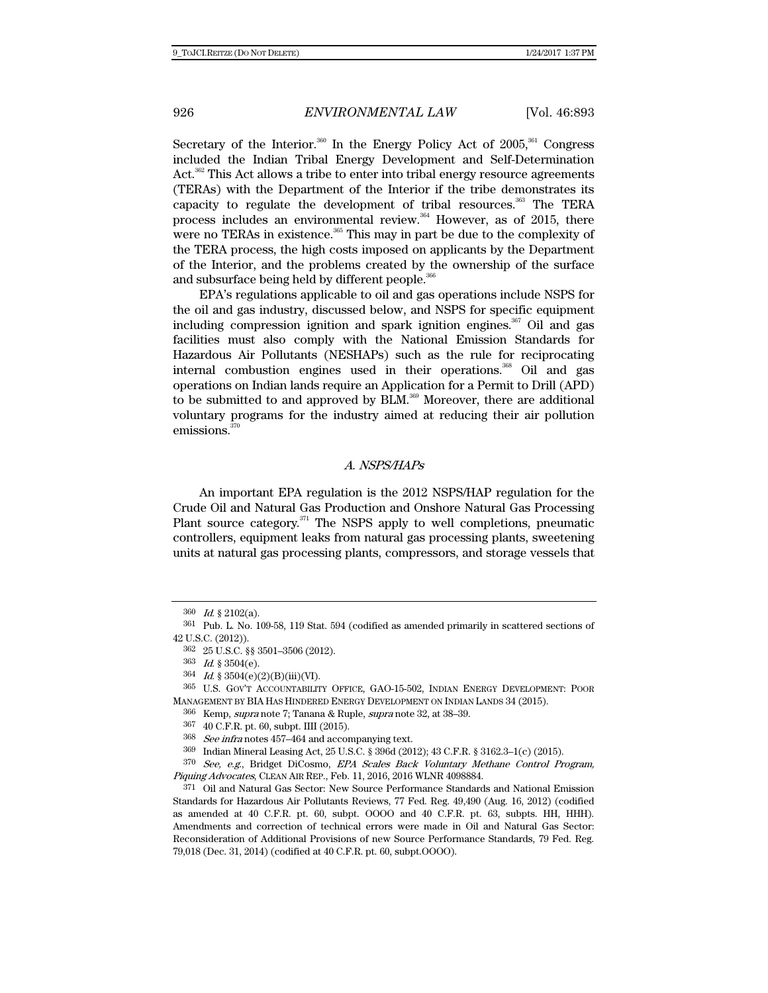Secretary of the Interior.<sup>360</sup> In the Energy Policy Act of  $2005$ ,<sup>361</sup> Congress included the Indian Tribal Energy Development and Self-Determination Act.<sup>362</sup> This Act allows a tribe to enter into tribal energy resource agreements (TERAs) with the Department of the Interior if the tribe demonstrates its capacity to regulate the development of tribal resources.<sup>363</sup> The TERA process includes an environmental review.<sup>364</sup> However, as of 2015, there were no TERAs in existence.<sup>365</sup> This may in part be due to the complexity of the TERA process, the high costs imposed on applicants by the Department of the Interior, and the problems created by the ownership of the surface and subsurface being held by different people.<sup>366</sup>

EPA's regulations applicable to oil and gas operations include NSPS for the oil and gas industry, discussed below, and NSPS for specific equipment including compression ignition and spark ignition engines.<sup>367</sup> Oil and gas facilities must also comply with the National Emission Standards for Hazardous Air Pollutants (NESHAPs) such as the rule for reciprocating internal combustion engines used in their operations.<sup>368</sup> Oil and gas operations on Indian lands require an Application for a Permit to Drill (APD) to be submitted to and approved by BLM.<sup>369</sup> Moreover, there are additional voluntary programs for the industry aimed at reducing their air pollution emissions.<sup>37</sup>

#### A. NSPS/HAPs

An important EPA regulation is the 2012 NSPS/HAP regulation for the Crude Oil and Natural Gas Production and Onshore Natural Gas Processing Plant source category.<sup>371</sup> The NSPS apply to well completions, pneumatic controllers, equipment leaks from natural gas processing plants, sweetening units at natural gas processing plants, compressors, and storage vessels that

<sup>360</sup> Id. § 2102(a).

<sup>361</sup> Pub. L. No. 109-58, 119 Stat. 594 (codified as amended primarily in scattered sections of 42 U.S.C. (2012)).

<sup>362 25</sup> U.S.C. §§ 3501–3506 (2012).

 $363$  *Id.* § 3504(e).

 $364$  *Id.* §  $3504(e)(2)(B)(iii)(VI)$ .

<sup>365</sup> U.S. GOV'T ACCOUNTABILITY OFFICE, GAO-15-502, INDIAN ENERGY DEVELOPMENT: POOR MANAGEMENT BY BIA HAS HINDERED ENERGY DEVELOPMENT ON INDIAN LANDS 34 (2015).

<sup>366</sup> Kemp, supra note 7; Tanana & Ruple, supra note 32, at 38–39.

<sup>367 40</sup> C.F.R. pt. 60, subpt. IIII (2015).

<sup>368</sup> See infra notes 457–464 and accompanying text.

<sup>369</sup> Indian Mineral Leasing Act, 25 U.S.C. § 396d (2012); 43 C.F.R. § 3162.3–1(c) (2015).

<sup>370</sup> See, e.g., Bridget DiCosmo, EPA Scales Back Voluntary Methane Control Program, Piquing Advocates, CLEAN AIR REP., Feb. 11, 2016, 2016 WLNR 4098884.

<sup>371</sup> Oil and Natural Gas Sector: New Source Performance Standards and National Emission Standards for Hazardous Air Pollutants Reviews, 77 Fed. Reg. 49,490 (Aug. 16, 2012) (codified as amended at 40 C.F.R. pt. 60, subpt. OOOO and 40 C.F.R. pt. 63, subpts. HH, HHH). Amendments and correction of technical errors were made in Oil and Natural Gas Sector: Reconsideration of Additional Provisions of new Source Performance Standards, 79 Fed. Reg. 79,018 (Dec. 31, 2014) (codified at 40 C.F.R. pt. 60, subpt.OOOO).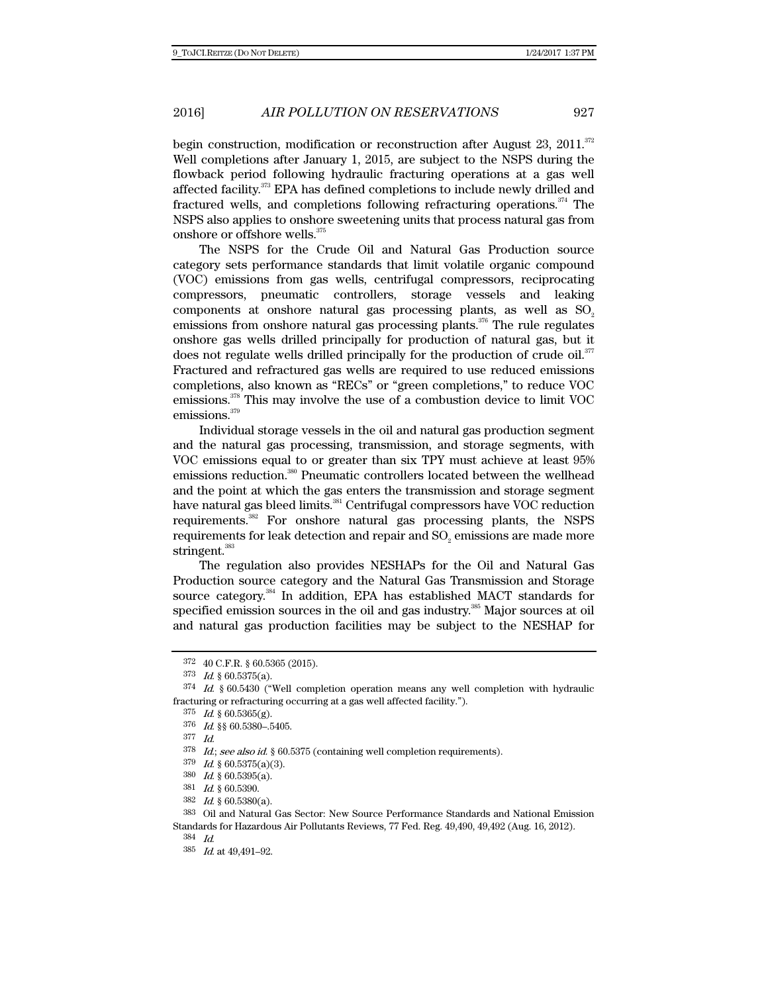begin construction, modification or reconstruction after August 23, 2011.<sup>372</sup> Well completions after January 1, 2015, are subject to the NSPS during the flowback period following hydraulic fracturing operations at a gas well affected facility.373 EPA has defined completions to include newly drilled and fractured wells, and completions following refracturing operations.<sup> $374$ </sup> The NSPS also applies to onshore sweetening units that process natural gas from onshore or offshore wells.<sup>375</sup>

The NSPS for the Crude Oil and Natural Gas Production source category sets performance standards that limit volatile organic compound (VOC) emissions from gas wells, centrifugal compressors, reciprocating compressors, pneumatic controllers, storage vessels and leaking components at onshore natural gas processing plants, as well as SO<sub>2</sub> emissions from onshore natural gas processing plants.<sup>376</sup> The rule regulates onshore gas wells drilled principally for production of natural gas, but it does not regulate wells drilled principally for the production of crude oil.<sup>377</sup> Fractured and refractured gas wells are required to use reduced emissions completions, also known as "RECs" or "green completions," to reduce VOC emissions.378 This may involve the use of a combustion device to limit VOC emissions. $^{\rm 379}$ 

Individual storage vessels in the oil and natural gas production segment and the natural gas processing, transmission, and storage segments, with VOC emissions equal to or greater than six TPY must achieve at least 95% emissions reduction.380 Pneumatic controllers located between the wellhead and the point at which the gas enters the transmission and storage segment have natural gas bleed limits.<sup>381</sup> Centrifugal compressors have VOC reduction requirements.382 For onshore natural gas processing plants, the NSPS requirements for leak detection and repair and  $\mathrm{SO}_2$  emissions are made more stringent.<sup>383</sup>

The regulation also provides NESHAPs for the Oil and Natural Gas Production source category and the Natural Gas Transmission and Storage source category.<sup>384</sup> In addition, EPA has established MACT standards for specified emission sources in the oil and gas industry.<sup>385</sup> Major sources at oil and natural gas production facilities may be subject to the NESHAP for

<sup>372 40</sup> C.F.R. § 60.5365 (2015).

 $373$  *Id.* § 60.5375(a).

<sup>374</sup> Id. § 60.5430 ("Well completion operation means any well completion with hydraulic fracturing or refracturing occurring at a gas well affected facility.").

<sup>375</sup> Id. § 60.5365(g).

<sup>376</sup> Id. §§ 60.5380–.5405.

<sup>377</sup> Id.

<sup>378</sup> Id.; see also id. § 60.5375 (containing well completion requirements).

 $379$  *Id.* § 60.5375(a)(3).

<sup>380</sup> Id. § 60.5395(a).

<sup>381</sup> Id. § 60.5390.

 $382$  *Id.* § 60.5380(a).

<sup>383</sup> Oil and Natural Gas Sector: New Source Performance Standards and National Emission Standards for Hazardous Air Pollutants Reviews, 77 Fed. Reg. 49,490, 49,492 (Aug. 16, 2012).

<sup>384</sup> Id.

<sup>385</sup> Id. at 49,491–92.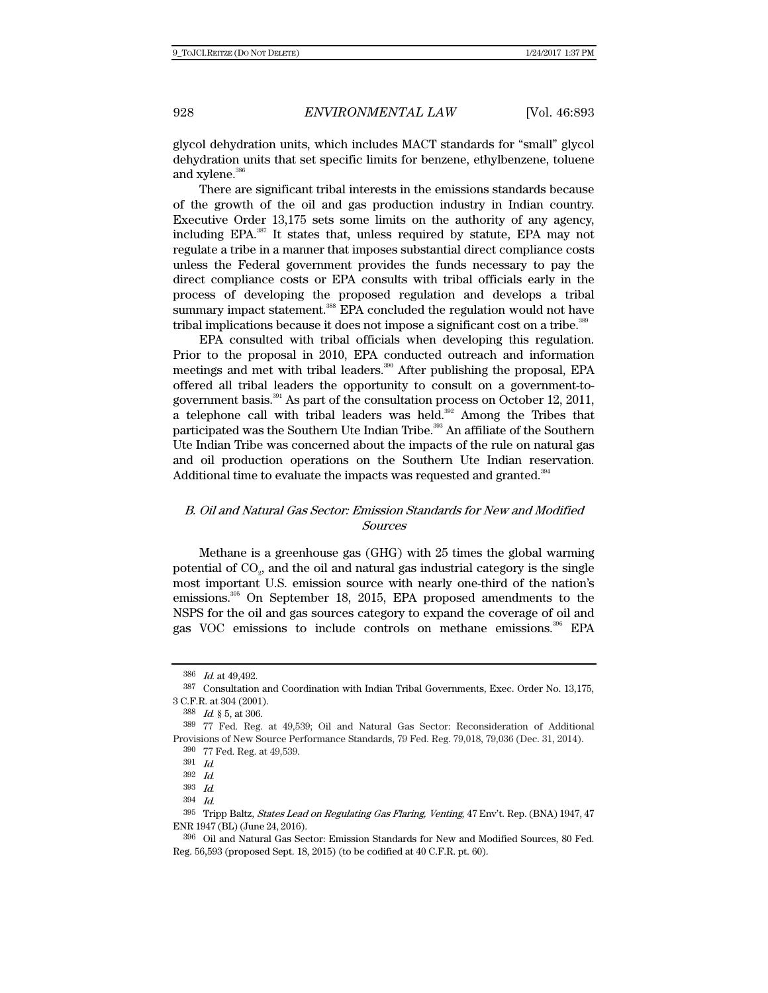glycol dehydration units, which includes MACT standards for "small" glycol dehydration units that set specific limits for benzene, ethylbenzene, toluene and xylene.<sup>386</sup>

There are significant tribal interests in the emissions standards because of the growth of the oil and gas production industry in Indian country. Executive Order 13,175 sets some limits on the authority of any agency, including EPA.387 It states that, unless required by statute, EPA may not regulate a tribe in a manner that imposes substantial direct compliance costs unless the Federal government provides the funds necessary to pay the direct compliance costs or EPA consults with tribal officials early in the process of developing the proposed regulation and develops a tribal summary impact statement.<sup>388</sup> EPA concluded the regulation would not have tribal implications because it does not impose a significant cost on a tribe.<sup>389</sup>

EPA consulted with tribal officials when developing this regulation. Prior to the proposal in 2010, EPA conducted outreach and information meetings and met with tribal leaders.390 After publishing the proposal, EPA offered all tribal leaders the opportunity to consult on a government-togovernment basis.391 As part of the consultation process on October 12, 2011, a telephone call with tribal leaders was held. $392$  Among the Tribes that participated was the Southern Ute Indian Tribe.<sup>393</sup> An affiliate of the Southern Ute Indian Tribe was concerned about the impacts of the rule on natural gas and oil production operations on the Southern Ute Indian reservation. Additional time to evaluate the impacts was requested and granted.<sup>394</sup>

# B. Oil and Natural Gas Sector: Emission Standards for New and Modified Sources

Methane is a greenhouse gas (GHG) with 25 times the global warming potential of  $\mathrm{CO}_2$ , and the oil and natural gas industrial category is the single most important U.S. emission source with nearly one-third of the nation's emissions.395 On September 18, 2015, EPA proposed amendments to the NSPS for the oil and gas sources category to expand the coverage of oil and gas VOC emissions to include controls on methane emissions.396 EPA

<sup>386</sup> Id. at 49,492.

<sup>387</sup> Consultation and Coordination with Indian Tribal Governments, Exec. Order No. 13,175, 3 C.F.R. at 304 (2001).

<sup>388</sup>  $Id.$  § 5, at 306.

<sup>389 77</sup> Fed. Reg. at 49,539; Oil and Natural Gas Sector: Reconsideration of Additional Provisions of New Source Performance Standards, 79 Fed. Reg. 79,018, 79,036 (Dec. 31, 2014).

<sup>390 77</sup> Fed. Reg. at 49,539.<br>391  $Id$ .

 $\frac{392}{393}$  *Id.* 

 $Id$ 

<sup>394</sup> Id.

<sup>395</sup> Tripp Baltz, States Lead on Regulating Gas Flaring, Venting, 47 Env't. Rep. (BNA) 1947, 47 ENR 1947 (BL) (June 24, 2016).

<sup>396</sup> Oil and Natural Gas Sector: Emission Standards for New and Modified Sources, 80 Fed. Reg. 56,593 (proposed Sept. 18, 2015) (to be codified at 40 C.F.R. pt. 60).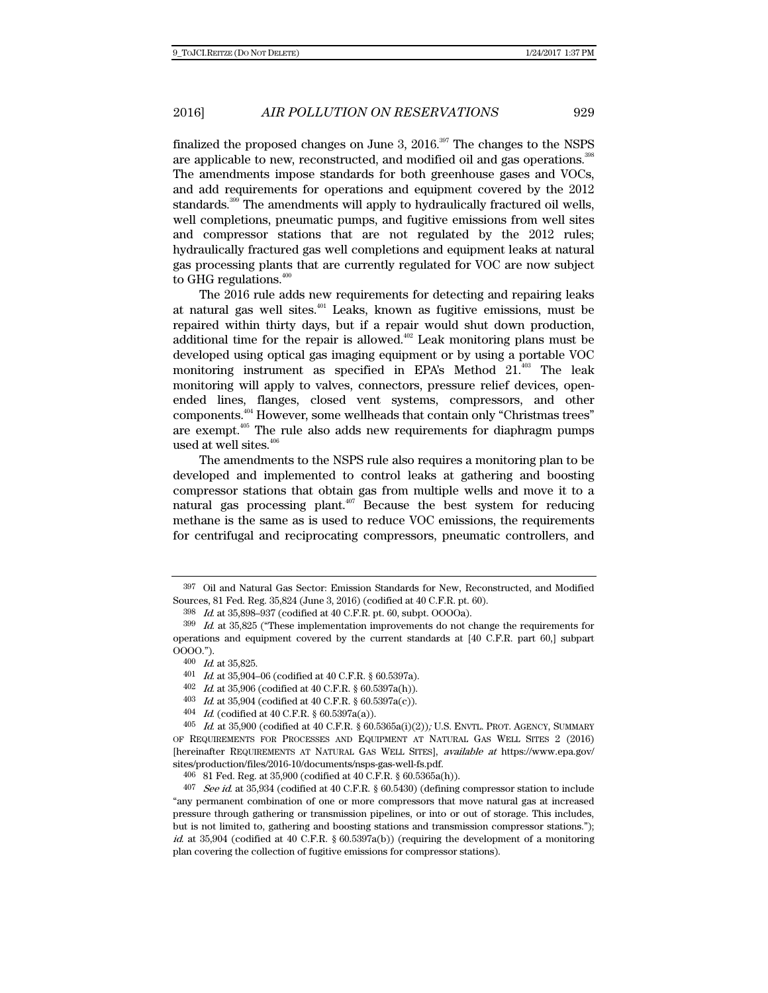finalized the proposed changes on June 3,  $2016.^{397}$  The changes to the NSPS are applicable to new, reconstructed, and modified oil and gas operations.<sup>398</sup> The amendments impose standards for both greenhouse gases and VOCs, and add requirements for operations and equipment covered by the 2012 standards.<sup>399</sup> The amendments will apply to hydraulically fractured oil wells, well completions, pneumatic pumps, and fugitive emissions from well sites and compressor stations that are not regulated by the 2012 rules; hydraulically fractured gas well completions and equipment leaks at natural gas processing plants that are currently regulated for VOC are now subject to GHG regulations. $400$ 

The 2016 rule adds new requirements for detecting and repairing leaks at natural gas well sites.401 Leaks, known as fugitive emissions, must be repaired within thirty days, but if a repair would shut down production, additional time for the repair is allowed. $402$  Leak monitoring plans must be developed using optical gas imaging equipment or by using a portable VOC monitoring instrument as specified in EPA's Method 21.403 The leak monitoring will apply to valves, connectors, pressure relief devices, openended lines, flanges, closed vent systems, compressors, and other components.404 However, some wellheads that contain only "Christmas trees" are exempt.405 The rule also adds new requirements for diaphragm pumps used at well sites.<sup>406</sup>

The amendments to the NSPS rule also requires a monitoring plan to be developed and implemented to control leaks at gathering and boosting compressor stations that obtain gas from multiple wells and move it to a natural gas processing plant. $407$  Because the best system for reducing methane is the same as is used to reduce VOC emissions, the requirements for centrifugal and reciprocating compressors, pneumatic controllers, and

<sup>397</sup> Oil and Natural Gas Sector: Emission Standards for New, Reconstructed, and Modified Sources, 81 Fed. Reg. 35,824 (June 3, 2016) (codified at 40 C.F.R. pt. 60).

<sup>398</sup> Id. at 35,898–937 (codified at 40 C.F.R. pt. 60, subpt. OOOOa).

 $399$  *Id.* at  $35,825$  ("These implementation improvements do not change the requirements for operations and equipment covered by the current standards at [40 C.F.R. part 60,] subpart OOOO.").

 $400$  *Id.* at 35,825.

<sup>401</sup> Id. at 35,904–06 (codified at 40 C.F.R. § 60.5397a).

<sup>402</sup> Id. at 35,906 (codified at 40 C.F.R. § 60.5397a(h)).

<sup>403</sup> Id. at 35,904 (codified at 40 C.F.R.  $\S$  60.5397a(c)).

<sup>404</sup> Id. (codified at 40 C.F.R. § 60.5397a(a)).

 $405$  Id. at 35,900 (codified at 40 C.F.R. §  $60.5365a(i)(2)$ ); U.S. ENVTL. PROT. AGENCY, SUMMARY OF REQUIREMENTS FOR PROCESSES AND EQUIPMENT AT NATURAL GAS WELL SITES 2 (2016) [hereinafter REQUIREMENTS AT NATURAL GAS WELL SITES], available at https://www.epa.gov/ sites/production/files/2016-10/documents/nsps-gas-well-fs.pdf.

<sup>406 81</sup> Fed. Reg. at 35,900 (codified at 40 C.F.R. § 60.5365a(h)).

 $407$  See id. at 35,934 (codified at 40 C.F.R. § 60.5430) (defining compressor station to include "any permanent combination of one or more compressors that move natural gas at increased pressure through gathering or transmission pipelines, or into or out of storage. This includes, but is not limited to, gathering and boosting stations and transmission compressor stations."); id. at 35,904 (codified at 40 C.F.R. § 60.5397a(b)) (requiring the development of a monitoring plan covering the collection of fugitive emissions for compressor stations).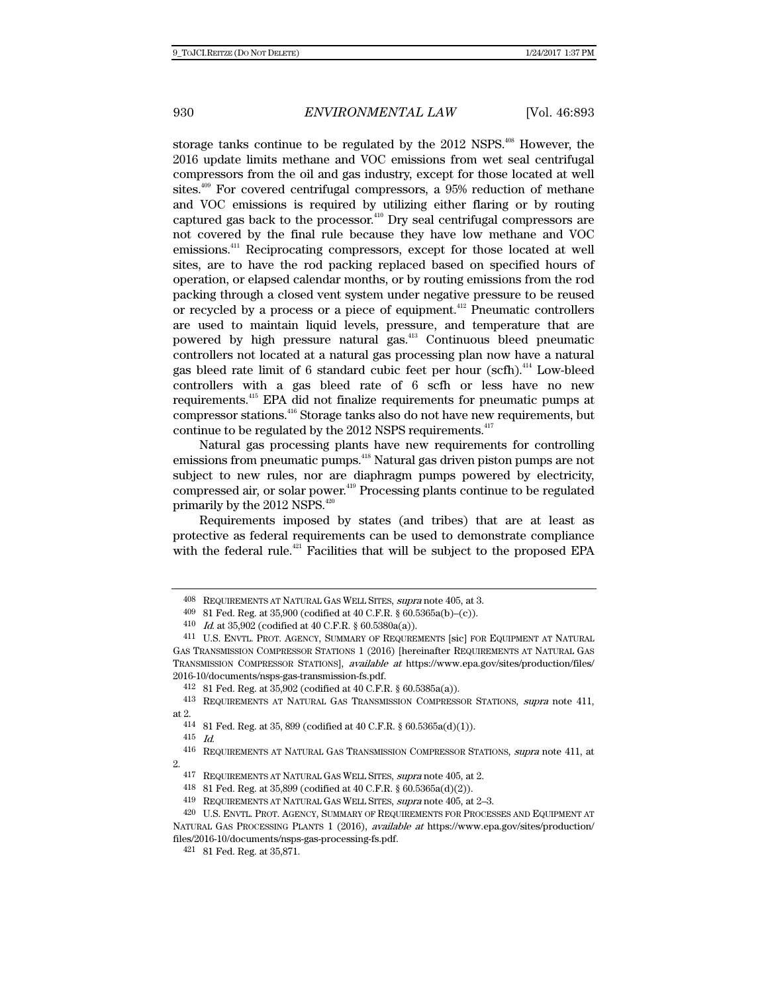storage tanks continue to be regulated by the  $2012$  NSPS.<sup>408</sup> However, the 2016 update limits methane and VOC emissions from wet seal centrifugal compressors from the oil and gas industry, except for those located at well sites.<sup>409</sup> For covered centrifugal compressors, a 95% reduction of methane and VOC emissions is required by utilizing either flaring or by routing captured gas back to the processor. $410$  Dry seal centrifugal compressors are not covered by the final rule because they have low methane and VOC emissions.411 Reciprocating compressors, except for those located at well sites, are to have the rod packing replaced based on specified hours of operation, or elapsed calendar months, or by routing emissions from the rod packing through a closed vent system under negative pressure to be reused or recycled by a process or a piece of equipment.<sup>412</sup> Pneumatic controllers are used to maintain liquid levels, pressure, and temperature that are powered by high pressure natural gas.413 Continuous bleed pneumatic controllers not located at a natural gas processing plan now have a natural gas bleed rate limit of 6 standard cubic feet per hour (scfh).<sup>414</sup> Low-bleed controllers with a gas bleed rate of 6 scfh or less have no new requirements.415 EPA did not finalize requirements for pneumatic pumps at compressor stations.416 Storage tanks also do not have new requirements, but continue to be regulated by the 2012 NSPS requirements. $417$ 

Natural gas processing plants have new requirements for controlling emissions from pneumatic pumps.<sup>418</sup> Natural gas driven piston pumps are not subject to new rules, nor are diaphragm pumps powered by electricity, compressed air, or solar power.419 Processing plants continue to be regulated primarily by the 2012 NSPS.<sup>420</sup>

Requirements imposed by states (and tribes) that are at least as protective as federal requirements can be used to demonstrate compliance with the federal rule.<sup> $421$ </sup> Facilities that will be subject to the proposed EPA

415 Id.

<sup>408</sup> REQUIREMENTS AT NATURAL GAS WELL SITES, supra note 405, at 3.

<sup>409 81</sup> Fed. Reg. at 35,900 (codified at 40 C.F.R.  $§$  60.5365a(b)–(c)).

<sup>410</sup> *Id.* at 35,902 (codified at 40 C.F.R. § 60.5380a(a)).

<sup>411</sup> U.S. ENVTL. PROT. AGENCY, SUMMARY OF REQUREMENTS [sic] FOR EQUIPMENT AT NATURAL GAS TRANSMISSION COMPRESSOR STATIONS 1 (2016) [hereinafter REQUIREMENTS AT NATURAL GAS TRANSMISSION COMPRESSOR STATIONS], available at https://www.epa.gov/sites/production/files/ 2016-10/documents/nsps-gas-transmission-fs.pdf.

<sup>412 81</sup> Fed. Reg. at 35,902 (codified at 40 C.F.R. § 60.5385a(a)).

<sup>413</sup> REQUIREMENTS AT NATURAL GAS TRANSMISSION COMPRESSOR STATIONS, supra note 411, at 2.

<sup>414 81</sup> Fed. Reg. at 35, 899 (codified at 40 C.F.R.  $\S$  60.5365a(d)(1)).

<sup>416</sup> REQUIREMENTS AT NATURAL GAS TRANSMISSION COMPRESSOR STATIONS, supra note 411, at 2.

<sup>417</sup> REQUIREMENTS AT NATURAL GAS WELL SITES, supra note 405, at 2.

<sup>418 81</sup> Fed. Reg. at 35,899 (codified at 40 C.F.R. § 60.5365a(d)(2)).

<sup>419</sup> REQUIREMENTS AT NATURAL GAS WELL SITES, supra note 405, at 2–3.

<sup>420</sup> U.S. ENVTL. PROT. AGENCY, SUMMARY OF REQUIREMENTS FOR PROCESSES AND EQUIPMENT AT NATURAL GAS PROCESSING PLANTS 1 (2016), available at https://www.epa.gov/sites/production/ files/2016-10/documents/nsps-gas-processing-fs.pdf.

<sup>421 81</sup> Fed. Reg. at 35,871.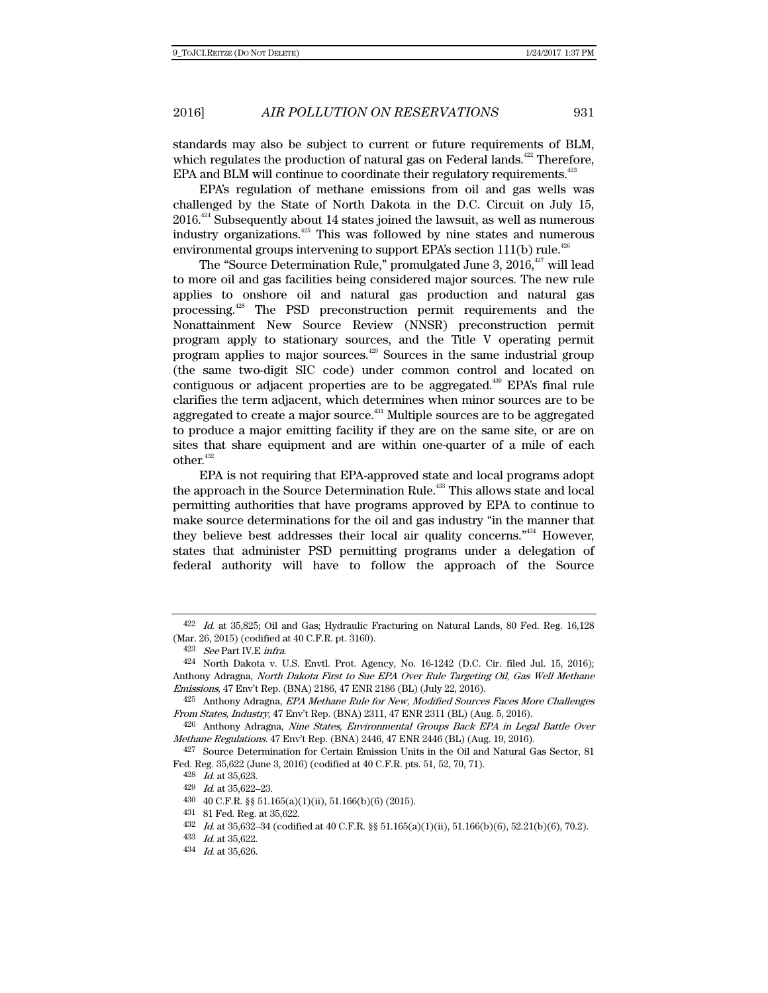standards may also be subject to current or future requirements of BLM, which regulates the production of natural gas on Federal lands.<sup>422</sup> Therefore, EPA and BLM will continue to coordinate their regulatory requirements.<sup>423</sup>

EPA's regulation of methane emissions from oil and gas wells was challenged by the State of North Dakota in the D.C. Circuit on July 15,  $2016<sup>424</sup>$  Subsequently about 14 states joined the lawsuit, as well as numerous industry organizations.425 This was followed by nine states and numerous environmental groups intervening to support EPA's section  $111(b)$  rule.<sup>426</sup>

The "Source Determination Rule," promulgated June 3,  $2016$ ,  $427$  will lead to more oil and gas facilities being considered major sources. The new rule applies to onshore oil and natural gas production and natural gas processing.428 The PSD preconstruction permit requirements and the Nonattainment New Source Review (NNSR) preconstruction permit program apply to stationary sources, and the Title V operating permit program applies to major sources.429 Sources in the same industrial group (the same two-digit SIC code) under common control and located on contiguous or adjacent properties are to be aggregated.<sup>430</sup> EPA's final rule clarifies the term adjacent, which determines when minor sources are to be aggregated to create a major source.<sup>431</sup> Multiple sources are to be aggregated to produce a major emitting facility if they are on the same site, or are on sites that share equipment and are within one-quarter of a mile of each other.<sup>432</sup>

EPA is not requiring that EPA-approved state and local programs adopt the approach in the Source Determination Rule.<sup>433</sup> This allows state and local permitting authorities that have programs approved by EPA to continue to make source determinations for the oil and gas industry "in the manner that they believe best addresses their local air quality concerns."434 However, states that administer PSD permitting programs under a delegation of federal authority will have to follow the approach of the Source

 $422$  *Id.* at 35,825; Oil and Gas; Hydraulic Fracturing on Natural Lands, 80 Fed. Reg. 16,128 (Mar. 26, 2015) (codified at 40 C.F.R. pt. 3160).

<sup>423</sup> See Part IV.E infra.

<sup>424</sup> North Dakota v. U.S. Envtl. Prot. Agency, No. 16-1242 (D.C. Cir. filed Jul. 15, 2016); Anthony Adragna, North Dakota First to Sue EPA Over Rule Targeting Oil, Gas Well Methane Emissions, 47 Env't Rep. (BNA) 2186, 47 ENR 2186 (BL) (July 22, 2016).

<sup>425</sup> Anthony Adragna, EPA Methane Rule for New, Modified Sources Faces More Challenges From States, Industry, 47 Env't Rep. (BNA) 2311, 47 ENR 2311 (BL) (Aug. 5, 2016).

<sup>426</sup> Anthony Adragna, Nine States, Environmental Groups Back EPA in Legal Battle Over Methane Regulations. 47 Env't Rep. (BNA) 2446, 47 ENR 2446 (BL) (Aug. 19, 2016).

<sup>427</sup> Source Determination for Certain Emission Units in the Oil and Natural Gas Sector, 81 Fed. Reg. 35,622 (June 3, 2016) (codified at 40 C.F.R. pts. 51, 52, 70, 71).

<sup>428</sup> Id. at 35,623.

<sup>429</sup> Id. at 35,622–23.

<sup>430 40</sup> C.F.R. §§ 51.165(a)(1)(ii), 51.166(b)(6) (2015).

<sup>431 81</sup> Fed. Reg. at 35,622.

<sup>432</sup> Id. at 35,632–34 (codified at 40 C.F.R. §§ 51.165(a)(1)(ii), 51.166(b)(6), 52.21(b)(6), 70.2).

<sup>433</sup> Id. at 35,622.

<sup>434</sup> Id. at 35,626.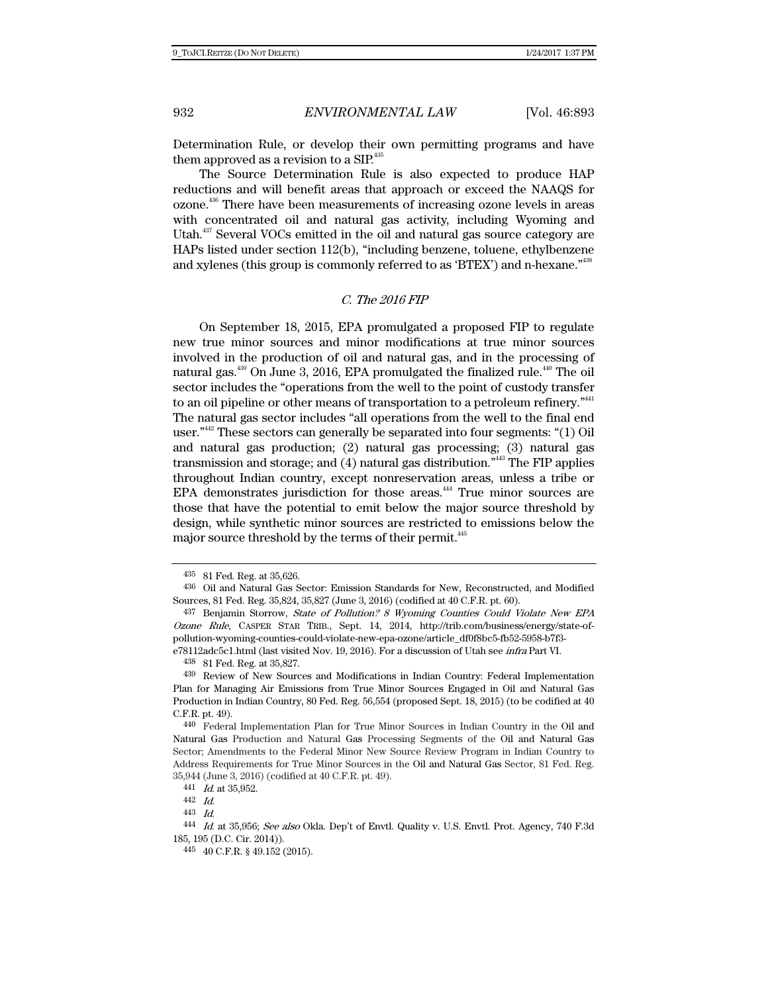Determination Rule, or develop their own permitting programs and have them approved as a revision to a  $\text{SIP}^{435}$ .

The Source Determination Rule is also expected to produce HAP reductions and will benefit areas that approach or exceed the NAAQS for ozone.436 There have been measurements of increasing ozone levels in areas with concentrated oil and natural gas activity, including Wyoming and Utah.<sup>437</sup> Several VOCs emitted in the oil and natural gas source category are HAPs listed under section 112(b), "including benzene, toluene, ethylbenzene and xylenes (this group is commonly referred to as 'BTEX') and n-hexane.<sup>"438</sup>

#### C. The 2016 FIP

On September 18, 2015, EPA promulgated a proposed FIP to regulate new true minor sources and minor modifications at true minor sources involved in the production of oil and natural gas, and in the processing of natural gas.<sup>439</sup> On June 3, 2016, EPA promulgated the finalized rule.<sup>440</sup> The oil sector includes the "operations from the well to the point of custody transfer to an oil pipeline or other means of transportation to a petroleum refinery."<sup>441</sup> The natural gas sector includes "all operations from the well to the final end user."442 These sectors can generally be separated into four segments: "(1) Oil and natural gas production; (2) natural gas processing; (3) natural gas transmission and storage; and (4) natural gas distribution."443 The FIP applies throughout Indian country, except nonreservation areas, unless a tribe or EPA demonstrates jurisdiction for those areas.<sup>444</sup> True minor sources are those that have the potential to emit below the major source threshold by design, while synthetic minor sources are restricted to emissions below the major source threshold by the terms of their permit.<sup>445</sup>

<sup>435 81</sup> Fed. Reg. at 35,626.

<sup>436</sup> Oil and Natural Gas Sector: Emission Standards for New, Reconstructed, and Modified Sources, 81 Fed. Reg. 35,824, 35,827 (June 3, 2016) (codified at 40 C.F.R. pt. 60).

<sup>437</sup> Benjamin Storrow, State of Pollution? 8 Wyoming Counties Could Violate New EPA Ozone Rule, CASPER STAR TRIB., Sept. 14, 2014, http://trib.com/business/energy/state-ofpollution-wyoming-counties-could-violate-new-epa-ozone/article\_df0f8bc5-fb52-5958-b7f3-

e78112adc5c1.html (last visited Nov. 19, 2016). For a discussion of Utah see infra Part VI.

<sup>438</sup> 81 Fed. Reg. at 35,827.

<sup>439</sup> Review of New Sources and Modifications in Indian Country: Federal Implementation Plan for Managing Air Emissions from True Minor Sources Engaged in Oil and Natural Gas Production in Indian Country, 80 Fed. Reg. 56,554 (proposed Sept. 18, 2015) (to be codified at 40 C.F.R. pt. 49).

<sup>440</sup> Federal Implementation Plan for True Minor Sources in Indian Country in the Oil and Natural Gas Production and Natural Gas Processing Segments of the Oil and Natural Gas Sector; Amendments to the Federal Minor New Source Review Program in Indian Country to Address Requirements for True Minor Sources in the Oil and Natural Gas Sector, 81 Fed. Reg. 35,944 (June 3, 2016) (codified at 40 C.F.R. pt. 49).

<sup>441</sup> Id. at 35,952.

<sup>442</sup> Id.

<sup>443</sup> Id.

<sup>444</sup> Id. at 35,956; See also Okla. Dep't of Envtl. Quality v. U.S. Envtl. Prot. Agency, 740 F.3d 185, 195 (D.C. Cir. 2014)).

<sup>445 40</sup> C.F.R. § 49.152 (2015).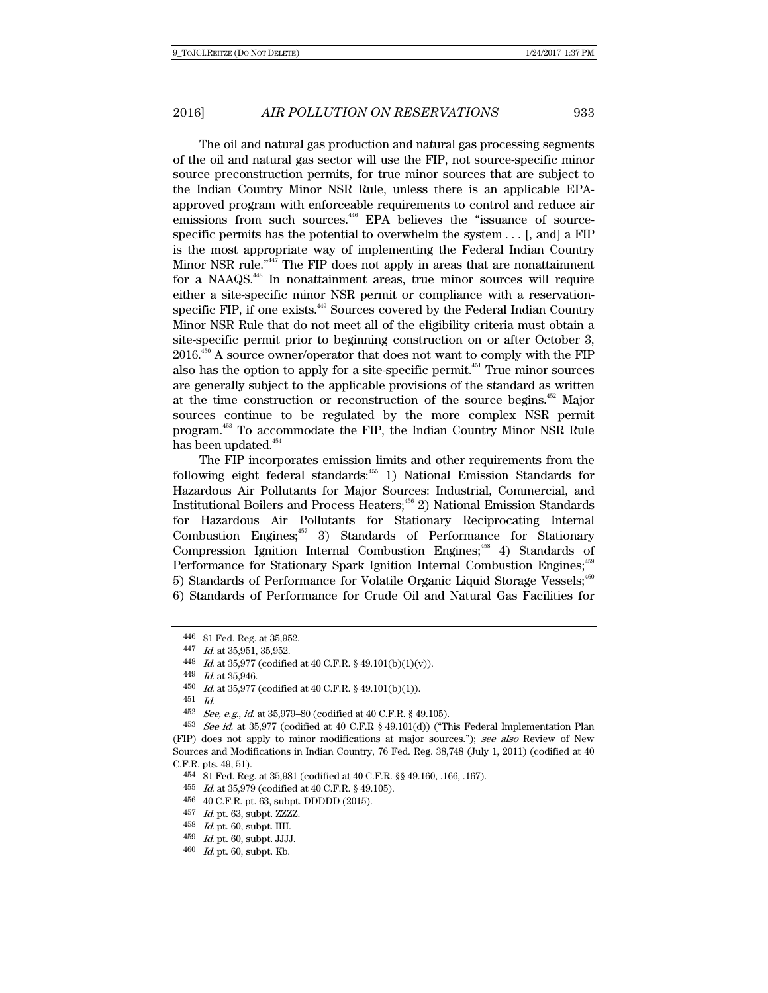The oil and natural gas production and natural gas processing segments of the oil and natural gas sector will use the FIP, not source-specific minor source preconstruction permits, for true minor sources that are subject to the Indian Country Minor NSR Rule, unless there is an applicable EPAapproved program with enforceable requirements to control and reduce air emissions from such sources.<sup>446</sup> EPA believes the "issuance of sourcespecific permits has the potential to overwhelm the system  $\dots$  [, and] a FIP is the most appropriate way of implementing the Federal Indian Country Minor NSR rule."447 The FIP does not apply in areas that are nonattainment for a NAAQS.448 In nonattainment areas, true minor sources will require either a site-specific minor NSR permit or compliance with a reservationspecific FIP, if one exists.<sup>449</sup> Sources covered by the Federal Indian Country Minor NSR Rule that do not meet all of the eligibility criteria must obtain a site-specific permit prior to beginning construction on or after October 3,  $2016<sup>450</sup>$  A source owner/operator that does not want to comply with the FIP also has the option to apply for a site-specific permit.451 True minor sources are generally subject to the applicable provisions of the standard as written at the time construction or reconstruction of the source begins. $452$  Major sources continue to be regulated by the more complex NSR permit program.453 To accommodate the FIP, the Indian Country Minor NSR Rule has been updated.<sup>454</sup>

The FIP incorporates emission limits and other requirements from the following eight federal standards: $455$  1) National Emission Standards for Hazardous Air Pollutants for Major Sources: Industrial, Commercial, and Institutional Boilers and Process Heaters;<sup>456</sup> 2) National Emission Standards for Hazardous Air Pollutants for Stationary Reciprocating Internal Combustion Engines;<sup>457</sup> 3) Standards of Performance for Stationary Compression Ignition Internal Combustion Engines; $48$  4) Standards of Performance for Stationary Spark Ignition Internal Combustion Engines;<sup>459</sup> 5) Standards of Performance for Volatile Organic Liquid Storage Vessels;<sup>460</sup> 6) Standards of Performance for Crude Oil and Natural Gas Facilities for

<sup>446 81</sup> Fed. Reg. at 35,952.

<sup>447</sup> Id. at 35,951, 35,952.

<sup>448</sup> Id. at 35,977 (codified at 40 C.F.R. § 49.101(b)(1)(v)).

<sup>449</sup> Id. at 35,946.

<sup>450</sup> *Id.* at 35,977 (codified at 40 C.F.R. § 49.101(b)(1)).

<sup>451</sup> Id.

<sup>452</sup> See, e.g., id. at 35,979–80 (codified at 40 C.F.R. § 49.105).

<sup>453</sup> See id. at 35,977 (codified at 40 C.F.R § 49.101(d)) ("This Federal Implementation Plan (FIP) does not apply to minor modifications at major sources."); see also Review of New Sources and Modifications in Indian Country, 76 Fed. Reg. 38,748 (July 1, 2011) (codified at 40 C.F.R. pts. 49, 51).

<sup>454 81</sup> Fed. Reg. at 35,981 (codified at 40 C.F.R. §§ 49.160, .166, .167).

 $455\;$   $\;$   $Id.$  at 35,979 (codified at 40 C.F.R. § 49.105).

<sup>456 40</sup> C.F.R. pt. 63, subpt. DDDDD (2015).

 $457$  *Id.* pt. 63, subpt. ZZZZ.

<sup>458</sup> Id. pt. 60, subpt. IIII.

 $^{459}$   $\,$   $Id.$  pt. 60, subpt. JJJJ.

 $460$  *Id.* pt. 60, subpt. Kb.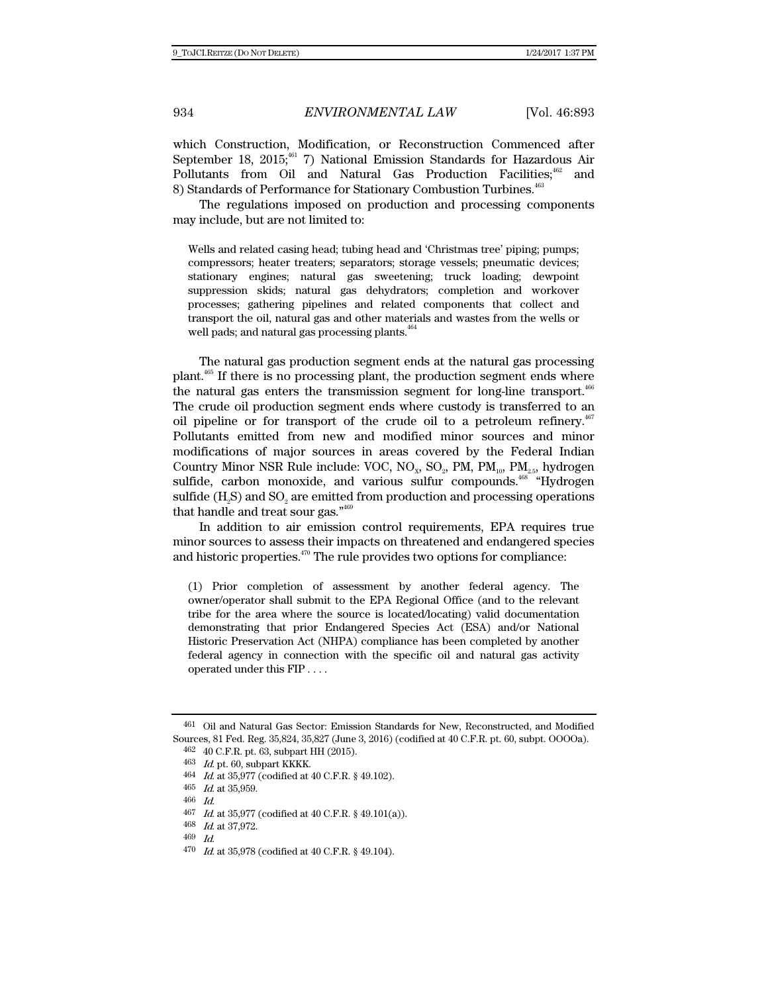which Construction, Modification, or Reconstruction Commenced after September 18, 2015;<sup>461</sup> 7) National Emission Standards for Hazardous Air Pollutants from Oil and Natural Gas Production Facilities;<sup>462</sup> and 8) Standards of Performance for Stationary Combustion Turbines.<sup>463</sup>

The regulations imposed on production and processing components may include, but are not limited to:

Wells and related casing head; tubing head and 'Christmas tree' piping; pumps; compressors; heater treaters; separators; storage vessels; pneumatic devices; stationary engines; natural gas sweetening; truck loading; dewpoint suppression skids; natural gas dehydrators; completion and workover processes; gathering pipelines and related components that collect and transport the oil, natural gas and other materials and wastes from the wells or well pads; and natural gas processing plants.<sup>464</sup>

The natural gas production segment ends at the natural gas processing plant.465 If there is no processing plant, the production segment ends where the natural gas enters the transmission segment for long-line transport.<sup>466</sup> The crude oil production segment ends where custody is transferred to an oil pipeline or for transport of the crude oil to a petroleum refinery.<sup> $467$ </sup> Pollutants emitted from new and modified minor sources and minor modifications of major sources in areas covered by the Federal Indian Country Minor NSR Rule include: VOC, NO<sub>x</sub>, SO<sub>2</sub>, PM, PM<sub>10</sub>, PM<sub>2.5</sub>, hydrogen sulfide, carbon monoxide, and various sulfur compounds.<sup>468</sup> "Hydrogen sulfide  $(H, S)$  and  $SO<sub>2</sub>$  are emitted from production and processing operations that handle and treat sour gas."469

In addition to air emission control requirements, EPA requires true minor sources to assess their impacts on threatened and endangered species and historic properties.<sup>470</sup> The rule provides two options for compliance:

(1) Prior completion of assessment by another federal agency. The owner/operator shall submit to the EPA Regional Office (and to the relevant tribe for the area where the source is located/locating) valid documentation demonstrating that prior Endangered Species Act (ESA) and/or National Historic Preservation Act (NHPA) compliance has been completed by another federal agency in connection with the specific oil and natural gas activity operated under this FIP . . . .

<sup>461</sup> Oil and Natural Gas Sector: Emission Standards for New, Reconstructed, and Modified Sources, 81 Fed. Reg. 35,824, 35,827 (June 3, 2016) (codified at 40 C.F.R. pt. 60, subpt. OOOOa).

<sup>462 40</sup> C.F.R. pt. 63, subpart HH (2015).

<sup>463</sup> Id. pt. 60, subpart KKKK.

<sup>464</sup> Id. at 35,977 (codified at 40 C.F.R. § 49.102).

<sup>465</sup>  $Id.$  at 35,959.

<sup>466</sup> Id.

 $467$  *Id.* at 35,977 (codified at 40 C.F.R. § 49.101(a)).

<sup>468</sup> Id. at 37,972.

<sup>469</sup> Id.

 $470$  *Id.* at 35,978 (codified at 40 C.F.R. § 49.104).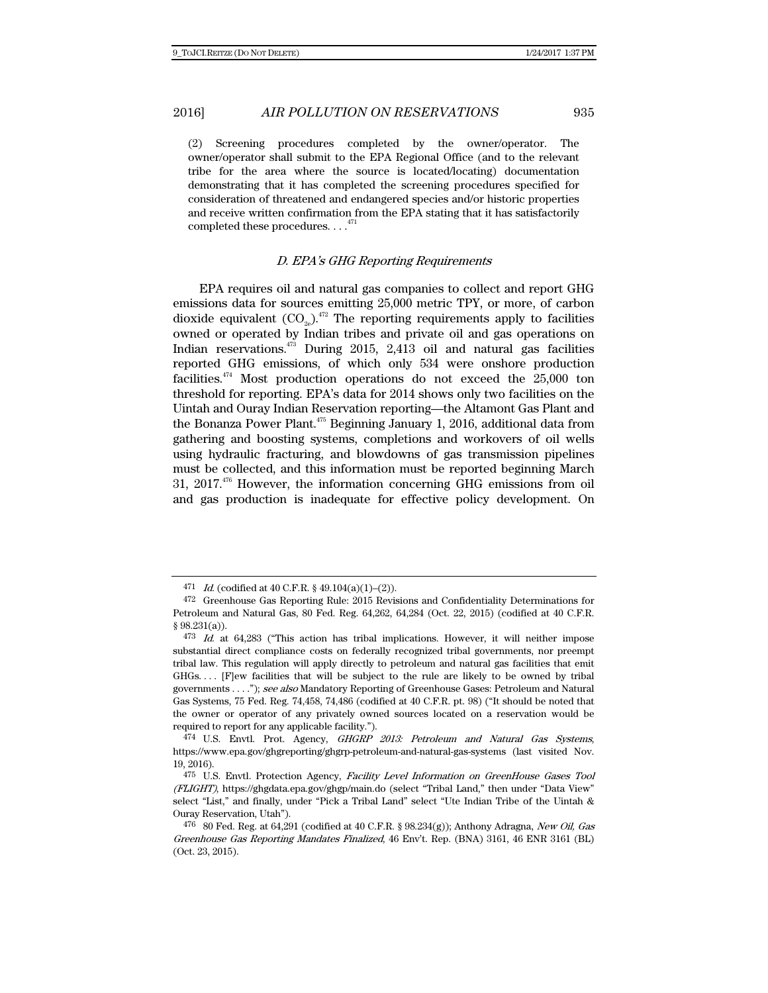(2) Screening procedures completed by the owner/operator. The owner/operator shall submit to the EPA Regional Office (and to the relevant tribe for the area where the source is located/locating) documentation demonstrating that it has completed the screening procedures specified for consideration of threatened and endangered species and/or historic properties and receive written confirmation from the EPA stating that it has satisfactorily completed these procedures. . .  $.^{471}$ 

## D. EPA's GHG Reporting Requirements

EPA requires oil and natural gas companies to collect and report GHG emissions data for sources emitting 25,000 metric TPY, or more, of carbon dioxide equivalent  $({\rm CO}_{2e})^{472}$  The reporting requirements apply to facilities owned or operated by Indian tribes and private oil and gas operations on Indian reservations.473 During 2015, 2,413 oil and natural gas facilities reported GHG emissions, of which only 534 were onshore production facilities.<sup> $474$ </sup> Most production operations do not exceed the 25,000 ton threshold for reporting. EPA's data for 2014 shows only two facilities on the Uintah and Ouray Indian Reservation reporting—the Altamont Gas Plant and the Bonanza Power Plant.<sup>475</sup> Beginning January 1, 2016, additional data from gathering and boosting systems, completions and workovers of oil wells using hydraulic fracturing, and blowdowns of gas transmission pipelines must be collected, and this information must be reported beginning March 31,  $2017<sup>476</sup>$  However, the information concerning GHG emissions from oil and gas production is inadequate for effective policy development. On

<sup>471</sup> *Id.* (codified at 40 C.F.R. § 49.104(a)(1)–(2)).

<sup>472</sup> Greenhouse Gas Reporting Rule: 2015 Revisions and Confidentiality Determinations for Petroleum and Natural Gas, 80 Fed. Reg. 64,262, 64,284 (Oct. 22, 2015) (codified at 40 C.F.R. § 98.231(a)).

<sup>473</sup> Id. at 64,283 ("This action has tribal implications. However, it will neither impose substantial direct compliance costs on federally recognized tribal governments, nor preempt tribal law. This regulation will apply directly to petroleum and natural gas facilities that emit GHGs.... [F]ew facilities that will be subject to the rule are likely to be owned by tribal governments . . . ."); see also Mandatory Reporting of Greenhouse Gases: Petroleum and Natural Gas Systems, 75 Fed. Reg. 74,458, 74,486 (codified at 40 C.F.R. pt. 98) ("It should be noted that the owner or operator of any privately owned sources located on a reservation would be required to report for any applicable facility.").

<sup>474</sup> U.S. Envtl. Prot. Agency, GHGRP 2013: Petroleum and Natural Gas Systems, https://www.epa.gov/ghgreporting/ghgrp-petroleum-and-natural-gas-systems (last visited Nov. 19, 2016).

<sup>475</sup> U.S. Envtl. Protection Agency, Facility Level Information on GreenHouse Gases Tool (FLIGHT), https://ghgdata.epa.gov/ghgp/main.do (select "Tribal Land," then under "Data View" select "List," and finally, under "Pick a Tribal Land" select "Ute Indian Tribe of the Uintah & Ouray Reservation, Utah").

<sup>476 80</sup> Fed. Reg. at 64,291 (codified at 40 C.F.R. § 98.234(g)); Anthony Adragna, New Oil, Gas Greenhouse Gas Reporting Mandates Finalized, 46 Env't. Rep. (BNA) 3161, 46 ENR 3161 (BL) (Oct. 23, 2015).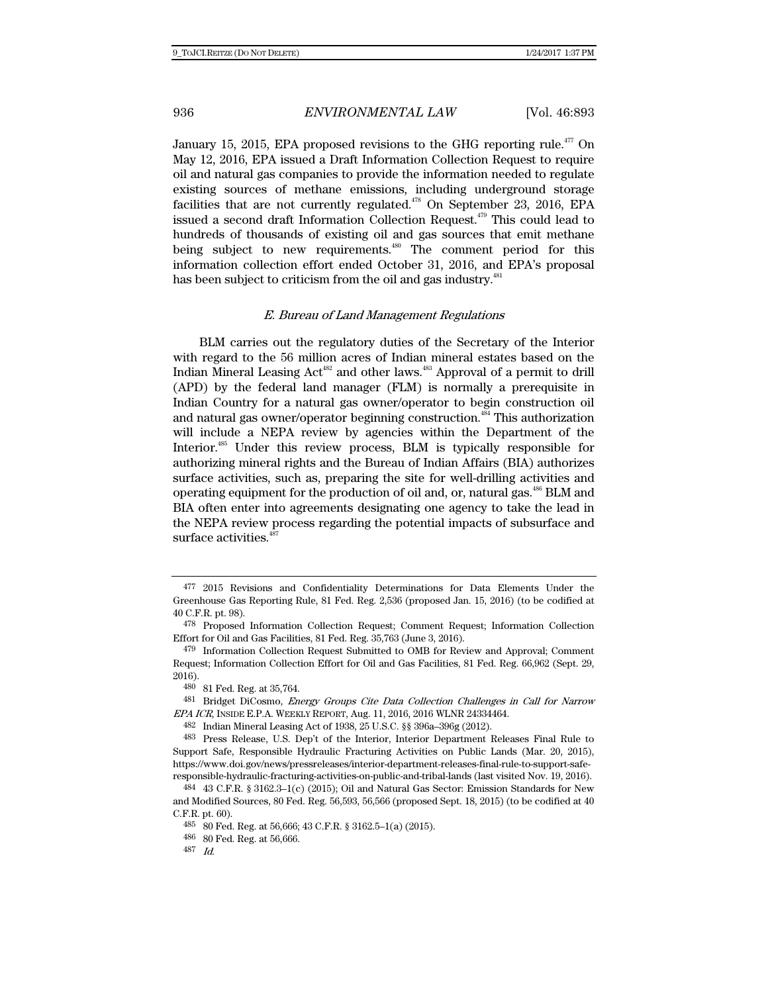January 15, 2015, EPA proposed revisions to the GHG reporting rule.<sup> $477$ </sup> On May 12, 2016, EPA issued a Draft Information Collection Request to require oil and natural gas companies to provide the information needed to regulate existing sources of methane emissions, including underground storage facilities that are not currently regulated.<sup>478</sup> On September 23, 2016, EPA issued a second draft Information Collection Request.<sup>479</sup> This could lead to hundreds of thousands of existing oil and gas sources that emit methane being subject to new requirements. $480$  The comment period for this information collection effort ended October 31, 2016, and EPA's proposal has been subject to criticism from the oil and gas industry.<sup>481</sup>

### E. Bureau of Land Management Regulations

BLM carries out the regulatory duties of the Secretary of the Interior with regard to the 56 million acres of Indian mineral estates based on the Indian Mineral Leasing Act<sup>482</sup> and other laws.<sup>483</sup> Approval of a permit to drill (APD) by the federal land manager (FLM) is normally a prerequisite in Indian Country for a natural gas owner/operator to begin construction oil and natural gas owner/operator beginning construction.<sup>484</sup> This authorization will include a NEPA review by agencies within the Department of the Interior.<sup>485</sup> Under this review process, BLM is typically responsible for authorizing mineral rights and the Bureau of Indian Affairs (BIA) authorizes surface activities, such as, preparing the site for well-drilling activities and operating equipment for the production of oil and, or, natural gas.486 BLM and BIA often enter into agreements designating one agency to take the lead in the NEPA review process regarding the potential impacts of subsurface and surface activities.<sup>4</sup>

<sup>477 2015</sup> Revisions and Confidentiality Determinations for Data Elements Under the Greenhouse Gas Reporting Rule, 81 Fed. Reg. 2,536 (proposed Jan. 15, 2016) (to be codified at 40 C.F.R. pt. 98).

<sup>478</sup> Proposed Information Collection Request; Comment Request; Information Collection Effort for Oil and Gas Facilities, 81 Fed. Reg. 35,763 (June 3, 2016).

<sup>479</sup> Information Collection Request Submitted to OMB for Review and Approval; Comment Request; Information Collection Effort for Oil and Gas Facilities, 81 Fed. Reg. 66,962 (Sept. 29, 2016).

<sup>480 81</sup> Fed. Reg. at 35,764.

<sup>481</sup> Bridget DiCosmo, Energy Groups Cite Data Collection Challenges in Call for Narrow EPA ICR, INSIDE E.P.A. WEEKLY REPORT, Aug. 11, 2016, 2016 WLNR 24334464.

 <sup>482</sup> Indian Mineral Leasing Act of 1938, 25 U.S.C. §§ 396a–396g (2012).

<sup>483</sup> Press Release, U.S. Dep't of the Interior, Interior Department Releases Final Rule to Support Safe, Responsible Hydraulic Fracturing Activities on Public Lands (Mar. 20, 2015), https://www.doi.gov/news/pressreleases/interior-department-releases-final-rule-to-support-saferesponsible-hydraulic-fracturing-activities-on-public-and-tribal-lands (last visited Nov. 19, 2016).

<sup>484 43</sup> C.F.R. § 3162.3–1(c) (2015); Oil and Natural Gas Sector: Emission Standards for New and Modified Sources, 80 Fed. Reg. 56,593, 56,566 (proposed Sept. 18, 2015) (to be codified at 40 C.F.R. pt. 60).

<sup>485 80</sup> Fed. Reg. at 56,666; 43 C.F.R. § 3162.5–1(a) (2015).

<sup>486 80</sup> Fed. Reg. at 56,666.

<sup>487</sup> Id.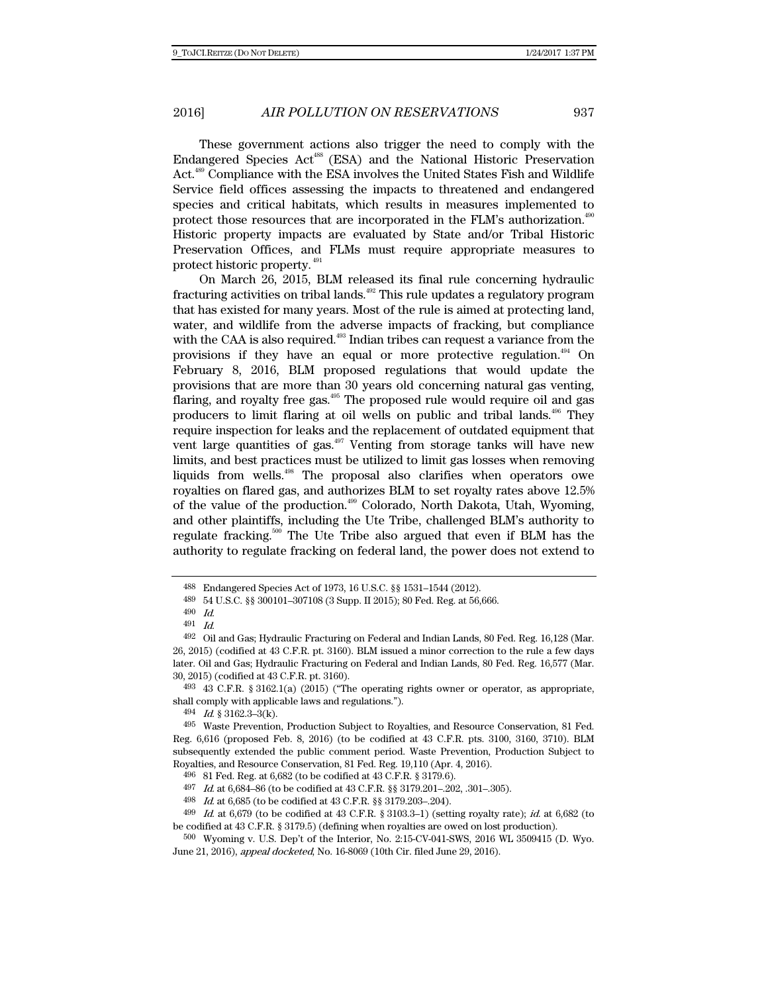These government actions also trigger the need to comply with the Endangered Species Act<sup>488</sup> (ESA) and the National Historic Preservation Act.<sup>489</sup> Compliance with the ESA involves the United States Fish and Wildlife Service field offices assessing the impacts to threatened and endangered species and critical habitats, which results in measures implemented to protect those resources that are incorporated in the FLM's authorization.<sup>490</sup> Historic property impacts are evaluated by State and/or Tribal Historic Preservation Offices, and FLMs must require appropriate measures to protect historic property. 491

On March 26, 2015, BLM released its final rule concerning hydraulic fracturing activities on tribal lands.492 This rule updates a regulatory program that has existed for many years. Most of the rule is aimed at protecting land, water, and wildlife from the adverse impacts of fracking, but compliance with the CAA is also required.<sup>493</sup> Indian tribes can request a variance from the provisions if they have an equal or more protective regulation.<sup>494</sup> On February 8, 2016, BLM proposed regulations that would update the provisions that are more than 30 years old concerning natural gas venting, flaring, and royalty free gas.<sup>495</sup> The proposed rule would require oil and gas producers to limit flaring at oil wells on public and tribal lands. $496$  They require inspection for leaks and the replacement of outdated equipment that vent large quantities of gas. $497$  Venting from storage tanks will have new limits, and best practices must be utilized to limit gas losses when removing liquids from wells.498 The proposal also clarifies when operators owe royalties on flared gas, and authorizes BLM to set royalty rates above 12.5% of the value of the production.499 Colorado, North Dakota, Utah, Wyoming, and other plaintiffs, including the Ute Tribe, challenged BLM's authority to regulate fracking.500 The Ute Tribe also argued that even if BLM has the authority to regulate fracking on federal land, the power does not extend to

<sup>488</sup> Endangered Species Act of 1973, 16 U.S.C. §§ 1531–1544 (2012).

<sup>489 54</sup> U.S.C. §§ 300101–307108 (3 Supp. II 2015); 80 Fed. Reg. at 56,666.

<sup>490</sup> Id.

<sup>491</sup> Id.

<sup>492</sup> Oil and Gas; Hydraulic Fracturing on Federal and Indian Lands, 80 Fed. Reg. 16,128 (Mar. 26, 2015) (codified at 43 C.F.R. pt. 3160). BLM issued a minor correction to the rule a few days later. Oil and Gas; Hydraulic Fracturing on Federal and Indian Lands, 80 Fed. Reg. 16,577 (Mar. 30, 2015) (codified at 43 C.F.R. pt. 3160).

<sup>493 43</sup> C.F.R. § 3162.1(a) (2015) ("The operating rights owner or operator, as appropriate, shall comply with applicable laws and regulations.").

<sup>494</sup> Id. § 3162.3–3(k).

<sup>495</sup> Waste Prevention, Production Subject to Royalties, and Resource Conservation, 81 Fed. Reg. 6,616 (proposed Feb. 8, 2016) (to be codified at 43 C.F.R. pts. 3100, 3160, 3710). BLM subsequently extended the public comment period. Waste Prevention, Production Subject to Royalties, and Resource Conservation, 81 Fed. Reg. 19,110 (Apr. 4, 2016).

<sup>496 81</sup> Fed. Reg. at 6,682 (to be codified at 43 C.F.R. § 3179.6).

<sup>497</sup> Id. at 6,684–86 (to be codified at 43 C.F.R. §§ 3179.201–.202, .301–.305).

<sup>498</sup> Id. at 6,685 (to be codified at 43 C.F.R. §§ 3179.203–.204).

 $^{499}$  *Id.* at 6,679 (to be codified at 43 C.F.R. § 3103.3–1) (setting royalty rate); *id.* at 6,682 (to be codified at 43 C.F.R. § 3179.5) (defining when royalties are owed on lost production).

<sup>500</sup> Wyoming v. U.S. Dep't of the Interior, No. 2:15-CV-041-SWS, 2016 WL 3509415 (D. Wyo. June 21, 2016), appeal docketed, No. 16-8069 (10th Cir. filed June 29, 2016).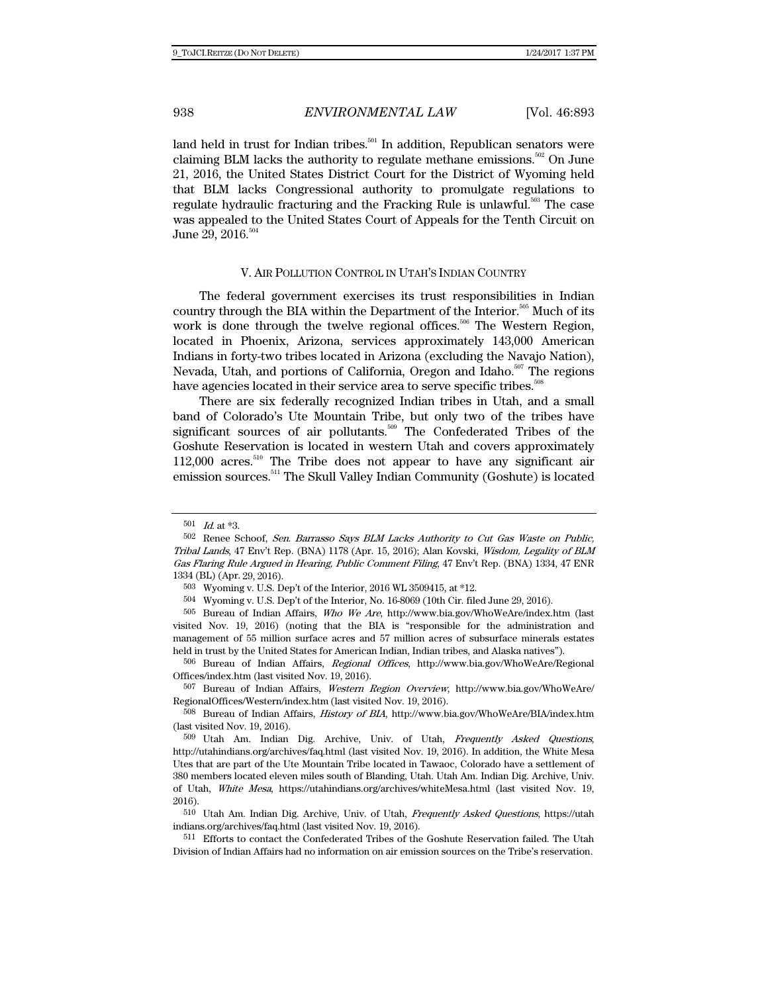land held in trust for Indian tribes.<sup>501</sup> In addition, Republican senators were claiming BLM lacks the authority to regulate methane emissions.<sup>502</sup> On June 21, 2016, the United States District Court for the District of Wyoming held that BLM lacks Congressional authority to promulgate regulations to regulate hydraulic fracturing and the Fracking Rule is unlawful.<sup>503</sup> The case was appealed to the United States Court of Appeals for the Tenth Circuit on June 29, 2016.<sup>504</sup>

### V. AIR POLLUTION CONTROL IN UTAH'S INDIAN COUNTRY

The federal government exercises its trust responsibilities in Indian country through the BIA within the Department of the Interior.<sup>505</sup> Much of its work is done through the twelve regional offices.<sup>506</sup> The Western Region, located in Phoenix, Arizona, services approximately 143,000 American Indians in forty-two tribes located in Arizona (excluding the Navajo Nation), Nevada, Utah, and portions of California, Oregon and Idaho.<sup>507</sup> The regions have agencies located in their service area to serve specific tribes.<sup>508</sup>

There are six federally recognized Indian tribes in Utah, and a small band of Colorado's Ute Mountain Tribe, but only two of the tribes have significant sources of air pollutants.<sup>509</sup> The Confederated Tribes of the Goshute Reservation is located in western Utah and covers approximately  $112,000$  acres.<sup>510</sup> The Tribe does not appear to have any significant air emission sources.<sup>511</sup> The Skull Valley Indian Community (Goshute) is located

<sup>501</sup>  $Id.$  at \*3.

<sup>502</sup> Renee Schoof, Sen. Barrasso Says BLM Lacks Authority to Cut Gas Waste on Public, Tribal Lands, 47 Env't Rep. (BNA) 1178 (Apr. 15, 2016); Alan Kovski, Wisdom, Legality of BLM Gas Flaring Rule Argued in Hearing, Public Comment Filing, 47 Env't Rep. (BNA) 1334, 47 ENR 1334 (BL) (Apr. 29, 2016).

<sup>503</sup> Wyoming v. U.S. Dep't of the Interior, 2016 WL 3509415, at \*12.

<sup>504</sup> Wyoming v. U.S. Dep't of the Interior, No. 16-8069 (10th Cir. filed June 29, 2016).

<sup>505</sup> Bureau of Indian Affairs, Who We Are, http://www.bia.gov/WhoWeAre/index.htm (last visited Nov. 19, 2016) (noting that the BIA is "responsible for the administration and management of 55 million surface acres and 57 million acres of subsurface minerals estates held in trust by the United States for American Indian, Indian tribes, and Alaska natives").

<sup>506</sup> Bureau of Indian Affairs, Regional Offices, http://www.bia.gov/WhoWeAre/Regional Offices/index.htm (last visited Nov. 19, 2016).

<sup>507</sup> Bureau of Indian Affairs, Western Region Overview, http://www.bia.gov/WhoWeAre/ RegionalOffices/Western/index.htm (last visited Nov. 19, 2016).

<sup>508</sup> Bureau of Indian Affairs, History of BIA, http://www.bia.gov/WhoWeAre/BIA/index.htm (last visited Nov. 19, 2016).

<sup>509</sup> Utah Am. Indian Dig. Archive, Univ. of Utah, Frequently Asked Questions, http://utahindians.org/archives/faq.html (last visited Nov. 19, 2016). In addition, the White Mesa Utes that are part of the Ute Mountain Tribe located in Tawaoc, Colorado have a settlement of 380 members located eleven miles south of Blanding, Utah. Utah Am. Indian Dig. Archive, Univ. of Utah, White Mesa, https://utahindians.org/archives/whiteMesa.html (last visited Nov. 19, 2016).

<sup>510</sup> Utah Am. Indian Dig. Archive, Univ. of Utah, Frequently Asked Questions, https://utah indians.org/archives/faq.html (last visited Nov. 19, 2016).

<sup>511</sup> Efforts to contact the Confederated Tribes of the Goshute Reservation failed. The Utah Division of Indian Affairs had no information on air emission sources on the Tribe's reservation.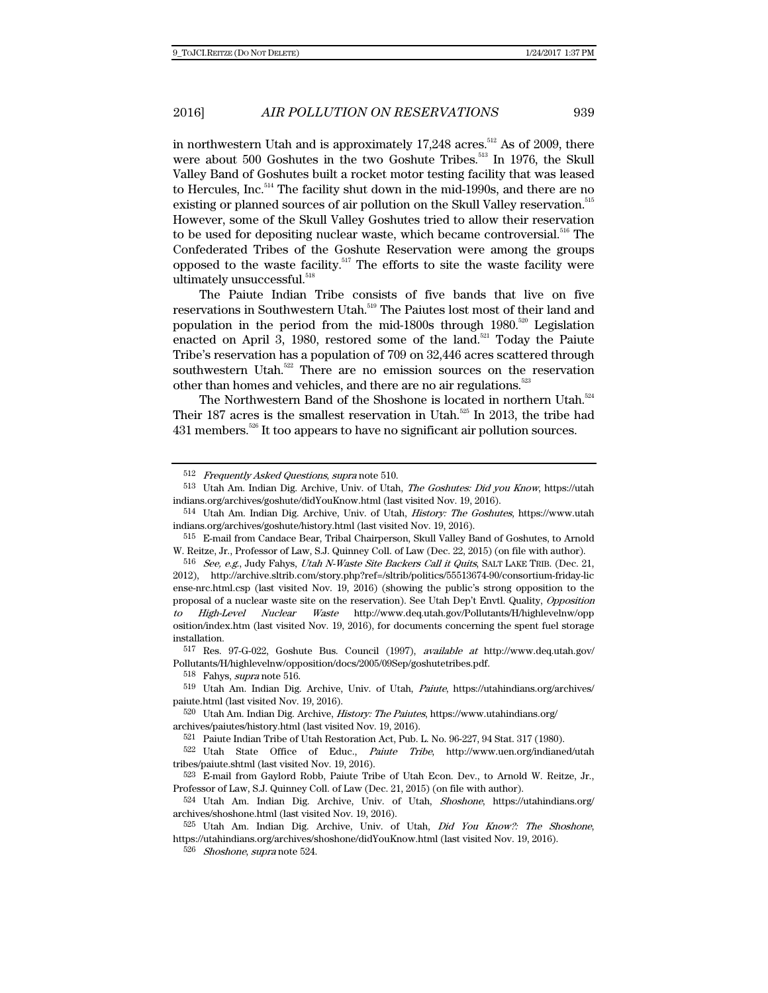in northwestern Utah and is approximately  $17,248$  acres.<sup>512</sup> As of 2009, there were about 500 Goshutes in the two Goshute Tribes.<sup>513</sup> In 1976, the Skull Valley Band of Goshutes built a rocket motor testing facility that was leased to Hercules, Inc.<sup>514</sup> The facility shut down in the mid-1990s, and there are no existing or planned sources of air pollution on the Skull Valley reservation.<sup>515</sup> However, some of the Skull Valley Goshutes tried to allow their reservation to be used for depositing nuclear waste, which became controversial.<sup>516</sup> The Confederated Tribes of the Goshute Reservation were among the groups opposed to the waste facility.<sup>517</sup> The efforts to site the waste facility were ultimately unsuccessful.<sup>518</sup>

The Paiute Indian Tribe consists of five bands that live on five reservations in Southwestern Utah.<sup>519</sup> The Paiutes lost most of their land and population in the period from the mid-1800s through  $1980$ .<sup>520</sup> Legislation enacted on April 3, 1980, restored some of the land.<sup>521</sup> Today the Paiute Tribe's reservation has a population of 709 on 32,446 acres scattered through southwestern Utah.<sup>522</sup> There are no emission sources on the reservation other than homes and vehicles, and there are no air regulations. $52$ 

The Northwestern Band of the Shoshone is located in northern Utah.<sup>524</sup> Their 187 acres is the smallest reservation in Utah. $525$  In 2013, the tribe had  $431$  members.<sup>526</sup> It too appears to have no significant air pollution sources.

518 Fahys, supra note 516.

<sup>512</sup> Frequently Asked Questions, supra note 510.

<sup>513</sup> Utah Am. Indian Dig. Archive, Univ. of Utah, The Goshutes: Did you Know, https://utah indians.org/archives/goshute/didYouKnow.html (last visited Nov. 19, 2016).

<sup>514</sup> Utah Am. Indian Dig. Archive, Univ. of Utah, History: The Goshutes, https://www.utah indians.org/archives/goshute/history.html (last visited Nov. 19, 2016).

<sup>515</sup> E-mail from Candace Bear, Tribal Chairperson, Skull Valley Band of Goshutes, to Arnold W. Reitze, Jr., Professor of Law, S.J. Quinney Coll. of Law (Dec. 22, 2015) (on file with author).

<sup>516</sup> See, e.g., Judy Fahys, Utah N-Waste Site Backers Call it Quits, SALT LAKE TRIB. (Dec. 21, 2012), http://archive.sltrib.com/story.php?ref=/sltrib/politics/55513674-90/consortium-friday-lic ense-nrc.html.csp (last visited Nov. 19, 2016) (showing the public's strong opposition to the proposal of a nuclear waste site on the reservation). See Utah Dep't Envtl. Quality, Opposition to High-Level Nuclear Waste http://www.deq.utah.gov/Pollutants/H/highlevelnw/opp osition/index.htm (last visited Nov. 19, 2016), for documents concerning the spent fuel storage installation.

<sup>517</sup> Res. 97-G-022, Goshute Bus. Council (1997), available at http://www.deq.utah.gov/ Pollutants/H/highlevelnw/opposition/docs/2005/09Sep/goshutetribes.pdf.

<sup>519</sup> Utah Am. Indian Dig. Archive, Univ. of Utah, Paiute, https://utahindians.org/archives/ paiute.html (last visited Nov. 19, 2016).

<sup>520</sup> Utah Am. Indian Dig. Archive, History: The Paiutes, https://www.utahindians.org/ archives/paiutes/history.html (last visited Nov. 19, 2016).

<sup>521</sup> Paiute Indian Tribe of Utah Restoration Act, Pub. L. No. 96-227, 94 Stat. 317 (1980).

<sup>522</sup> Utah State Office of Educ., Paiute Tribe, http://www.uen.org/indianed/utah tribes/paiute.shtml (last visited Nov. 19, 2016).

<sup>523</sup> E-mail from Gaylord Robb, Paiute Tribe of Utah Econ. Dev., to Arnold W. Reitze, Jr., Professor of Law, S.J. Quinney Coll. of Law (Dec. 21, 2015) (on file with author).

<sup>524</sup> Utah Am. Indian Dig. Archive, Univ. of Utah, Shoshone, https://utahindians.org/ archives/shoshone.html (last visited Nov. 19, 2016).

<sup>525</sup> Utah Am. Indian Dig. Archive, Univ. of Utah, Did You Know?: The Shoshone, https://utahindians.org/archives/shoshone/didYouKnow.html (last visited Nov. 19, 2016).

<sup>526</sup> Shoshone, supra note 524.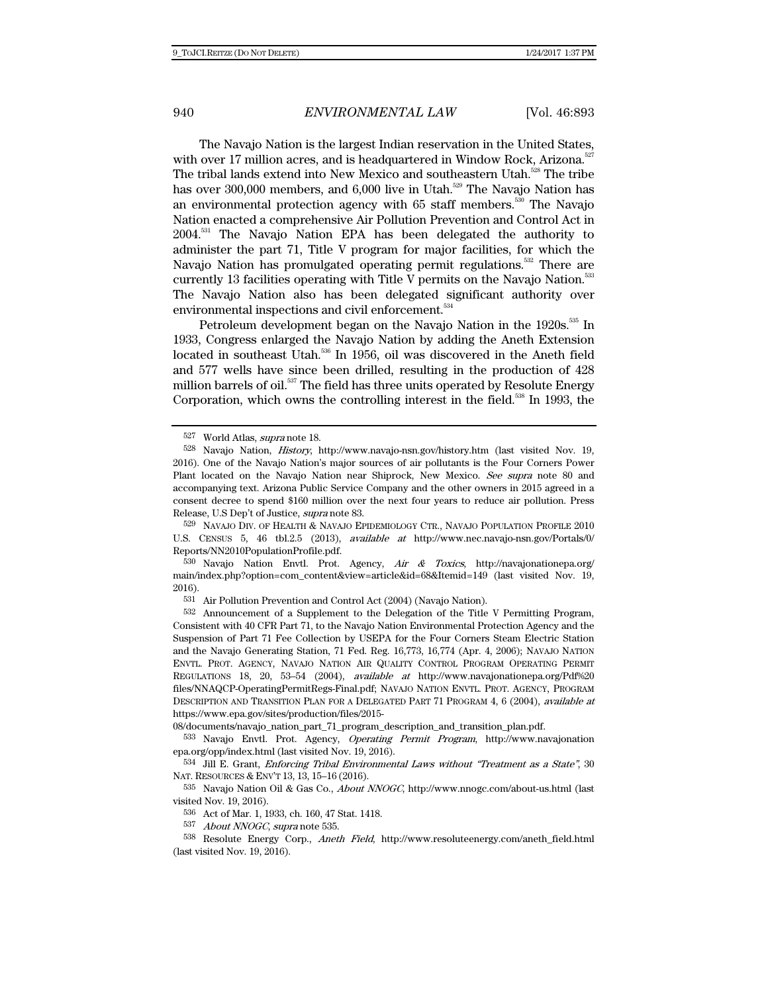The Navajo Nation is the largest Indian reservation in the United States, with over 17 million acres, and is headquartered in Window Rock, Arizona.<sup>52</sup> The tribal lands extend into New Mexico and southeastern Utah.<sup>528</sup> The tribe has over 300,000 members, and  $6,000$  live in Utah.<sup>529</sup> The Navajo Nation has an environmental protection agency with 65 staff members.<sup>530</sup> The Navajo Nation enacted a comprehensive Air Pollution Prevention and Control Act in 2004.531 The Navajo Nation EPA has been delegated the authority to administer the part 71, Title V program for major facilities, for which the Navajo Nation has promulgated operating permit regulations.<sup>532</sup> There are currently 13 facilities operating with Title V permits on the Navajo Nation.<sup>533</sup> The Navajo Nation also has been delegated significant authority over environmental inspections and civil enforcement.<sup>534</sup>

Petroleum development began on the Navajo Nation in the 1920s.<sup>535</sup> In 1933, Congress enlarged the Navajo Nation by adding the Aneth Extension located in southeast Utah.<sup>536</sup> In 1956, oil was discovered in the Aneth field and 577 wells have since been drilled, resulting in the production of 428 million barrels of oil.<sup>537</sup> The field has three units operated by Resolute Energy Corporation, which owns the controlling interest in the field.<sup>538</sup> In 1993, the

530 Navajo Nation Envtl. Prot. Agency, Air & Toxics, http://navajonationepa.org/ main/index.php?option=com\_content&view=article&id=68&Itemid=149 (last visited Nov. 19, 2016).

531 Air Pollution Prevention and Control Act (2004) (Navajo Nation).

532 Announcement of a Supplement to the Delegation of the Title V Permitting Program, Consistent with 40 CFR Part 71, to the Navajo Nation Environmental Protection Agency and the Suspension of Part 71 Fee Collection by USEPA for the Four Corners Steam Electric Station and the Navajo Generating Station, 71 Fed. Reg. 16,773, 16,774 (Apr. 4, 2006); NAVAJO NATION ENVTL. PROT. AGENCY, NAVAJO NATION AIR QUALITY CONTROL PROGRAM OPERATING PERMIT REGULATIONS 18, 20, 53–54 (2004), available at http://www.navajonationepa.org/Pdf%20 files/NNAQCP-OperatingPermitRegs-Final.pdf; NAVAJO NATION ENVTL. PROT. AGENCY, PROGRAM DESCRIPTION AND TRANSITION PLAN FOR A DELEGATED PART 71 PROGRAM 4, 6 (2004), available at https://www.epa.gov/sites/production/files/2015-

08/documents/navajo\_nation\_part\_71\_program\_description\_and\_transition\_plan.pdf.

533 Navajo Envtl. Prot. Agency, Operating Permit Program, http://www.navajonation epa.org/opp/index.html (last visited Nov. 19, 2016).

534 Jill E. Grant, Enforcing Tribal Environmental Laws without "Treatment as a State", 30 NAT. RESOURCES & ENV'T 13, 13, 15–16 (2016).

535 Navajo Nation Oil & Gas Co., *About NNOGC*, http://www.nnogc.com/about-us.html (last visited Nov. 19, 2016).

536 Act of Mar. 1, 1933, ch. 160, 47 Stat. 1418.

537 About NNOGC, supra note 535.

538 Resolute Energy Corp., Aneth Field, http://www.resoluteenergy.com/aneth\_field.html (last visited Nov. 19, 2016).

<sup>527</sup> World Atlas, supra note 18.

<sup>528</sup> Navajo Nation, History, http://www.navajo-nsn.gov/history.htm (last visited Nov. 19, 2016). One of the Navajo Nation's major sources of air pollutants is the Four Corners Power Plant located on the Navajo Nation near Shiprock, New Mexico. See supra note 80 and accompanying text. Arizona Public Service Company and the other owners in 2015 agreed in a consent decree to spend \$160 million over the next four years to reduce air pollution. Press Release, U.S Dep't of Justice, supra note 83.

<sup>529</sup> NAVAJO DIV. OF HEALTH & NAVAJO EPIDEMIOLOGY CTR., NAVAJO POPULATION PROFILE 2010 U.S. CENSUS 5, 46 tbl.2.5 (2013), available at http://www.nec.navajo-nsn.gov/Portals/0/ Reports/NN2010PopulationProfile.pdf.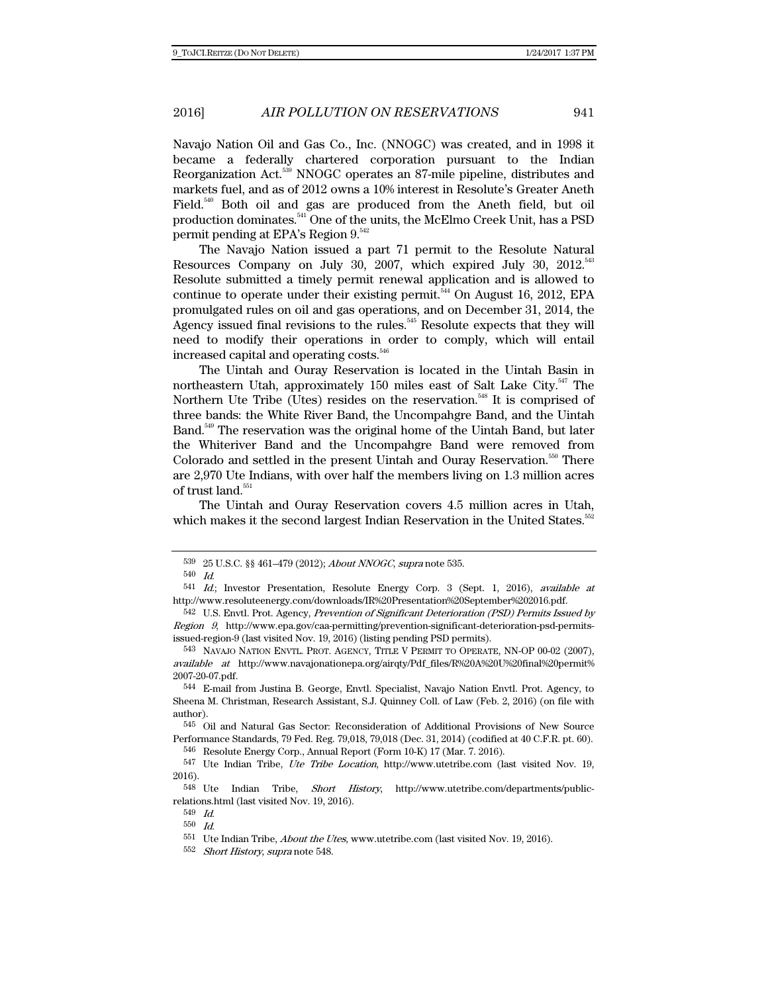Navajo Nation Oil and Gas Co., Inc. (NNOGC) was created, and in 1998 it became a federally chartered corporation pursuant to the Indian Reorganization Act.539 NNOGC operates an 87-mile pipeline, distributes and markets fuel, and as of 2012 owns a 10% interest in Resolute's Greater Aneth Field.<sup>540</sup> Both oil and gas are produced from the Aneth field, but oil production dominates.541 One of the units, the McElmo Creek Unit, has a PSD permit pending at EPA's Region 9.<sup>542</sup>

The Navajo Nation issued a part 71 permit to the Resolute Natural Resources Company on July 30, 2007, which expired July 30, 2012.<sup>543</sup> Resolute submitted a timely permit renewal application and is allowed to continue to operate under their existing permit.<sup> $544$ </sup> On August 16, 2012, EPA promulgated rules on oil and gas operations, and on December 31, 2014, the Agency issued final revisions to the rules.<sup>545</sup> Resolute expects that they will need to modify their operations in order to comply, which will entail increased capital and operating costs.<sup>546</sup>

The Uintah and Ouray Reservation is located in the Uintah Basin in northeastern Utah, approximately 150 miles east of Salt Lake City.<sup>547</sup> The Northern Ute Tribe (Utes) resides on the reservation.<sup>548</sup> It is comprised of three bands: the White River Band, the Uncompahgre Band, and the Uintah Band.549 The reservation was the original home of the Uintah Band, but later the Whiteriver Band and the Uncompahgre Band were removed from Colorado and settled in the present Uintah and Ouray Reservation.<sup>550</sup> There are 2,970 Ute Indians, with over half the members living on 1.3 million acres of trust land. $^{\rm 551}$ 

The Uintah and Ouray Reservation covers 4.5 million acres in Utah, which makes it the second largest Indian Reservation in the United States.<sup>552</sup>

<sup>539 25</sup> U.S.C. §§ 461–479 (2012); About NNOGC, supra note 535.

<sup>540</sup> Id.

<sup>541</sup> Id.; Investor Presentation, Resolute Energy Corp. 3 (Sept. 1, 2016), available at http://www.resoluteenergy.com/downloads/IR%20Presentation%20September%202016.pdf.

<sup>542</sup> U.S. Envtl. Prot. Agency, Prevention of Significant Deterioration (PSD) Permits Issued by Region 9, http://www.epa.gov/caa-permitting/prevention-significant-deterioration-psd-permitsissued-region-9 (last visited Nov. 19, 2016) (listing pending PSD permits).

<sup>543</sup> NAVAJO NATION ENVTL. PROT. AGENCY, TITLE V PERMIT TO OPERATE, NN-OP 00-02 (2007), available at http://www.navajonationepa.org/airqty/Pdf\_files/R%20A%20U%20final%20permit% 2007-20-07.pdf.

<sup>544</sup> E-mail from Justina B. George, Envtl. Specialist, Navajo Nation Envtl. Prot. Agency, to Sheena M. Christman, Research Assistant, S.J. Quinney Coll. of Law (Feb. 2, 2016) (on file with author).

<sup>545</sup> Oil and Natural Gas Sector: Reconsideration of Additional Provisions of New Source Performance Standards, 79 Fed. Reg. 79,018, 79,018 (Dec. 31, 2014) (codified at 40 C.F.R. pt. 60).

<sup>546</sup> Resolute Energy Corp., Annual Report (Form 10-K) 17 (Mar. 7. 2016).

<sup>547</sup> Ute Indian Tribe, Ute Tribe Location, http://www.utetribe.com (last visited Nov. 19,  $\,$  2016). Ute

Indian Tribe, *Short History*, http://www.utetribe.com/departments/publicrelations.html (last visited Nov. 19, 2016).

<sup>549</sup> Id.

<sup>550</sup> Id.

<sup>551</sup> Ute Indian Tribe, About the Utes, www.utetribe.com (last visited Nov. 19, 2016).

<sup>552</sup> Short History, supra note 548.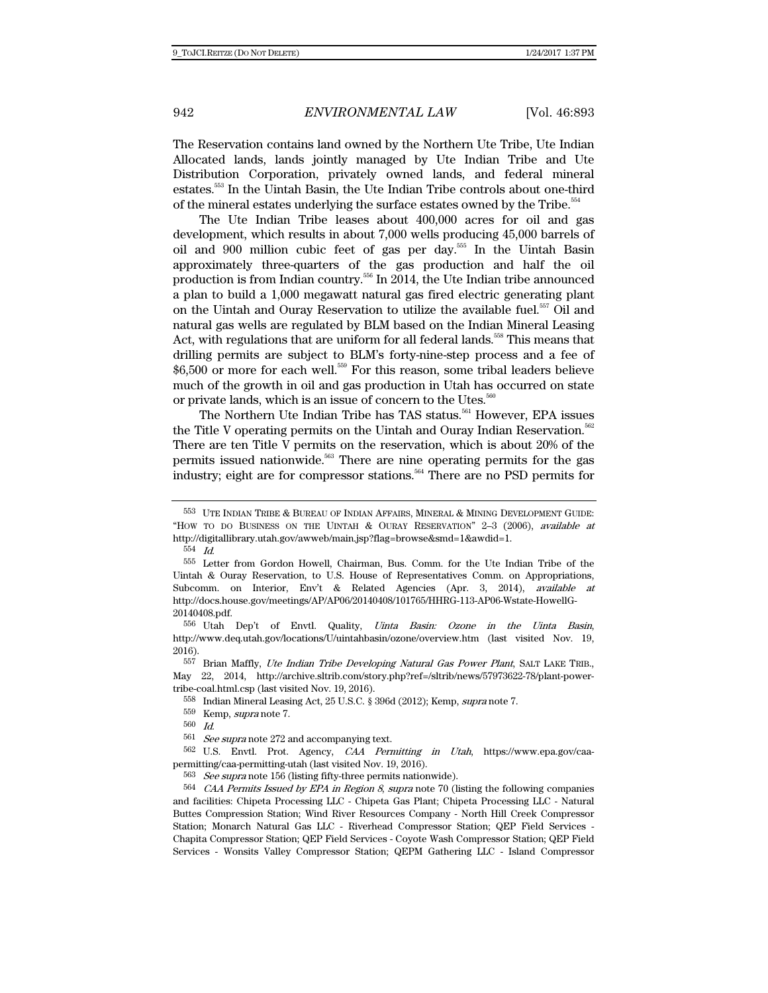The Reservation contains land owned by the Northern Ute Tribe, Ute Indian Allocated lands, lands jointly managed by Ute Indian Tribe and Ute Distribution Corporation, privately owned lands, and federal mineral estates.553 In the Uintah Basin, the Ute Indian Tribe controls about one-third of the mineral estates underlying the surface estates owned by the Tribe.<sup>554</sup>

The Ute Indian Tribe leases about 400,000 acres for oil and gas development, which results in about 7,000 wells producing 45,000 barrels of oil and 900 million cubic feet of gas per day.555 In the Uintah Basin approximately three-quarters of the gas production and half the oil production is from Indian country.<sup>556</sup> In 2014, the Ute Indian tribe announced a plan to build a 1,000 megawatt natural gas fired electric generating plant on the Uintah and Ouray Reservation to utilize the available fuel.<sup>557</sup> Oil and natural gas wells are regulated by BLM based on the Indian Mineral Leasing Act, with regulations that are uniform for all federal lands.<sup>558</sup> This means that drilling permits are subject to BLM's forty-nine-step process and a fee of \$6,500 or more for each well.<sup>559</sup> For this reason, some tribal leaders believe much of the growth in oil and gas production in Utah has occurred on state or private lands, which is an issue of concern to the Utes.<sup>560</sup>

The Northern Ute Indian Tribe has TAS status.<sup>561</sup> However, EPA issues the Title V operating permits on the Uintah and Ouray Indian Reservation.<sup>562</sup> There are ten Title V permits on the reservation, which is about 20% of the permits issued nationwide.<sup>563</sup> There are nine operating permits for the gas industry; eight are for compressor stations.<sup>564</sup> There are no PSD permits for

556 Utah Dep't of Envtl. Quality, Uinta Basin: Ozone in the Uinta Basin, http://www.deq.utah.gov/locations/U/uintahbasin/ozone/overview.htm (last visited Nov. 19, 2016).

<sup>557</sup> Brian Maffly, *Ute Indian Tribe Developing Natural Gas Power Plant*, SALT LAKE TRIB., May 22, 2014, http://archive.sltrib.com/story.php?ref=/sltrib/news/57973622-78/plant-powertribe-coal.html.csp (last visited Nov. 19, 2016).

558 Indian Mineral Leasing Act, 25 U.S.C. § 396d (2012); Kemp, supra note 7.

560 Id.

561 See supra note 272 and accompanying text.

562 U.S. Envtl. Prot. Agency, CAA Permitting in Utah, https://www.epa.gov/caapermitting/caa-permitting-utah (last visited Nov. 19, 2016).

 $563$  See supra note 156 (listing fifty-three permits nationwide).

 $564$  CAA Permits Issued by EPA in Region 8, supra note 70 (listing the following companies and facilities: Chipeta Processing LLC - Chipeta Gas Plant; Chipeta Processing LLC - Natural Buttes Compression Station; Wind River Resources Company - North Hill Creek Compressor Station; Monarch Natural Gas LLC - Riverhead Compressor Station; QEP Field Services - Chapita Compressor Station; QEP Field Services - Coyote Wash Compressor Station; QEP Field Services - Wonsits Valley Compressor Station; QEPM Gathering LLC - Island Compressor

<sup>553</sup> UTE INDIAN TRIBE & BUREAU OF INDIAN AFFAIRS, MINERAL & MINING DEVELOPMENT GUIDE: "HOW TO DO BUSINESS ON THE UINTAH & OURAY RESERVATION" 2–3 (2006), available at http://digitallibrary.utah.gov/awweb/main.jsp?flag=browse&smd=1&awdid=1.

<sup>554</sup> Id.

<sup>555</sup> Letter from Gordon Howell, Chairman, Bus. Comm. for the Ute Indian Tribe of the Uintah & Ouray Reservation, to U.S. House of Representatives Comm. on Appropriations, Subcomm. on Interior, Env't & Related Agencies (Apr. 3, 2014), available at http://docs.house.gov/meetings/AP/AP06/20140408/101765/HHRG-113-AP06-Wstate-HowellG-20140408.pdf.

<sup>559</sup> Kemp, supra note 7.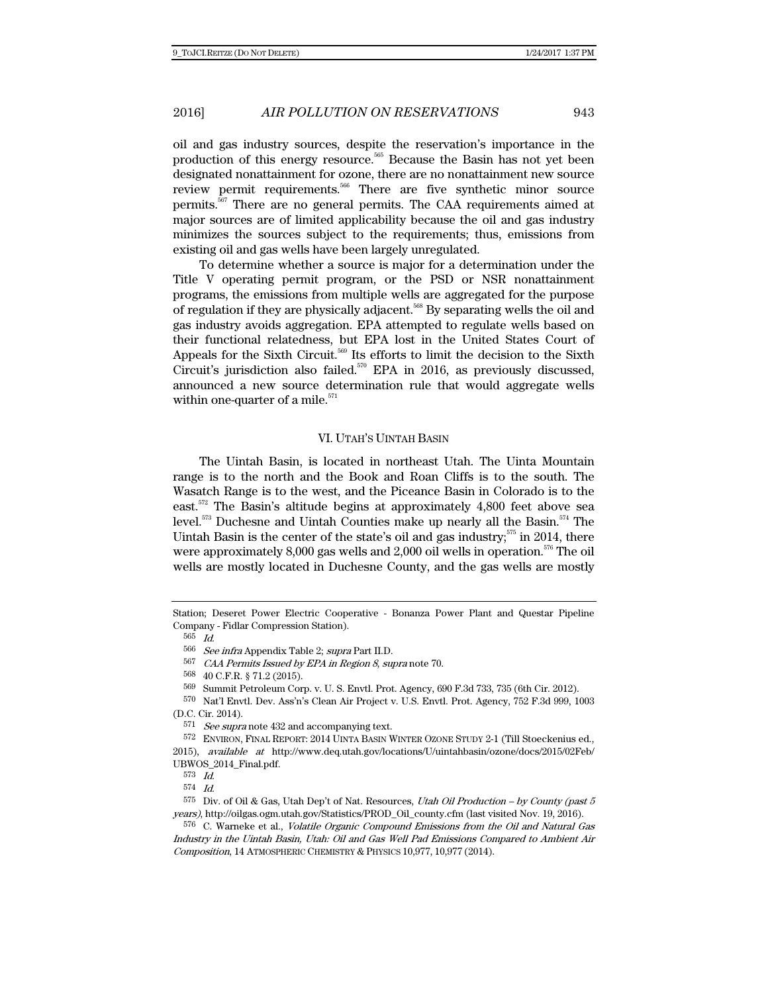oil and gas industry sources, despite the reservation's importance in the production of this energy resource.<sup>565</sup> Because the Basin has not yet been designated nonattainment for ozone, there are no nonattainment new source review permit requirements.566 There are five synthetic minor source permits.567 There are no general permits. The CAA requirements aimed at major sources are of limited applicability because the oil and gas industry minimizes the sources subject to the requirements; thus, emissions from existing oil and gas wells have been largely unregulated.

To determine whether a source is major for a determination under the Title V operating permit program, or the PSD or NSR nonattainment programs, the emissions from multiple wells are aggregated for the purpose of regulation if they are physically adjacent.<sup>568</sup> By separating wells the oil and gas industry avoids aggregation. EPA attempted to regulate wells based on their functional relatedness, but EPA lost in the United States Court of Appeals for the Sixth Circuit.<sup>569</sup> Its efforts to limit the decision to the Sixth Circuit's jurisdiction also failed.<sup>570</sup> EPA in 2016, as previously discussed, announced a new source determination rule that would aggregate wells within one-quarter of a mile. $571$ 

#### VI. UTAH'S UINTAH BASIN

The Uintah Basin, is located in northeast Utah. The Uinta Mountain range is to the north and the Book and Roan Cliffs is to the south. The Wasatch Range is to the west, and the Piceance Basin in Colorado is to the east.<sup>572</sup> The Basin's altitude begins at approximately  $4,800$  feet above sea level.<sup>573</sup> Duchesne and Uintah Counties make up nearly all the Basin.<sup>574</sup> The Uintah Basin is the center of the state's oil and gas industry; $575$  in 2014, there were approximately 8,000 gas wells and 2,000 oil wells in operation.<sup>576</sup> The oil wells are mostly located in Duchesne County, and the gas wells are mostly

2015), available at http://www.deq.utah.gov/locations/U/uintahbasin/ozone/docs/2015/02Feb/ UBWOS\_2014\_Final.pdf.

Station; Deseret Power Electric Cooperative - Bonanza Power Plant and Questar Pipeline Company - Fidlar Compression Station).

<sup>565</sup> Id.

 $566$  *See infra* Appendix Table 2; *supra* Part II.D.<br> $567$  *CAA* Permite Issued by *FPA* in *Region 8*, *su* 

CAA Permits Issued by EPA in Region 8, supra note 70.

<sup>568 40</sup> C.F.R. § 71.2 (2015).

<sup>569</sup> Summit Petroleum Corp. v. U. S. Envtl. Prot. Agency, 690 F.3d 733, 735 (6th Cir. 2012).

<sup>570</sup> Nat'l Envtl. Dev. Ass'n's Clean Air Project v. U.S. Envtl. Prot. Agency, 752 F.3d 999, 1003 (D.C. Cir. 2014).

 $571\;$   $See\;supra$  note 432 and accompanying text.

<sup>572</sup> ENVIRON, FINAL REPORT: 2014 UINTA BASIN WINTER OZONE STUDY 2-1 (Till Stoeckenius ed.,

<sup>573</sup> Id.

<sup>574</sup> Id.

 $575$  Div. of Oil & Gas, Utah Dep't of Nat. Resources, Utah Oil Production – by County (past 5 years), http://oilgas.ogm.utah.gov/Statistics/PROD\_Oil\_county.cfm (last visited Nov. 19, 2016).

<sup>576</sup> C. Warneke et al., Volatile Organic Compound Emissions from the Oil and Natural Gas Industry in the Uintah Basin, Utah: Oil and Gas Well Pad Emissions Compared to Ambient Air Composition, 14 ATMOSPHERIC CHEMISTRY & PHYSICS 10,977, 10,977 (2014).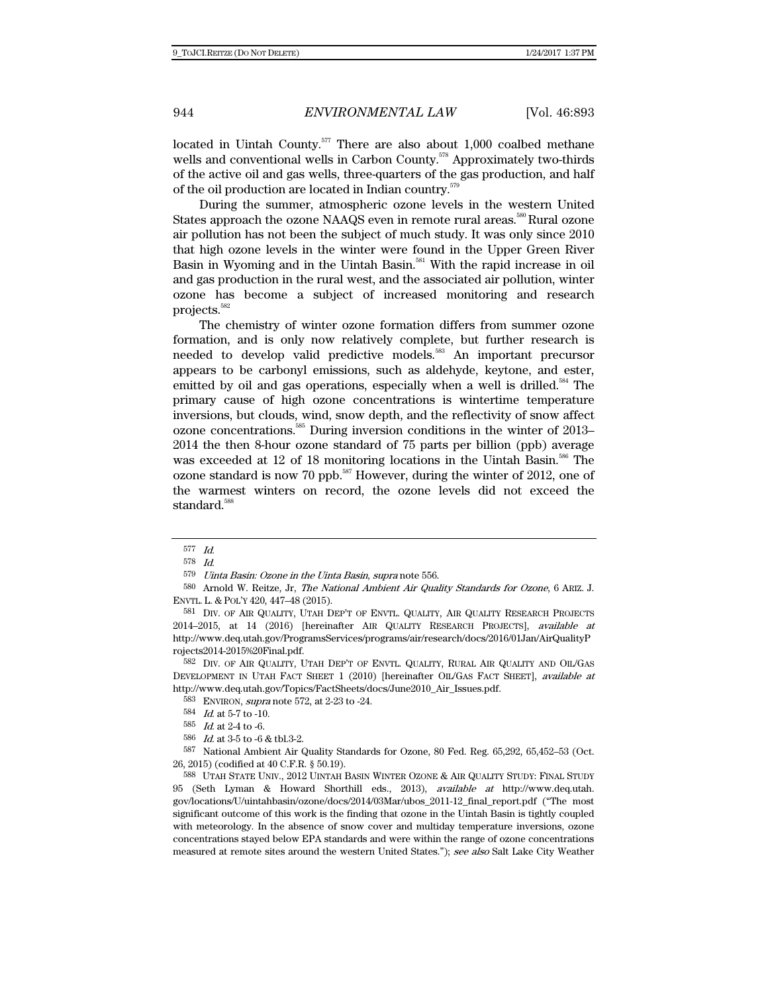located in Uintah County.<sup>577</sup> There are also about 1,000 coalbed methane wells and conventional wells in Carbon County.<sup>578</sup> Approximately two-thirds of the active oil and gas wells, three-quarters of the gas production, and half of the oil production are located in Indian country.579

During the summer, atmospheric ozone levels in the western United States approach the ozone NAAQS even in remote rural areas.<sup>580</sup> Rural ozone air pollution has not been the subject of much study. It was only since 2010 that high ozone levels in the winter were found in the Upper Green River Basin in Wyoming and in the Uintah Basin.<sup>581</sup> With the rapid increase in oil and gas production in the rural west, and the associated air pollution, winter ozone has become a subject of increased monitoring and research projects.582

The chemistry of winter ozone formation differs from summer ozone formation, and is only now relatively complete, but further research is needed to develop valid predictive models.<sup>583</sup> An important precursor appears to be carbonyl emissions, such as aldehyde, keytone, and ester, emitted by oil and gas operations, especially when a well is drilled.<sup>584</sup> The primary cause of high ozone concentrations is wintertime temperature inversions, but clouds, wind, snow depth, and the reflectivity of snow affect ozone concentrations.<sup>585</sup> During inversion conditions in the winter of 2013– 2014 the then 8-hour ozone standard of 75 parts per billion (ppb) average was exceeded at 12 of 18 monitoring locations in the Uintah Basin.<sup>586</sup> The ozone standard is now 70 ppb. $587$  However, during the winter of 2012, one of the warmest winters on record, the ozone levels did not exceed the standard.<sup>588</sup>

580 Arnold W. Reitze, Jr, The National Ambient Air Quality Standards for Ozone, 6 ARIZ. J. ENVTL. L. & POL'Y 420, 447–48 (2015).

582 DIV. OF AIR QUALITY, UTAH DEP'T OF ENVTL. QUALITY, RURAL AIR QUALITY AND OIL/GAS DEVELOPMENT IN UTAH FACT SHEET 1 (2010) [hereinafter OIL/GAS FACT SHEET], available at http://www.deq.utah.gov/Topics/FactSheets/docs/June2010\_Air\_Issues.pdf.

583 ENVIRON, supra note 572, at 2-23 to -24.

587 National Ambient Air Quality Standards for Ozone, 80 Fed. Reg. 65,292, 65,452–53 (Oct. 26, 2015) (codified at 40 C.F.R. § 50.19).

588 UTAH STATE UNIV., 2012 UINTAH BASIN WINTER OZONE & AIR QUALITY STUDY: FINAL STUDY 95 (Seth Lyman & Howard Shorthill eds., 2013), available at http://www.deq.utah. gov/locations/U/uintahbasin/ozone/docs/2014/03Mar/ubos\_2011-12\_final\_report.pdf ("The most significant outcome of this work is the finding that ozone in the Uintah Basin is tightly coupled with meteorology. In the absence of snow cover and multiday temperature inversions, ozone concentrations stayed below EPA standards and were within the range of ozone concentrations measured at remote sites around the western United States."); see also Salt Lake City Weather

<sup>577</sup> Id.

<sup>578</sup> Id.

<sup>579</sup> Uinta Basin: Ozone in the Uinta Basin, supra note 556.

<sup>581</sup> DIV. OF AIR QUALITY, UTAH DEP'T OF ENVTL. QUALITY, AIR QUALITY RESEARCH PROJECTS 2014–2015, at 14 (2016) [hereinafter AIR QUALITY RESEARCH PROJECTS], available at http://www.deq.utah.gov/ProgramsServices/programs/air/research/docs/2016/01Jan/AirQualityP rojects2014-2015%20Final.pdf.

 $584\;$   $\;$   $Id.$  at 5-7 to -10.

<sup>585</sup> Id. at 2-4 to -6.

 <sup>586</sup> Id. at 3-5 to -6 & tbl.3-2.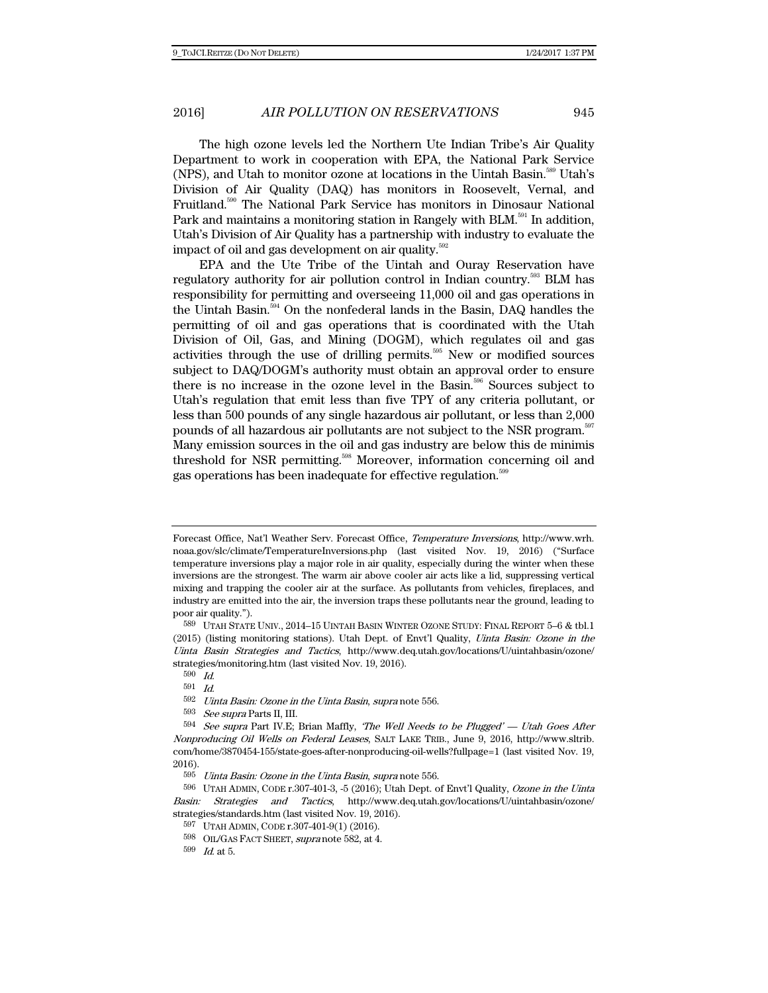The high ozone levels led the Northern Ute Indian Tribe's Air Quality Department to work in cooperation with EPA, the National Park Service (NPS), and Utah to monitor ozone at locations in the Uintah Basin.<sup>589</sup> Utah's Division of Air Quality (DAQ) has monitors in Roosevelt, Vernal, and Fruitland.590 The National Park Service has monitors in Dinosaur National Park and maintains a monitoring station in Rangely with BLM.<sup>591</sup> In addition, Utah's Division of Air Quality has a partnership with industry to evaluate the impact of oil and gas development on air quality. $592$ 

EPA and the Ute Tribe of the Uintah and Ouray Reservation have regulatory authority for air pollution control in Indian country.<sup>593</sup> BLM has responsibility for permitting and overseeing 11,000 oil and gas operations in the Uintah Basin.<sup>594</sup> On the nonfederal lands in the Basin, DAQ handles the permitting of oil and gas operations that is coordinated with the Utah Division of Oil, Gas, and Mining (DOGM), which regulates oil and gas activities through the use of drilling permits.<sup>595</sup> New or modified sources subject to DAQ/DOGM's authority must obtain an approval order to ensure there is no increase in the ozone level in the Basin.<sup>596</sup> Sources subject to Utah's regulation that emit less than five TPY of any criteria pollutant, or less than 500 pounds of any single hazardous air pollutant, or less than 2,000 pounds of all hazardous air pollutants are not subject to the NSR program.597 Many emission sources in the oil and gas industry are below this de minimis threshold for NSR permitting.<sup>598</sup> Moreover, information concerning oil and gas operations has been inadequate for effective regulation.<sup>599</sup>

Forecast Office, Nat'l Weather Serv. Forecast Office, Temperature Inversions, http://www.wrh. noaa.gov/slc/climate/TemperatureInversions.php (last visited Nov. 19, 2016) ("Surface temperature inversions play a major role in air quality, especially during the winter when these inversions are the strongest. The warm air above cooler air acts like a lid, suppressing vertical mixing and trapping the cooler air at the surface. As pollutants from vehicles, fireplaces, and industry are emitted into the air, the inversion traps these pollutants near the ground, leading to poor air quality.").

<sup>589</sup> UTAH STATE UNIV., 2014–15 UINTAH BASIN WINTER OZONE STUDY: FINAL REPORT 5–6 & tbl.1 (2015) (listing monitoring stations). Utah Dept. of Envt'l Quality, Uinta Basin: Ozone in the Uinta Basin Strategies and Tactics, http://www.deq.utah.gov/locations/U/uintahbasin/ozone/ strategies/monitoring.htm (last visited Nov. 19, 2016).

<sup>590</sup> Id.

 $591$  *Id.*<br> $592$  *Uinta Basin: Ozone in the Uinta Basin, supra* note 556.

<sup>593</sup> See supra Parts II, III.

 $594$  See supra Part IV.E; Brian Maffly, 'The Well Needs to be Plugged' — Utah Goes After Nonproducing Oil Wells on Federal Leases, SALT LAKE TRIB., June 9, 2016, http://www.sltrib. com/home/3870454-155/state-goes-after-nonproducing-oil-wells?fullpage=1 (last visited Nov. 19,  $\frac{2016}{595}$ 

Uinta Basin: Ozone in the Uinta Basin, supra note 556.

<sup>596</sup> UTAH ADMIN, CODE r.307-401-3, -5 (2016); Utah Dept. of Envt'l Quality, Ozone in the Uinta Basin: Strategies and Tactics, http://www.deq.utah.gov/locations/U/uintahbasin/ozone/ strategies/standards.htm (last visited Nov. 19, 2016).

<sup>597</sup> UTAH ADMIN, CODE r.307-401-9(1) (2016).

 $^{598}$  OIL/GAS FACT SHEET, supra note 582, at 4.

<sup>599</sup> Id. at 5.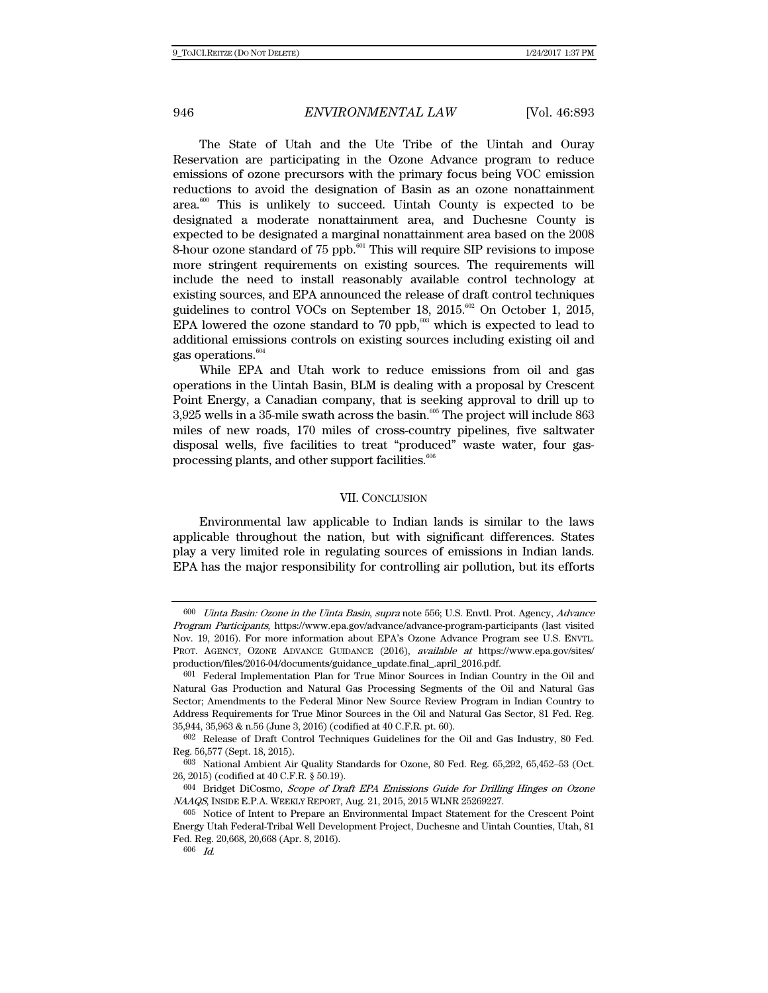The State of Utah and the Ute Tribe of the Uintah and Ouray Reservation are participating in the Ozone Advance program to reduce emissions of ozone precursors with the primary focus being VOC emission reductions to avoid the designation of Basin as an ozone nonattainment area.<sup>600</sup> This is unlikely to succeed. Uintah County is expected to be designated a moderate nonattainment area, and Duchesne County is expected to be designated a marginal nonattainment area based on the 2008 8-hour ozone standard of 75 ppb.<sup>601</sup> This will require SIP revisions to impose more stringent requirements on existing sources. The requirements will include the need to install reasonably available control technology at existing sources, and EPA announced the release of draft control techniques guidelines to control VOCs on September 18,  $2015.^{602}$  On October 1,  $2015$ , EPA lowered the ozone standard to 70 ppb,<sup>603</sup> which is expected to lead to additional emissions controls on existing sources including existing oil and gas operations.<sup>604</sup>

While EPA and Utah work to reduce emissions from oil and gas operations in the Uintah Basin, BLM is dealing with a proposal by Crescent Point Energy, a Canadian company, that is seeking approval to drill up to  $3,925$  wells in a 35-mile swath across the basin.<sup>605</sup> The project will include 863 miles of new roads, 170 miles of cross-country pipelines, five saltwater disposal wells, five facilities to treat "produced" waste water, four gasprocessing plants, and other support facilities.<sup>606</sup>

### VII. CONCLUSION

Environmental law applicable to Indian lands is similar to the laws applicable throughout the nation, but with significant differences. States play a very limited role in regulating sources of emissions in Indian lands. EPA has the major responsibility for controlling air pollution, but its efforts

<sup>600</sup> Uinta Basin: Ozone in the Uinta Basin, supra note 556; U.S. Envtl. Prot. Agency, Advance Program Participants, https://www.epa.gov/advance/advance-program-participants (last visited Nov. 19, 2016). For more information about EPA's Ozone Advance Program see U.S. ENVTL. PROT. AGENCY, OZONE ADVANCE GUIDANCE (2016), *available at* https://www.epa.gov/sites/ production/files/2016-04/documents/guidance\_update.final\_.april\_2016.pdf.

<sup>601</sup> Federal Implementation Plan for True Minor Sources in Indian Country in the Oil and Natural Gas Production and Natural Gas Processing Segments of the Oil and Natural Gas Sector; Amendments to the Federal Minor New Source Review Program in Indian Country to Address Requirements for True Minor Sources in the Oil and Natural Gas Sector, 81 Fed. Reg. 35,944, 35,963 & n.56 (June 3, 2016) (codified at 40 C.F.R. pt. 60).

<sup>602</sup> Release of Draft Control Techniques Guidelines for the Oil and Gas Industry, 80 Fed. Reg. 56,577 (Sept. 18, 2015).

<sup>603</sup> National Ambient Air Quality Standards for Ozone, 80 Fed. Reg. 65,292, 65,452–53 (Oct. 26, 2015) (codified at 40 C.F.R. § 50.19).

<sup>604</sup> Bridget DiCosmo, Scope of Draft EPA Emissions Guide for Drilling Hinges on Ozone NAAQS, INSIDE E.P.A. WEEKLY REPORT, Aug. 21, 2015, 2015 WLNR 25269227.

<sup>605</sup> Notice of Intent to Prepare an Environmental Impact Statement for the Crescent Point Energy Utah Federal-Tribal Well Development Project, Duchesne and Uintah Counties, Utah, 81 Fed. Reg. 20,668, 20,668 (Apr. 8, 2016).

<sup>606</sup> Id.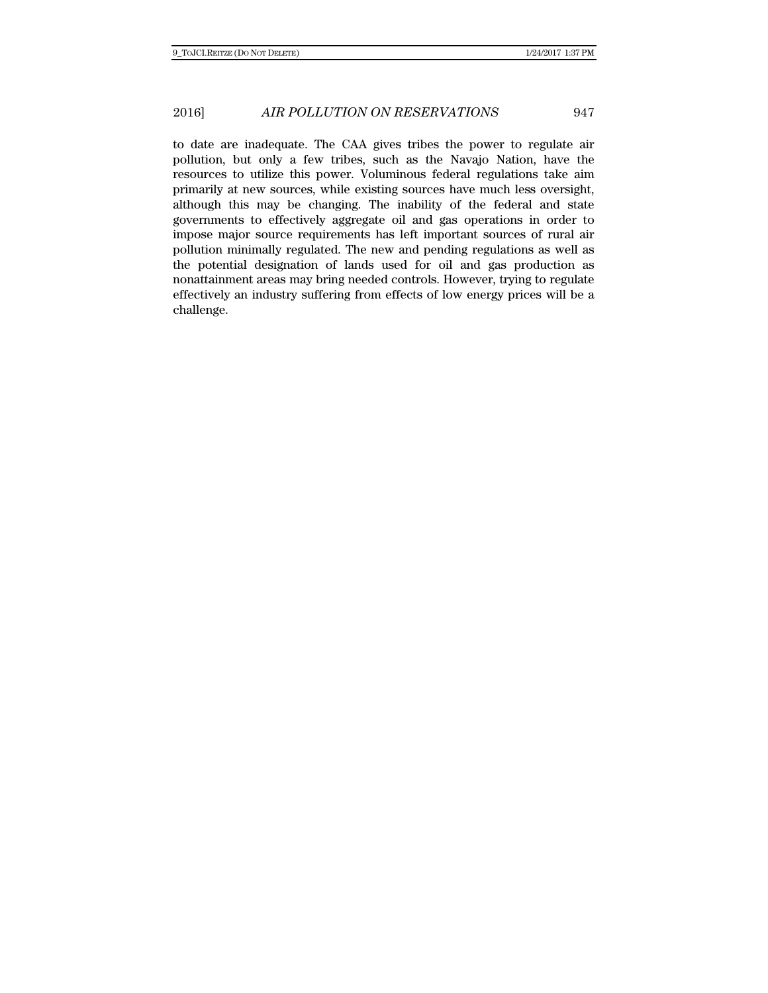to date are inadequate. The CAA gives tribes the power to regulate air pollution, but only a few tribes, such as the Navajo Nation, have the resources to utilize this power. Voluminous federal regulations take aim primarily at new sources, while existing sources have much less oversight, although this may be changing. The inability of the federal and state governments to effectively aggregate oil and gas operations in order to impose major source requirements has left important sources of rural air pollution minimally regulated. The new and pending regulations as well as the potential designation of lands used for oil and gas production as nonattainment areas may bring needed controls. However, trying to regulate effectively an industry suffering from effects of low energy prices will be a challenge.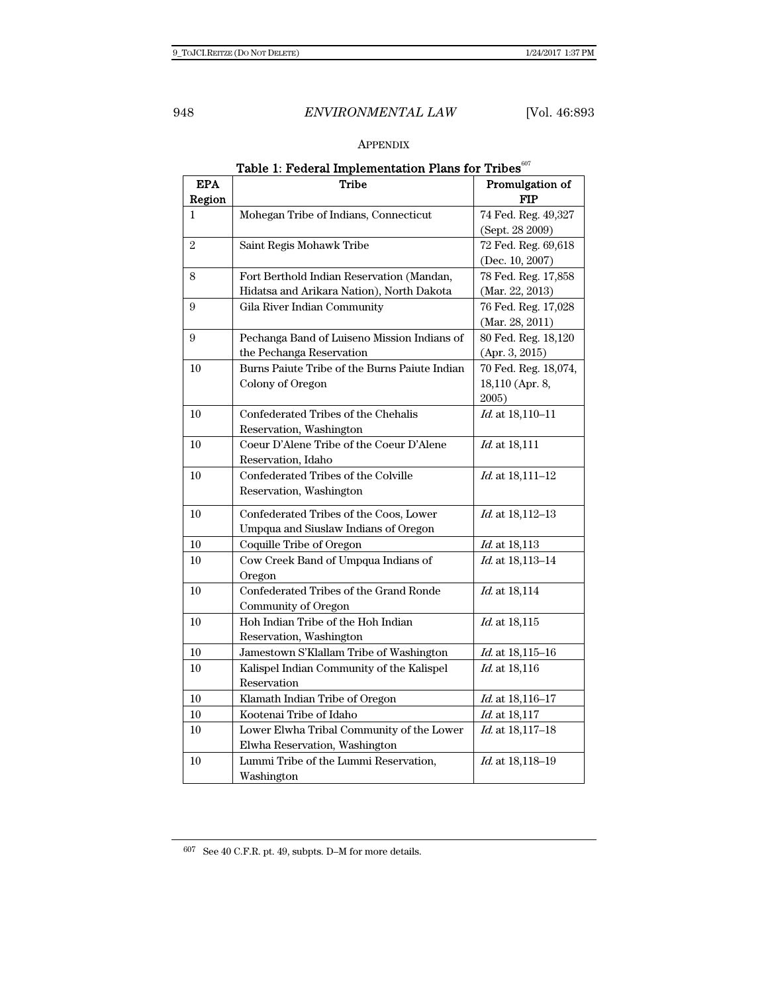# APPENDIX

| rable 1. I ederal implementation I fails for Tribes |                                               |                      |  |
|-----------------------------------------------------|-----------------------------------------------|----------------------|--|
| <b>EPA</b>                                          | <b>Tribe</b>                                  | Promulgation of      |  |
| Region                                              |                                               | <b>FIP</b>           |  |
| 1                                                   | Mohegan Tribe of Indians, Connecticut         | 74 Fed. Reg. 49,327  |  |
|                                                     |                                               | (Sept. 28 2009)      |  |
| $\overline{2}$                                      | Saint Regis Mohawk Tribe                      | 72 Fed. Reg. 69,618  |  |
|                                                     |                                               | (Dec. 10, 2007)      |  |
| 8                                                   | Fort Berthold Indian Reservation (Mandan,     | 78 Fed. Reg. 17,858  |  |
|                                                     | Hidatsa and Arikara Nation), North Dakota     | (Mar. 22, 2013)      |  |
| 9                                                   | Gila River Indian Community                   | 76 Fed. Reg. 17,028  |  |
|                                                     |                                               | (Mar. 28, 2011)      |  |
| 9                                                   | Pechanga Band of Luiseno Mission Indians of   | 80 Fed. Reg. 18,120  |  |
|                                                     | the Pechanga Reservation                      | (Apr. 3, 2015)       |  |
| 10                                                  | Burns Paiute Tribe of the Burns Paiute Indian | 70 Fed. Reg. 18,074, |  |
|                                                     | Colony of Oregon                              | 18,110 (Apr. 8,      |  |
|                                                     |                                               | 2005)                |  |
| 10                                                  | Confederated Tribes of the Chehalis           | Id. at 18,110-11     |  |
|                                                     | Reservation, Washington                       |                      |  |
| 10                                                  | Coeur D'Alene Tribe of the Coeur D'Alene      | Id. at 18,111        |  |
|                                                     | Reservation, Idaho                            |                      |  |
| 10                                                  | Confederated Tribes of the Colville           | Id. at 18,111-12     |  |
|                                                     | Reservation, Washington                       |                      |  |
| 10                                                  | Confederated Tribes of the Coos, Lower        | Id. at 18,112-13     |  |
|                                                     | Umpqua and Siuslaw Indians of Oregon          |                      |  |
| 10                                                  | Coquille Tribe of Oregon                      | Id. at 18,113        |  |
| 10                                                  | Cow Creek Band of Umpqua Indians of           | Id. at 18,113-14     |  |
|                                                     | Oregon                                        |                      |  |
| 10                                                  | Confederated Tribes of the Grand Ronde        | Id. at 18,114        |  |
|                                                     | Community of Oregon                           |                      |  |
| 10                                                  | Hoh Indian Tribe of the Hoh Indian            | Id. at 18,115        |  |
|                                                     | Reservation, Washington                       |                      |  |
| 10                                                  | Jamestown S'Klallam Tribe of Washington       | Id. at 18,115-16     |  |
| 10                                                  | Kalispel Indian Community of the Kalispel     | Id. at 18,116        |  |
|                                                     | Reservation                                   |                      |  |
| 10                                                  | Klamath Indian Tribe of Oregon                | Id. at 18,116-17     |  |
| 10                                                  | Kootenai Tribe of Idaho                       | <i>Id.</i> at 18,117 |  |
| 10                                                  | Lower Elwha Tribal Community of the Lower     | Id. at 18,117-18     |  |
|                                                     | Elwha Reservation, Washington                 |                      |  |
| 10                                                  | Lummi Tribe of the Lummi Reservation,         | Id. at 18,118-19     |  |
|                                                     | Washington                                    |                      |  |
|                                                     |                                               |                      |  |

# Table 1: Federal Implementation Plans for Tribes $^{{607}}$

 $^{607}\,$  See 40 C.F.R. pt. 49, subpts. D–M for more details.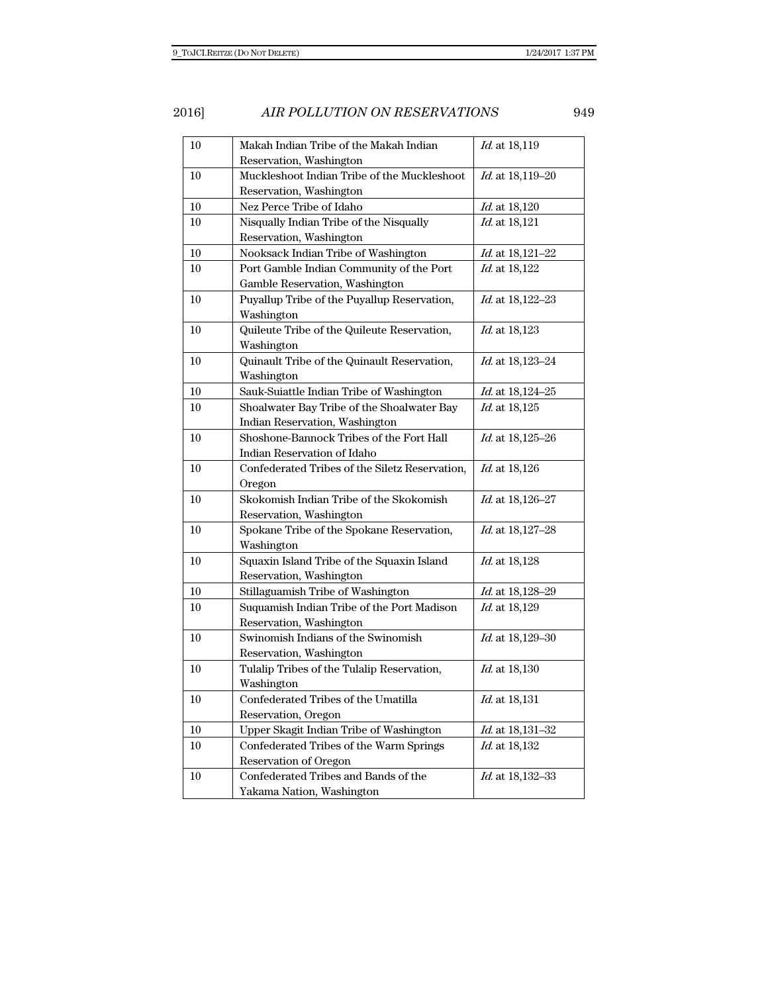| 10     | Makah Indian Tribe of the Makah Indian         | Id. at 18,119           |
|--------|------------------------------------------------|-------------------------|
|        | Reservation, Washington                        |                         |
| 10     | Muckleshoot Indian Tribe of the Muckleshoot    | Id. at 18,119-20        |
|        | Reservation, Washington                        |                         |
| 10     | Nez Perce Tribe of Idaho                       | Id. at 18,120           |
| 10     | Nisqually Indian Tribe of the Nisqually        | Id. at 18,121           |
|        | Reservation, Washington                        |                         |
| 10     | Nooksack Indian Tribe of Washington            | Id. at 18,121-22        |
| 10     | Port Gamble Indian Community of the Port       | Id. at 18,122           |
|        | Gamble Reservation, Washington                 |                         |
| 10     | Puyallup Tribe of the Puyallup Reservation,    | <i>Id.</i> at 18,122–23 |
|        | Washington                                     |                         |
| 10     | Quileute Tribe of the Quileute Reservation,    | <i>Id.</i> at 18,123    |
|        | Washington                                     |                         |
| 10     | Quinault Tribe of the Quinault Reservation,    | Id. at 18,123-24        |
|        | Washington                                     |                         |
| $10\,$ | Sauk-Suiattle Indian Tribe of Washington       | <i>Id.</i> at 18,124-25 |
| 10     | Shoalwater Bay Tribe of the Shoalwater Bay     | <i>Id.</i> at 18,125    |
|        | Indian Reservation, Washington                 |                         |
| 10     | Shoshone-Bannock Tribes of the Fort Hall       | <i>Id.</i> at 18,125–26 |
|        | Indian Reservation of Idaho                    |                         |
| 10     | Confederated Tribes of the Siletz Reservation, | <i>Id.</i> at 18,126    |
|        | Oregon                                         |                         |
| 10     | Skokomish Indian Tribe of the Skokomish        | <i>Id.</i> at 18,126–27 |
|        | Reservation, Washington                        |                         |
| 10     | Spokane Tribe of the Spokane Reservation,      | <i>Id.</i> at 18,127–28 |
|        | Washington                                     |                         |
| 10     | Squaxin Island Tribe of the Squaxin Island     | <i>Id.</i> at 18,128    |
|        | Reservation, Washington                        |                         |
| 10     | Stillaguamish Tribe of Washington              | <i>Id.</i> at 18,128–29 |
| 10     | Suquamish Indian Tribe of the Port Madison     | <i>Id.</i> at 18,129    |
|        | Reservation, Washington                        |                         |
| 10     | Swinomish Indians of the Swinomish             | <i>Id.</i> at 18,129-30 |
|        | Reservation, Washington                        |                         |
| 10     | Tulalip Tribes of the Tulalip Reservation,     | <i>Id.</i> at 18,130    |
|        | Washington                                     |                         |
| $10\,$ | Confederated Tribes of the Umatilla            | Id. at 18,131           |
|        | Reservation, Oregon                            |                         |
| 10     | Upper Skagit Indian Tribe of Washington        | <i>Id.</i> at 18,131-32 |
| 10     | Confederated Tribes of the Warm Springs        | <i>Id.</i> at 18,132    |
|        | Reservation of Oregon                          |                         |
| 10     | Confederated Tribes and Bands of the           | <i>Id.</i> at 18,132–33 |
|        | Yakama Nation, Washington                      |                         |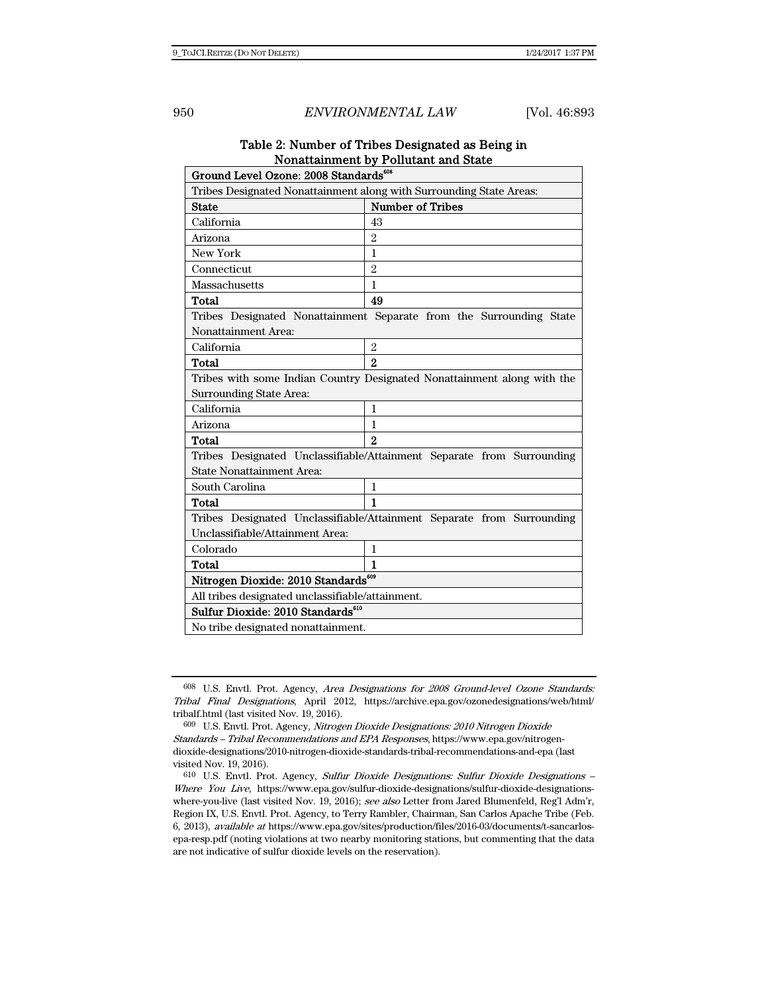# Table 2: Number of Tribes Designated as Being in Nonattainment by Pollutant and State

| Ground Level Ozone: 2008 Standards <sup>608</sup>                       |                                                                       |  |  |  |
|-------------------------------------------------------------------------|-----------------------------------------------------------------------|--|--|--|
| Tribes Designated Nonattainment along with Surrounding State Areas:     |                                                                       |  |  |  |
| <b>State</b>                                                            | <b>Number of Tribes</b>                                               |  |  |  |
| California                                                              | 43                                                                    |  |  |  |
| Arizona                                                                 | $\mathfrak{D}$                                                        |  |  |  |
| New York                                                                | 1                                                                     |  |  |  |
| Connecticut                                                             | $\overline{2}$                                                        |  |  |  |
| Massachusetts                                                           | $\mathbf{1}$                                                          |  |  |  |
| Total                                                                   | 49                                                                    |  |  |  |
| Tribes Designated Nonattainment Separate from the Surrounding State     |                                                                       |  |  |  |
| Nonattainment Area:                                                     |                                                                       |  |  |  |
| California                                                              | $\overline{2}$                                                        |  |  |  |
| Total                                                                   | $\overline{2}$                                                        |  |  |  |
| Tribes with some Indian Country Designated Nonattainment along with the |                                                                       |  |  |  |
| Surrounding State Area:                                                 |                                                                       |  |  |  |
| California                                                              | $\mathbf{1}$                                                          |  |  |  |
| Arizona                                                                 | 1                                                                     |  |  |  |
| Total                                                                   | $\overline{2}$                                                        |  |  |  |
|                                                                         | Tribes Designated Unclassifiable/Attainment Separate from Surrounding |  |  |  |
| <b>State Nonattainment Area:</b>                                        |                                                                       |  |  |  |
| South Carolina                                                          | 1                                                                     |  |  |  |
| Total                                                                   | 1                                                                     |  |  |  |
| Tribes Designated Unclassifiable/Attainment Separate from Surrounding   |                                                                       |  |  |  |
| Unclassifiable/Attainment Area:                                         |                                                                       |  |  |  |
| Colorado                                                                | $\mathbf{1}$                                                          |  |  |  |
| Total                                                                   | 1                                                                     |  |  |  |
| Nitrogen Dioxide: 2010 Standards <sup>609</sup>                         |                                                                       |  |  |  |
| All tribes designated unclassifiable/attainment.                        |                                                                       |  |  |  |
| Sulfur Dioxide: 2010 Standards <sup>610</sup>                           |                                                                       |  |  |  |
| No tribe designated nonattainment.                                      |                                                                       |  |  |  |

<sup>608</sup> U.S. Envtl. Prot. Agency, Area Designations for 2008 Ground-level Ozone Standards: Tribal Final Designations, April 2012, https://archive.epa.gov/ozonedesignations/web/html/ tribalf.html (last visited Nov. 19, 2016).

<sup>609</sup> U.S. Envtl. Prot. Agency, Nitrogen Dioxide Designations: 2010 Nitrogen Dioxide Standards – Tribal Recommendations and EPA Responses, https://www.epa.gov/nitrogendioxide-designations/2010-nitrogen-dioxide-standards-tribal-recommendations-and-epa (last visited Nov. 19, 2016).

<sup>610</sup> U.S. Envtl. Prot. Agency, Sulfur Dioxide Designations: Sulfur Dioxide Designations – Where You Live, https://www.epa.gov/sulfur-dioxide-designations/sulfur-dioxide-designationswhere-you-live (last visited Nov. 19, 2016); see also Letter from Jared Blumenfeld, Reg'l Adm'r, Region IX, U.S. Envtl. Prot. Agency, to Terry Rambler, Chairman, San Carlos Apache Tribe (Feb. 6, 2013), available at https://www.epa.gov/sites/production/files/2016-03/documents/t-sancarlosepa-resp.pdf (noting violations at two nearby monitoring stations, but commenting that the data are not indicative of sulfur dioxide levels on the reservation).